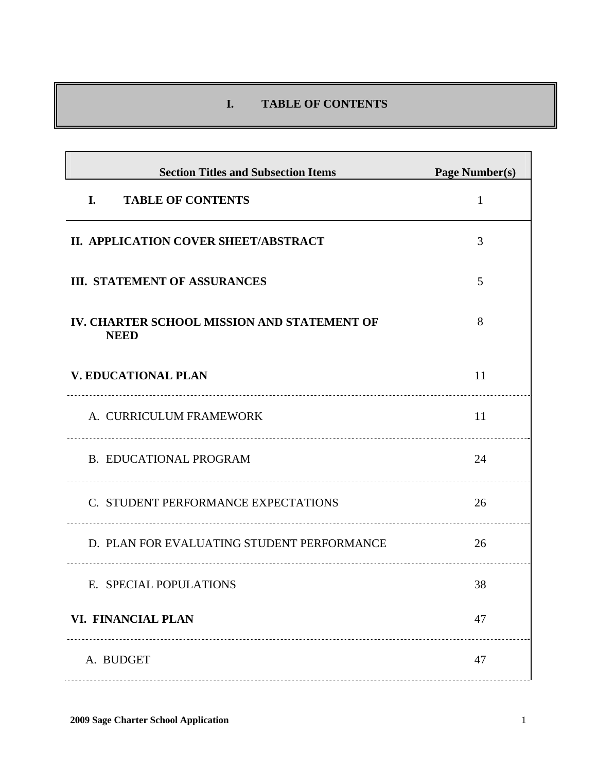# **I. TABLE OF CONTENTS**

| <b>Section Titles and Subsection Items</b>                 | <b>Page Number(s)</b> |
|------------------------------------------------------------|-----------------------|
| <b>TABLE OF CONTENTS</b><br>I.                             | $\mathbf{1}$          |
| II. APPLICATION COVER SHEET/ABSTRACT                       | 3                     |
| <b>III. STATEMENT OF ASSURANCES</b>                        | 5                     |
| IV. CHARTER SCHOOL MISSION AND STATEMENT OF<br><b>NEED</b> | 8                     |
| <b>V. EDUCATIONAL PLAN</b>                                 | 11                    |
| A. CURRICULUM FRAMEWORK                                    | 11                    |
| <b>B. EDUCATIONAL PROGRAM</b><br>                          | 24                    |
| C. STUDENT PERFORMANCE EXPECTATIONS                        | 26                    |
| D. PLAN FOR EVALUATING STUDENT PERFORMANCE                 | 26                    |
| E. SPECIAL POPULATIONS                                     | 38                    |
| <b>VI. FINANCIAL PLAN</b>                                  | 47                    |
| A. BUDGET                                                  | 47                    |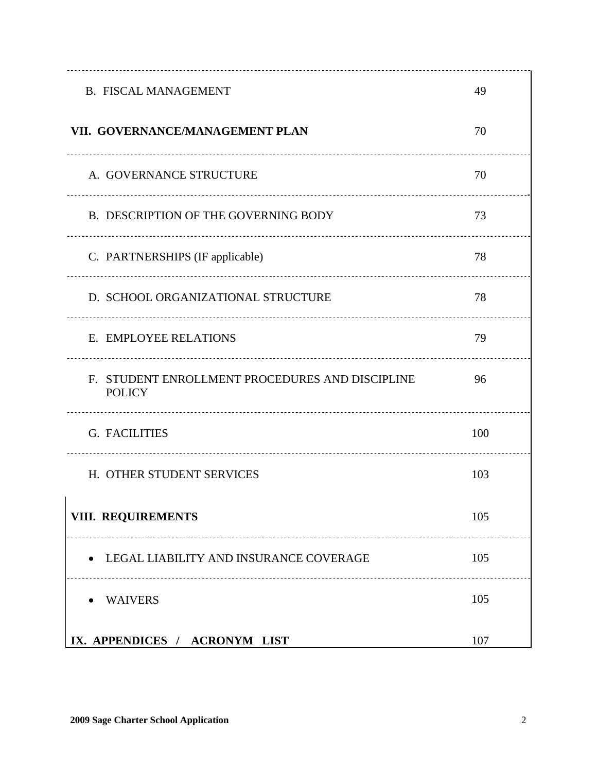| <b>B. FISCAL MANAGEMENT</b>                                      | 49  |
|------------------------------------------------------------------|-----|
| VII. GOVERNANCE/MANAGEMENT PLAN                                  | 70  |
| A. GOVERNANCE STRUCTURE                                          | 70  |
| B. DESCRIPTION OF THE GOVERNING BODY                             | 73  |
| C. PARTNERSHIPS (IF applicable)                                  | 78  |
| D. SCHOOL ORGANIZATIONAL STRUCTURE                               | 78  |
| E. EMPLOYEE RELATIONS                                            | 79  |
| F. STUDENT ENROLLMENT PROCEDURES AND DISCIPLINE<br><b>POLICY</b> | 96  |
| G. FACILITIES<br>                                                | 100 |
| H. OTHER STUDENT SERVICES                                        | 103 |
| <b>VIII. REQUIREMENTS</b>                                        | 105 |
| LEGAL LIABILITY AND INSURANCE COVERAGE                           | 105 |
| <b>WAIVERS</b>                                                   | 105 |
| IX. APPENDICES / ACRONYM LIST                                    | 107 |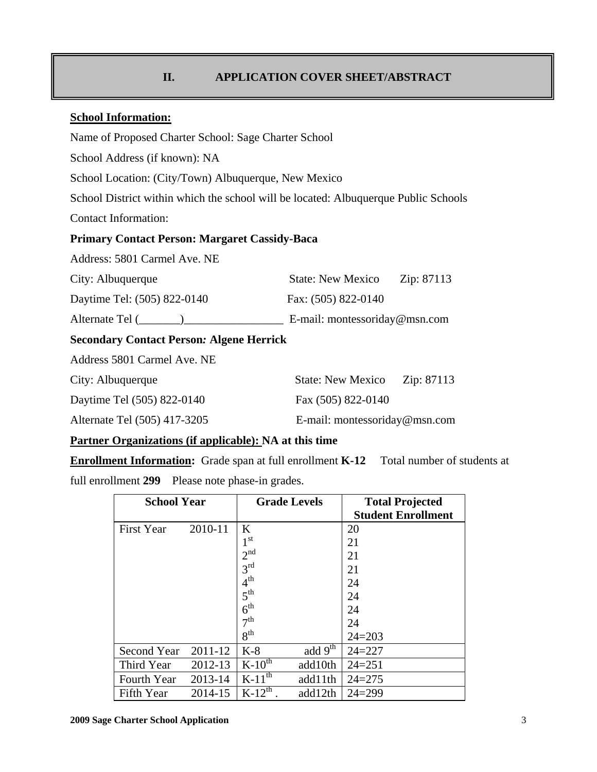# **II. APPLICATION COVER SHEET/ABSTRACT**

## **School Information:**

Name of Proposed Charter School: Sage Charter School

School Address (if known): NA

School Location: (City/Town) Albuquerque, New Mexico

School District within which the school will be located: Albuquerque Public Schools

Contact Information:

## **Primary Contact Person: Margaret Cassidy-Baca**

Address: 5801 Carmel Ave. NE

| City: Albuquerque           | <b>State: New Mexico</b><br>Zip: 87113 |
|-----------------------------|----------------------------------------|
| Daytime Tel: (505) 822-0140 | Fax: (505) 822-0140                    |
| Alternate Tel (             | E-mail: montessoriday@msn.com          |

## **Secondary Contact Person***:* **Algene Herrick**

Address 5801 Carmel Ave. NE

| City: Albuquerque            | <b>State: New Mexico</b>      | Zip: 87113 |
|------------------------------|-------------------------------|------------|
| Daytime Tel (505) 822-0140   | Fax (505) 822-0140            |            |
| Alternate Tel (505) 417-3205 | E-mail: montessoriday@msn.com |            |

#### **Partner Organizations (if applicable): NA at this time**

**Enrollment Information:** Grade span at full enrollment **K-12** Total number of students at

full enrollment **299** Please note phase-in grades.

| <b>School Year</b> |         | <b>Grade Levels</b> |           | <b>Total Projected</b><br><b>Student Enrollment</b> |
|--------------------|---------|---------------------|-----------|-----------------------------------------------------|
| <b>First Year</b>  | 2010-11 | K                   |           | 20                                                  |
|                    |         | 1 <sup>st</sup>     |           | 21                                                  |
|                    |         | 2 <sup>nd</sup>     |           | 21                                                  |
|                    |         | 3 <sup>rd</sup>     |           | 21                                                  |
|                    |         | 4 <sup>th</sup>     |           | 24                                                  |
|                    |         | 5 <sup>th</sup>     |           | 24                                                  |
|                    |         | 6 <sup>th</sup>     |           | 24                                                  |
|                    |         | 7 <sup>th</sup>     |           | 24                                                  |
|                    |         | 8 <sup>th</sup>     |           | $24 = 203$                                          |
| Second Year        | 2011-12 | $K-8$               | add $9th$ | $24 = 227$                                          |
| Third Year         | 2012-13 | $K-10^{th}$         | add10th   | $24 = 251$                                          |
| Fourth Year        | 2013-14 | $K-11^{th}$         | add11th   | $24 = 275$                                          |
| Fifth Year         | 2014-15 | $K-12^{th}$         | add12th   | $24 = 299$                                          |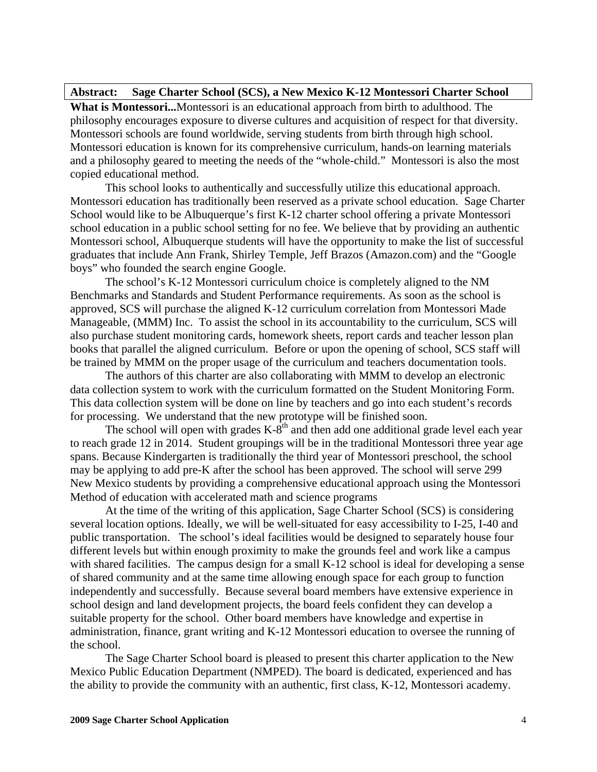#### **Abstract: Sage Charter School (SCS), a New Mexico K-12 Montessori Charter School**

**What is Montessori...**Montessori is an educational approach from birth to adulthood. The philosophy encourages exposure to diverse cultures and acquisition of respect for that diversity. Montessori schools are found worldwide, serving students from birth through high school. Montessori education is known for its comprehensive curriculum, hands-on learning materials and a philosophy geared to meeting the needs of the "whole-child." Montessori is also the most copied educational method.

This school looks to authentically and successfully utilize this educational approach. Montessori education has traditionally been reserved as a private school education. Sage Charter School would like to be Albuquerque's first K-12 charter school offering a private Montessori school education in a public school setting for no fee. We believe that by providing an authentic Montessori school, Albuquerque students will have the opportunity to make the list of successful graduates that include Ann Frank, Shirley Temple, Jeff Brazos (Amazon.com) and the "Google boys" who founded the search engine Google.

 The school's K-12 Montessori curriculum choice is completely aligned to the NM Benchmarks and Standards and Student Performance requirements. As soon as the school is approved, SCS will purchase the aligned K-12 curriculum correlation from Montessori Made Manageable, (MMM) Inc. To assist the school in its accountability to the curriculum, SCS will also purchase student monitoring cards, homework sheets, report cards and teacher lesson plan books that parallel the aligned curriculum. Before or upon the opening of school, SCS staff will be trained by MMM on the proper usage of the curriculum and teachers documentation tools.

 The authors of this charter are also collaborating with MMM to develop an electronic data collection system to work with the curriculum formatted on the Student Monitoring Form. This data collection system will be done on line by teachers and go into each student's records for processing. We understand that the new prototype will be finished soon.

The school will open with grades  $K-\overline{\delta}^{th}$  and then add one additional grade level each year to reach grade 12 in 2014. Student groupings will be in the traditional Montessori three year age spans. Because Kindergarten is traditionally the third year of Montessori preschool, the school may be applying to add pre-K after the school has been approved. The school will serve 299 New Mexico students by providing a comprehensive educational approach using the Montessori Method of education with accelerated math and science programs

 At the time of the writing of this application, Sage Charter School (SCS) is considering several location options. Ideally, we will be well-situated for easy accessibility to I-25, I-40 and public transportation. The school's ideal facilities would be designed to separately house four different levels but within enough proximity to make the grounds feel and work like a campus with shared facilities. The campus design for a small K-12 school is ideal for developing a sense of shared community and at the same time allowing enough space for each group to function independently and successfully. Because several board members have extensive experience in school design and land development projects, the board feels confident they can develop a suitable property for the school. Other board members have knowledge and expertise in administration, finance, grant writing and K-12 Montessori education to oversee the running of the school.

 The Sage Charter School board is pleased to present this charter application to the New Mexico Public Education Department (NMPED). The board is dedicated, experienced and has the ability to provide the community with an authentic, first class, K-12, Montessori academy.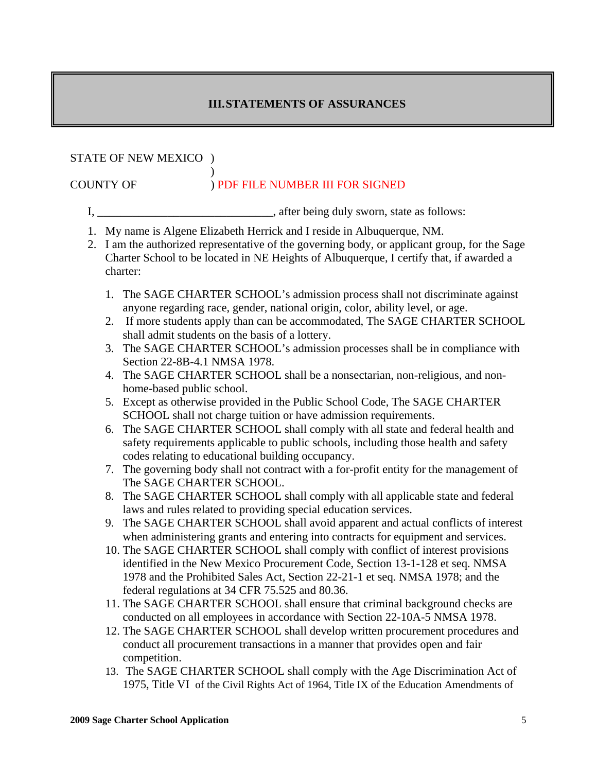# **III. STATEMENTS OF ASSURANCES**

## STATE OF NEW MEXICO )

## $\overline{\phantom{a}}$ COUNTY OF ) PDF FILE NUMBER III FOR SIGNED

- I, \_\_\_\_\_\_\_\_\_\_\_\_\_\_\_\_\_\_\_\_\_\_\_\_\_\_\_\_\_, after being duly sworn, state as follows:
- 1. My name is Algene Elizabeth Herrick and I reside in Albuquerque, NM.
- 2. I am the authorized representative of the governing body, or applicant group, for the Sage Charter School to be located in NE Heights of Albuquerque, I certify that, if awarded a charter:
	- 1. The SAGE CHARTER SCHOOL's admission process shall not discriminate against anyone regarding race, gender, national origin, color, ability level, or age.
	- 2. If more students apply than can be accommodated, The SAGE CHARTER SCHOOL shall admit students on the basis of a lottery.
	- 3. The SAGE CHARTER SCHOOL's admission processes shall be in compliance with Section 22-8B-4.1 NMSA 1978.
	- 4. The SAGE CHARTER SCHOOL shall be a nonsectarian, non-religious, and nonhome-based public school.
	- 5. Except as otherwise provided in the Public School Code, The SAGE CHARTER SCHOOL shall not charge tuition or have admission requirements.
	- 6. The SAGE CHARTER SCHOOL shall comply with all state and federal health and safety requirements applicable to public schools, including those health and safety codes relating to educational building occupancy.
	- 7. The governing body shall not contract with a for-profit entity for the management of The SAGE CHARTER SCHOOL.
	- 8. The SAGE CHARTER SCHOOL shall comply with all applicable state and federal laws and rules related to providing special education services.
	- 9. The SAGE CHARTER SCHOOL shall avoid apparent and actual conflicts of interest when administering grants and entering into contracts for equipment and services.
	- 10. The SAGE CHARTER SCHOOL shall comply with conflict of interest provisions identified in the New Mexico Procurement Code, Section 13-1-128 et seq. NMSA 1978 and the Prohibited Sales Act, Section 22-21-1 et seq. NMSA 1978; and the federal regulations at 34 CFR 75.525 and 80.36.
	- 11. The SAGE CHARTER SCHOOL shall ensure that criminal background checks are conducted on all employees in accordance with Section 22-10A-5 NMSA 1978.
	- 12. The SAGE CHARTER SCHOOL shall develop written procurement procedures and conduct all procurement transactions in a manner that provides open and fair competition.
	- 13. The SAGE CHARTER SCHOOL shall comply with the Age Discrimination Act of 1975, Title VI of the Civil Rights Act of 1964, Title IX of the Education Amendments of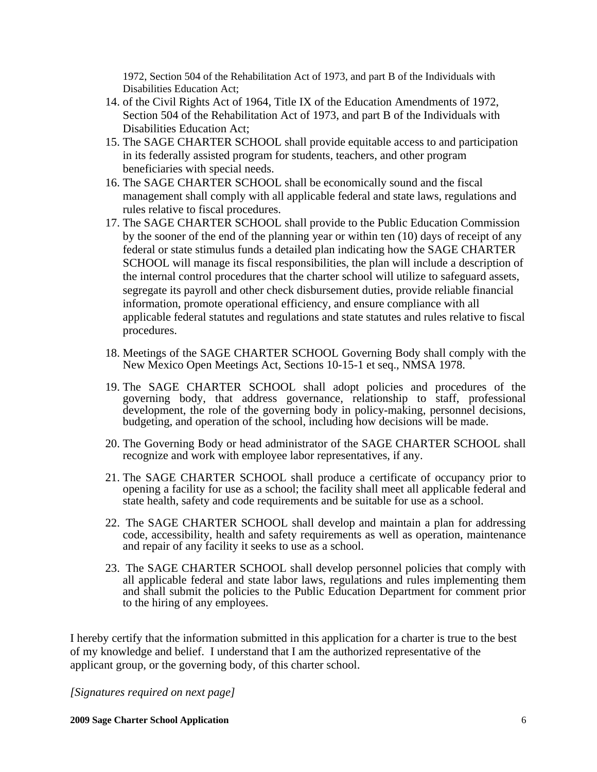1972, Section 504 of the Rehabilitation Act of 1973, and part B of the Individuals with Disabilities Education Act;

- 14. of the Civil Rights Act of 1964, Title IX of the Education Amendments of 1972, Section 504 of the Rehabilitation Act of 1973, and part B of the Individuals with Disabilities Education Act;
- 15. The SAGE CHARTER SCHOOL shall provide equitable access to and participation in its federally assisted program for students, teachers, and other program beneficiaries with special needs.
- 16. The SAGE CHARTER SCHOOL shall be economically sound and the fiscal management shall comply with all applicable federal and state laws, regulations and rules relative to fiscal procedures.
- 17. The SAGE CHARTER SCHOOL shall provide to the Public Education Commission by the sooner of the end of the planning year or within ten (10) days of receipt of any federal or state stimulus funds a detailed plan indicating how the SAGE CHARTER SCHOOL will manage its fiscal responsibilities, the plan will include a description of the internal control procedures that the charter school will utilize to safeguard assets, segregate its payroll and other check disbursement duties, provide reliable financial information, promote operational efficiency, and ensure compliance with all applicable federal statutes and regulations and state statutes and rules relative to fiscal procedures.
- 18. Meetings of the SAGE CHARTER SCHOOL Governing Body shall comply with the New Mexico Open Meetings Act, Sections 10-15-1 et seq., NMSA 1978.
- 19. The SAGE CHARTER SCHOOL shall adopt policies and procedures of the governing body, that address governance, relationship to staff, professional development, the role of the governing body in policy-making, personnel decisions, budgeting, and operation of the school, including how decisions will be made.
- 20. The Governing Body or head administrator of the SAGE CHARTER SCHOOL shall recognize and work with employee labor representatives, if any.
- 21. The SAGE CHARTER SCHOOL shall produce a certificate of occupancy prior to opening a facility for use as a school; the facility shall meet all applicable federal and state health, safety and code requirements and be suitable for use as a school.
- 22. The SAGE CHARTER SCHOOL shall develop and maintain a plan for addressing code, accessibility, health and safety requirements as well as operation, maintenance and repair of any facility it seeks to use as a school.
- 23. The SAGE CHARTER SCHOOL shall develop personnel policies that comply with all applicable federal and state labor laws, regulations and rules implementing them and shall submit the policies to the Public Education Department for comment prior to the hiring of any employees.

I hereby certify that the information submitted in this application for a charter is true to the best of my knowledge and belief. I understand that I am the authorized representative of the applicant group, or the governing body, of this charter school.

*[Signatures required on next page]*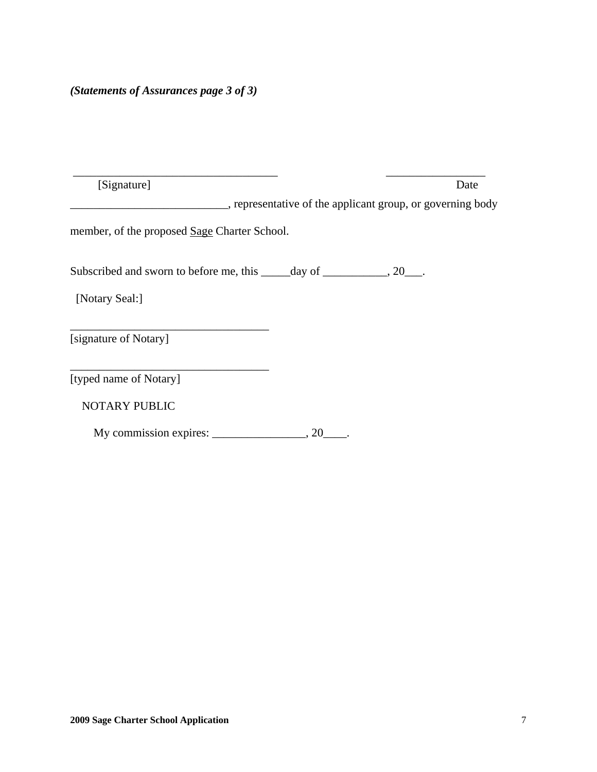| [Signature]                                  |     | Date                                                       |
|----------------------------------------------|-----|------------------------------------------------------------|
|                                              |     | , representative of the applicant group, or governing body |
| member, of the proposed Sage Charter School. |     |                                                            |
|                                              |     |                                                            |
| [Notary Seal:]                               |     |                                                            |
| [signature of Notary]                        |     |                                                            |
| [typed name of Notary]                       |     |                                                            |
| <b>NOTARY PUBLIC</b>                         |     |                                                            |
| My commission expires:                       | .20 |                                                            |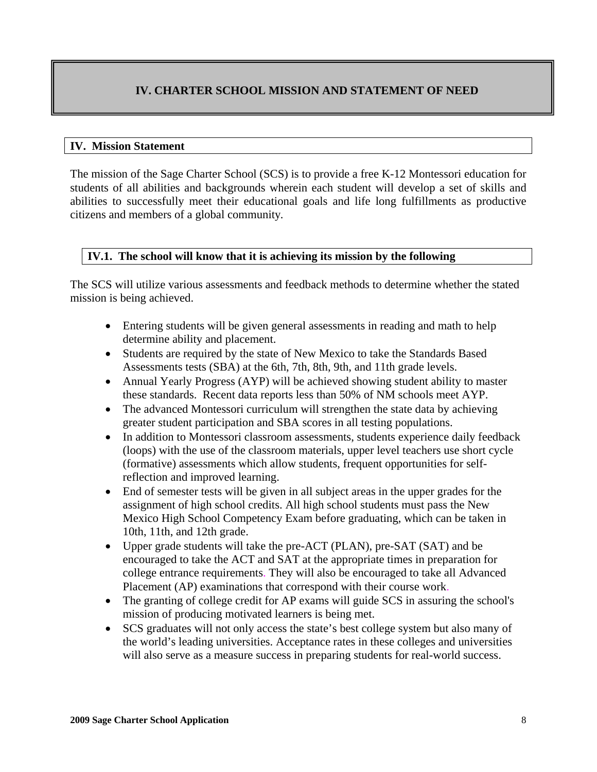# **IV. CHARTER SCHOOL MISSION AND STATEMENT OF NEED**

#### **IV. Mission Statement**

The mission of the Sage Charter School (SCS) is to provide a free K-12 Montessori education for students of all abilities and backgrounds wherein each student will develop a set of skills and abilities to successfully meet their educational goals and life long fulfillments as productive citizens and members of a global community*.* 

#### **IV.1. The school will know that it is achieving its mission by the following**

The SCS will utilize various assessments and feedback methods to determine whether the stated mission is being achieved.

- Entering students will be given general assessments in reading and math to help determine ability and placement.
- Students are required by the state of New Mexico to take the Standards Based Assessments tests (SBA) at the 6th, 7th, 8th, 9th, and 11th grade levels.
- Annual Yearly Progress (AYP) will be achieved showing student ability to master these standards. Recent data reports less than 50% of NM schools meet AYP.
- The advanced Montessori curriculum will strengthen the state data by achieving greater student participation and SBA scores in all testing populations.
- In addition to Montessori classroom assessments, students experience daily feedback (loops) with the use of the classroom materials, upper level teachers use short cycle (formative) assessments which allow students, frequent opportunities for selfreflection and improved learning.
- End of semester tests will be given in all subject areas in the upper grades for the assignment of high school credits. All high school students must pass the New Mexico High School Competency Exam before graduating, which can be taken in 10th, 11th, and 12th grade.
- Upper grade students will take the pre-ACT (PLAN), pre-SAT (SAT) and be encouraged to take the ACT and SAT at the appropriate times in preparation for college entrance requirements. They will also be encouraged to take all Advanced Placement (AP) examinations that correspond with their course work.
- The granting of college credit for AP exams will guide SCS in assuring the school's mission of producing motivated learners is being met.
- SCS graduates will not only access the state's best college system but also many of the world's leading universities. Acceptance rates in these colleges and universities will also serve as a measure success in preparing students for real-world success.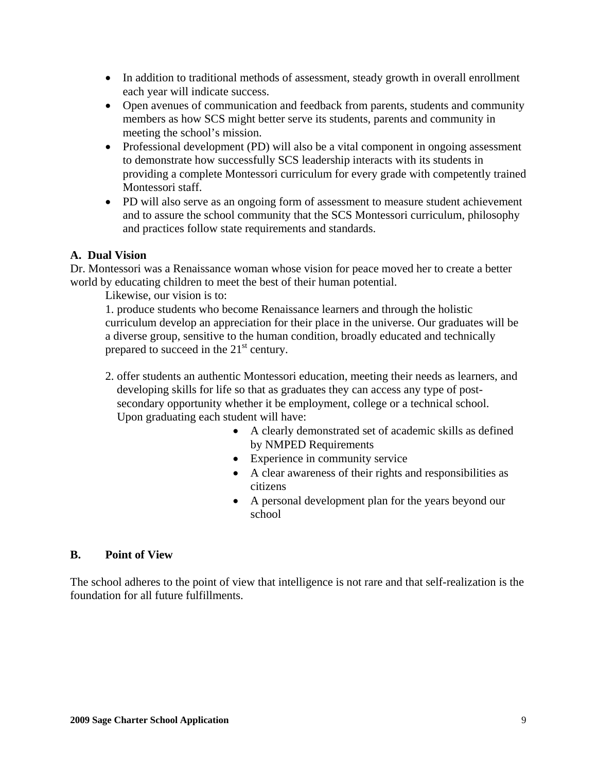- In addition to traditional methods of assessment, steady growth in overall enrollment each year will indicate success.
- Open avenues of communication and feedback from parents, students and community members as how SCS might better serve its students, parents and community in meeting the school's mission.
- Professional development (PD) will also be a vital component in ongoing assessment to demonstrate how successfully SCS leadership interacts with its students in providing a complete Montessori curriculum for every grade with competently trained Montessori staff.
- PD will also serve as an ongoing form of assessment to measure student achievement and to assure the school community that the SCS Montessori curriculum, philosophy and practices follow state requirements and standards.

## **A. Dual Vision**

Dr. Montessori was a Renaissance woman whose vision for peace moved her to create a better world by educating children to meet the best of their human potential.

Likewise, our vision is to:

 1. produce students who become Renaissance learners and through the holistic curriculum develop an appreciation for their place in the universe. Our graduates will be a diverse group, sensitive to the human condition, broadly educated and technically prepared to succeed in the  $21<sup>st</sup>$  century.

- 2. offer students an authentic Montessori education, meeting their needs as learners, and developing skills for life so that as graduates they can access any type of post secondary opportunity whether it be employment, college or a technical school. Upon graduating each student will have:
	- A clearly demonstrated set of academic skills as defined by NMPED Requirements
	- Experience in community service
	- A clear awareness of their rights and responsibilities as citizens
	- A personal development plan for the years beyond our school

## **B. Point of View**

The school adheres to the point of view that intelligence is not rare and that self-realization is the foundation for all future fulfillments.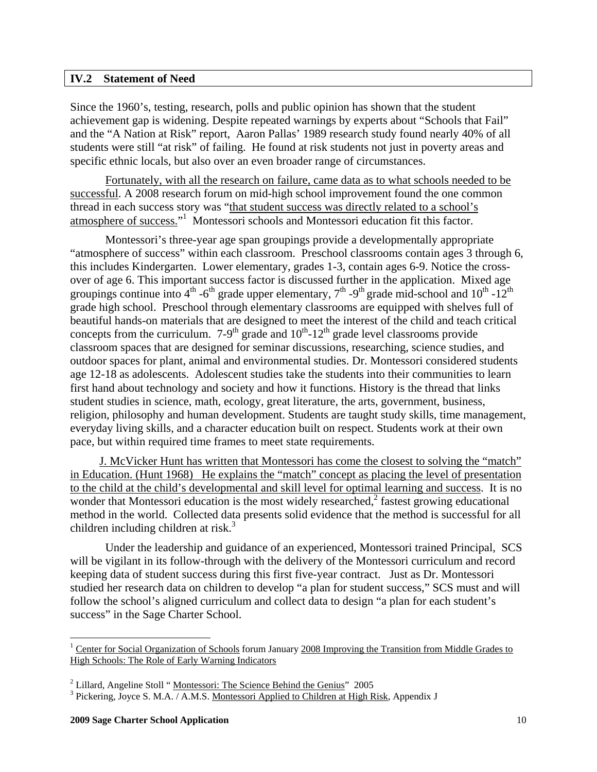#### **IV.2 Statement of Need**

Since the 1960's, testing, research, polls and public opinion has shown that the student achievement gap is widening. Despite repeated warnings by experts about "Schools that Fail" and the "A Nation at Risk" report, Aaron Pallas' 1989 research study found nearly 40% of all students were still "at risk" of failing. He found at risk students not just in poverty areas and specific ethnic locals, but also over an even broader range of circumstances.

 Fortunately, with all the research on failure, came data as to what schools needed to be successful. A 2008 research forum on mid-high school improvement found the one common thread in each success story was "that student success was directly related to a school's atmosphere of success."<sup>1</sup> Montessori schools and Montessori education fit this factor.

 Montessori's three-year age span groupings provide a developmentally appropriate "atmosphere of success" within each classroom. Preschool classrooms contain ages 3 through 6, this includes Kindergarten. Lower elementary, grades 1-3, contain ages 6-9. Notice the crossover of age 6. This important success factor is discussed further in the application. Mixed age groupings continue into  $4^{\text{th}}$  -6<sup>th</sup> grade upper elementary,  $7^{\text{th}}$  -9<sup>th</sup> grade mid-school and  $10^{\text{th}}$  -12<sup>th</sup> grade high school. Preschool through elementary classrooms are equipped with shelves full of beautiful hands-on materials that are designed to meet the interest of the child and teach critical concepts from the curriculum.  $7-9<sup>th</sup>$  grade and  $10<sup>th</sup>-12<sup>th</sup>$  grade level classrooms provide classroom spaces that are designed for seminar discussions, researching, science studies, and outdoor spaces for plant, animal and environmental studies. Dr. Montessori considered students age 12-18 as adolescents. Adolescent studies take the students into their communities to learn first hand about technology and society and how it functions. History is the thread that links student studies in science, math, ecology, great literature, the arts, government, business, religion, philosophy and human development. Students are taught study skills, time management, everyday living skills, and a character education built on respect. Students work at their own pace, but within required time frames to meet state requirements.

 J. McVicker Hunt has written that Montessori has come the closest to solving the "match" in Education. (Hunt 1968) He explains the "match" concept as placing the level of presentation to the child at the child's developmental and skill level for optimal learning and success. It is no wonder that Montessori education is the most widely researched, $2$  fastest growing educational method in the world. Collected data presents solid evidence that the method is successful for all children including children at risk. $3$ 

 Under the leadership and guidance of an experienced, Montessori trained Principal, SCS will be vigilant in its follow-through with the delivery of the Montessori curriculum and record keeping data of student success during this first five-year contract. Just as Dr. Montessori studied her research data on children to develop "a plan for student success," SCS must and will follow the school's aligned curriculum and collect data to design "a plan for each student's success" in the Sage Charter School.

 $\overline{a}$ 

<sup>&</sup>lt;sup>1</sup> Center for Social Organization of Schools forum January 2008 Improving the Transition from Middle Grades to High Schools: The Role of Early Warning Indicators

<sup>&</sup>lt;sup>2</sup> Lillard, Angeline Stoll "<u>Montessori: The Science Behind the Genius</u>" 2005<br><sup>3</sup> Biskering, Joues S, M A (A M S, Montessori Anglied to Children at High B

<sup>&</sup>lt;sup>3</sup> Pickering, Joyce S. M.A. / A.M.S. Montessori Applied to Children at High Risk, Appendix J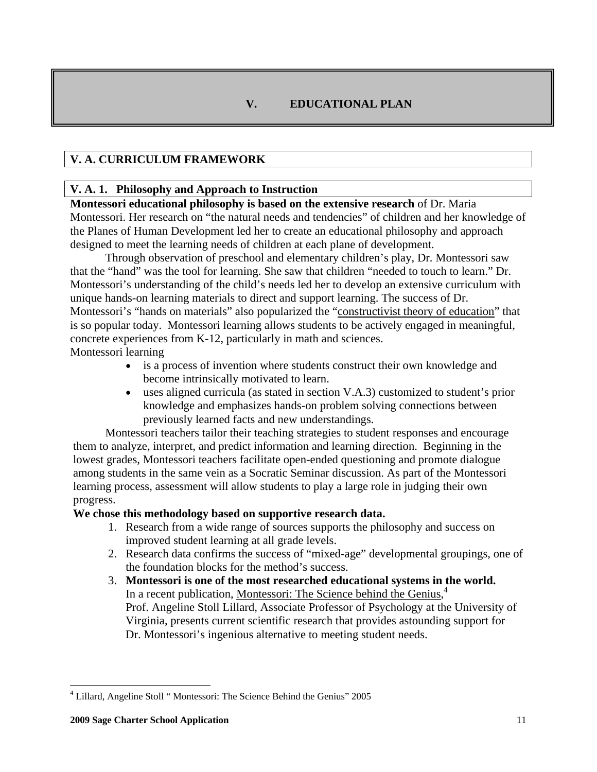# **V. EDUCATIONAL PLAN**

# **V. A. CURRICULUM FRAMEWORK**

## **V. A. 1. Philosophy and Approach to Instruction**

**Montessori educational philosophy is based on the extensive research** of Dr. Maria Montessori. Her research on "the natural needs and tendencies" of children and her knowledge of the Planes of Human Development led her to create an educational philosophy and approach designed to meet the learning needs of children at each plane of development.

 Through observation of preschool and elementary children's play, Dr. Montessori saw that the "hand" was the tool for learning. She saw that children "needed to touch to learn." Dr. Montessori's understanding of the child's needs led her to develop an extensive curriculum with unique hands-on learning materials to direct and support learning. The success of Dr. Montessori's "hands on materials" also popularized the "constructivist theory of education" that is so popular today. Montessori learning allows students to be actively engaged in meaningful, concrete experiences from K-12, particularly in math and sciences. Montessori learning

- is a process of invention where students construct their own knowledge and become intrinsically motivated to learn.
- uses aligned curricula (as stated in section V.A.3) customized to student's prior knowledge and emphasizes hands-on problem solving connections between previously learned facts and new understandings.

 Montessori teachers tailor their teaching strategies to student responses and encourage them to analyze, interpret, and predict information and learning direction. Beginning in the lowest grades, Montessori teachers facilitate open-ended questioning and promote dialogue among students in the same vein as a Socratic Seminar discussion. As part of the Montessori learning process, assessment will allow students to play a large role in judging their own progress.

#### **We chose this methodology based on supportive research data.**

- 1. Research from a wide range of sources supports the philosophy and success on improved student learning at all grade levels.
- 2. Research data confirms the success of "mixed-age" developmental groupings, one of the foundation blocks for the method's success.
- 3. **Montessori is one of the most researched educational systems in the world.**  In a recent publication, Montessori: The Science behind the Genius,<sup>4</sup> Prof. Angeline Stoll Lillard, Associate Professor of Psychology at the University of Virginia, presents current scientific research that provides astounding support for Dr. Montessori's ingenious alternative to meeting student needs.

<u>.</u>

<sup>&</sup>lt;sup>4</sup> Lillard, Angeline Stoll "Montessori: The Science Behind the Genius" 2005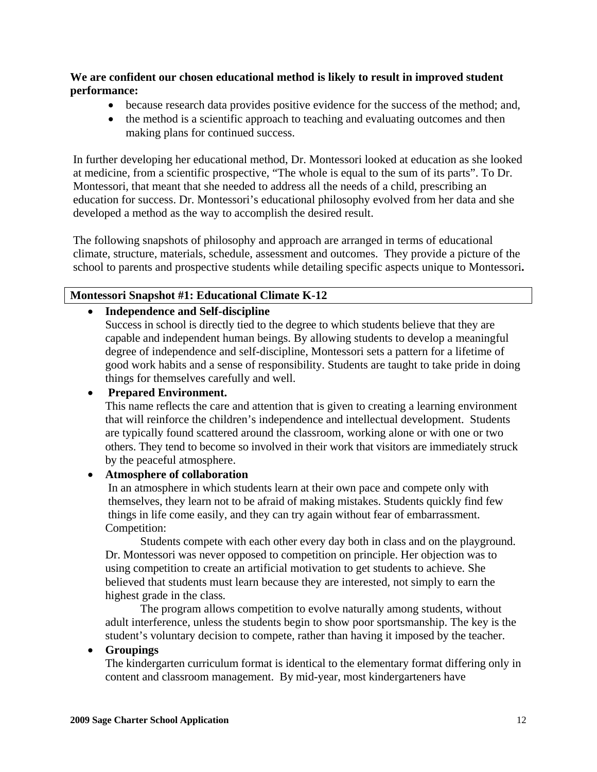**We are confident our chosen educational method is likely to result in improved student performance:**

- because research data provides positive evidence for the success of the method; and,
- the method is a scientific approach to teaching and evaluating outcomes and then making plans for continued success.

In further developing her educational method, Dr. Montessori looked at education as she looked at medicine, from a scientific prospective, "The whole is equal to the sum of its parts". To Dr. Montessori, that meant that she needed to address all the needs of a child, prescribing an education for success. Dr. Montessori's educational philosophy evolved from her data and she developed a method as the way to accomplish the desired result.

The following snapshots of philosophy and approach are arranged in terms of educational climate, structure, materials, schedule, assessment and outcomes. They provide a picture of the school to parents and prospective students while detailing specific aspects unique to Montessori**.**

## **Montessori Snapshot #1: Educational Climate K-12**

#### • **Independence and Self-discipline**

Success in school is directly tied to the degree to which students believe that they are capable and independent human beings. By allowing students to develop a meaningful degree of independence and self-discipline, Montessori sets a pattern for a lifetime of good work habits and a sense of responsibility. Students are taught to take pride in doing things for themselves carefully and well.

## • **Prepared Environment.**

This name reflects the care and attention that is given to creating a learning environment that will reinforce the children's independence and intellectual development. Students are typically found scattered around the classroom, working alone or with one or two others. They tend to become so involved in their work that visitors are immediately struck by the peaceful atmosphere.

#### • **Atmosphere of collaboration**

 In an atmosphere in which students learn at their own pace and compete only with themselves, they learn not to be afraid of making mistakes. Students quickly find few things in life come easily, and they can try again without fear of embarrassment. Competition:

 Students compete with each other every day both in class and on the playground. Dr. Montessori was never opposed to competition on principle. Her objection was to using competition to create an artificial motivation to get students to achieve*.* She believed that students must learn because they are interested, not simply to earn the highest grade in the class*.* 

 The program allows competition to evolve naturally among students, without adult interference, unless the students begin to show poor sportsmanship. The key is the student's voluntary decision to compete, rather than having it imposed by the teacher.

#### • **Groupings**

 The kindergarten curriculum format is identical to the elementary format differing only in content and classroom management. By mid-year, most kindergarteners have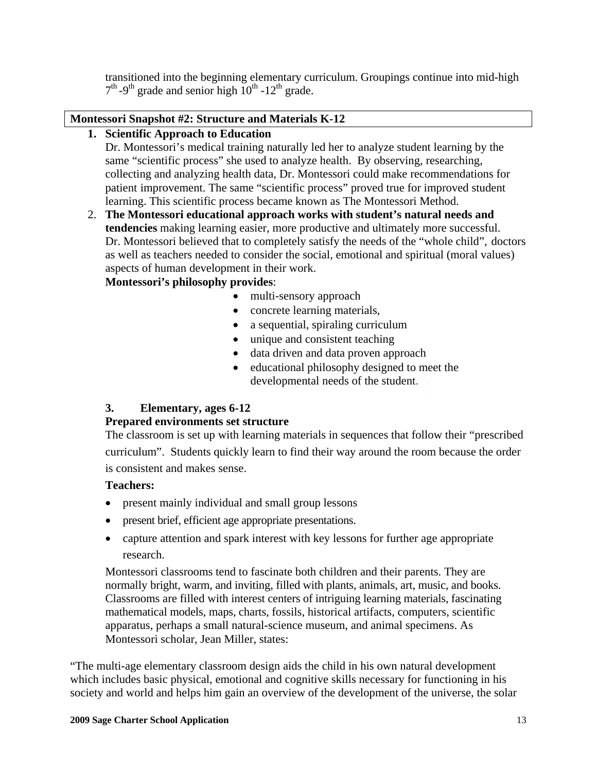transitioned into the beginning elementary curriculum. Groupings continue into mid-high  $7<sup>th</sup>$ -9<sup>th</sup> grade and senior high  $10<sup>th</sup>$ -12<sup>th</sup> grade.

# **Montessori Snapshot #2: Structure and Materials K-12**

# **1. Scientific Approach to Education**

 Dr. Montessori's medical training naturally led her to analyze student learning by the same "scientific process" she used to analyze health. By observing, researching, collecting and analyzing health data, Dr. Montessori could make recommendations for patient improvement. The same "scientific process" proved true for improved student learning. This scientific process became known as The Montessori Method.

2. **The Montessori educational approach works with student's natural needs and tendencies** making learning easier, more productive and ultimately more successful. Dr. Montessori believed that to completely satisfy the needs of the "whole child", doctors as well as teachers needed to consider the social, emotional and spiritual (moral values) aspects of human development in their work.

# **Montessori's philosophy provides**:

- multi-sensory approach
- concrete learning materials,
- a sequential, spiraling curriculum
- unique and consistent teaching
- data driven and data proven approach
- educational philosophy designed to meet the developmental needs of the student.

# **3. Elementary, ages 6-12**

## **Prepared environments set structure**

 The classroom is set up with learning materials in sequences that follow their "prescribed curriculum". Students quickly learn to find their way around the room because the order is consistent and makes sense.

## **Teachers:**

- present mainly individual and small group lessons
- present brief, efficient age appropriate presentations.
- capture attention and spark interest with key lessons for further age appropriate research.

Montessori classrooms tend to fascinate both children and their parents. They are normally bright, warm, and inviting, filled with plants, animals, art, music, and books. Classrooms are filled with interest centers of intriguing learning materials, fascinating mathematical models, maps, charts, fossils, historical artifacts, computers, scientific apparatus, perhaps a small natural-science museum, and animal specimens. As Montessori scholar, Jean Miller, states:

"The multi-age elementary classroom design aids the child in his own natural development which includes basic physical, emotional and cognitive skills necessary for functioning in his society and world and helps him gain an overview of the development of the universe, the solar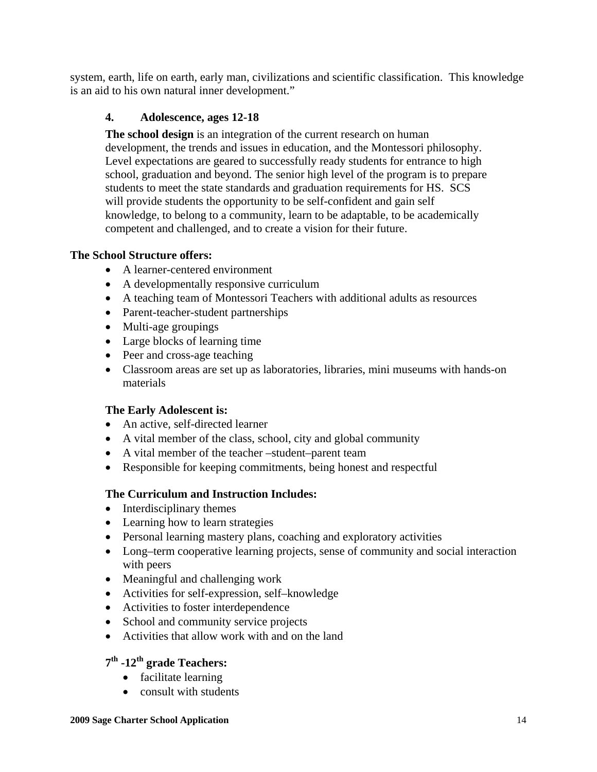system, earth, life on earth, early man, civilizations and scientific classification. This knowledge is an aid to his own natural inner development."

## **4. Adolescence, ages 12-18**

**The school design** is an integration of the current research on human development, the trends and issues in education, and the Montessori philosophy. Level expectations are geared to successfully ready students for entrance to high school, graduation and beyond. The senior high level of the program is to prepare students to meet the state standards and graduation requirements for HS. SCS will provide students the opportunity to be self-confident and gain self knowledge, to belong to a community, learn to be adaptable, to be academically competent and challenged, and to create a vision for their future.

## **The School Structure offers:**

- A learner-centered environment
- A developmentally responsive curriculum
- A teaching team of Montessori Teachers with additional adults as resources
- Parent-teacher-student partnerships
- Multi-age groupings
- Large blocks of learning time
- Peer and cross-age teaching
- Classroom areas are set up as laboratories, libraries, mini museums with hands-on materials

#### **The Early Adolescent is:**

- An active, self-directed learner
- A vital member of the class, school, city and global community
- A vital member of the teacher –student–parent team
- Responsible for keeping commitments, being honest and respectful

## **The Curriculum and Instruction Includes:**

- Interdisciplinary themes
- Learning how to learn strategies
- Personal learning mastery plans, coaching and exploratory activities
- Long–term cooperative learning projects, sense of community and social interaction with peers
- Meaningful and challenging work
- Activities for self-expression, self-knowledge
- Activities to foster interdependence
- School and community service projects
- Activities that allow work with and on the land

# **7th -12th grade Teachers:**

- facilitate learning
- consult with students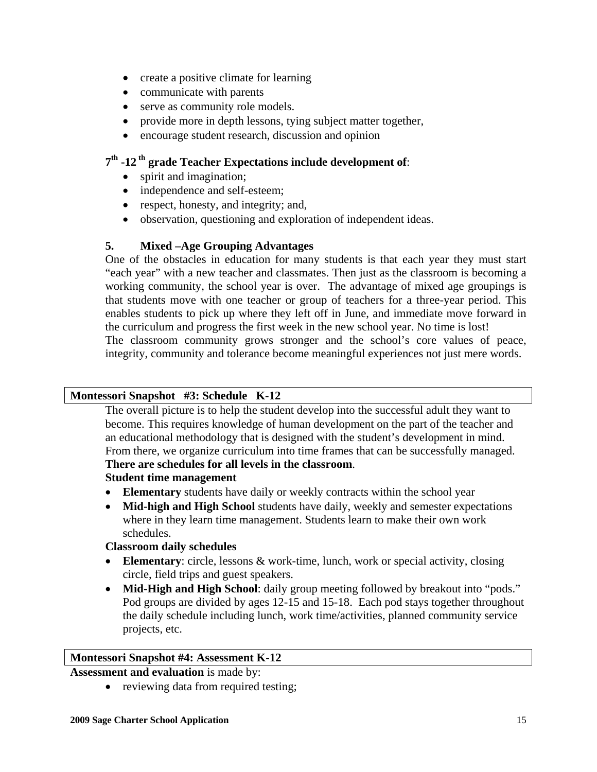- create a positive climate for learning
- communicate with parents
- serve as community role models.
- provide more in depth lessons, tying subject matter together,
- encourage student research, discussion and opinion

# **7th -12 th grade Teacher Expectations include development of**:

- spirit and imagination;
- independence and self-esteem;
- respect, honesty, and integrity; and,
- observation, questioning and exploration of independent ideas.

## **5. Mixed –Age Grouping Advantages**

One of the obstacles in education for many students is that each year they must start "each year" with a new teacher and classmates. Then just as the classroom is becoming a working community, the school year is over. The advantage of mixed age groupings is that students move with one teacher or group of teachers for a three-year period. This enables students to pick up where they left off in June, and immediate move forward in the curriculum and progress the first week in the new school year. No time is lost! The classroom community grows stronger and the school's core values of peace, integrity, community and tolerance become meaningful experiences not just mere words.

## **Montessori Snapshot #3: Schedule K-12**

 The overall picture is to help the student develop into the successful adult they want to become. This requires knowledge of human development on the part of the teacher and an educational methodology that is designed with the student's development in mind. From there, we organize curriculum into time frames that can be successfully managed.  **There are schedules for all levels in the classroom**.

## **Student time management**

- **Elementary** students have daily or weekly contracts within the school year
- **Mid-high and High School** students have daily, weekly and semester expectations where in they learn time management. Students learn to make their own work schedules.

#### **Classroom daily schedules**

- **Elementary**: circle, lessons & work-time, lunch, work or special activity, closing circle, field trips and guest speakers.
- **Mid-High and High School**: daily group meeting followed by breakout into "pods." Pod groups are divided by ages 12-15 and 15-18. Each pod stays together throughout the daily schedule including lunch, work time/activities, planned community service projects, etc.

#### **Montessori Snapshot #4: Assessment K-12**

**Assessment and evaluation** is made by:

• reviewing data from required testing;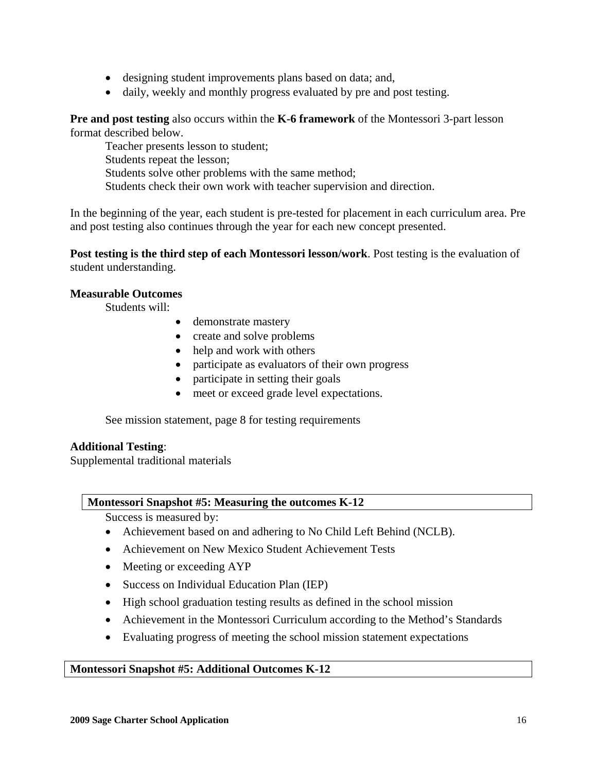- designing student improvements plans based on data; and,
- daily, weekly and monthly progress evaluated by pre and post testing.

**Pre and post testing** also occurs within the **K-6 framework** of the Montessori 3-part lesson format described below.

 Teacher presents lesson to student; Students repeat the lesson; Students solve other problems with the same method; Students check their own work with teacher supervision and direction.

In the beginning of the year, each student is pre-tested for placement in each curriculum area. Pre and post testing also continues through the year for each new concept presented.

**Post testing is the third step of each Montessori lesson/work**. Post testing is the evaluation of student understanding.

#### **Measurable Outcomes**

Students will:

- demonstrate mastery
- create and solve problems
- help and work with others
- participate as evaluators of their own progress
- participate in setting their goals
- meet or exceed grade level expectations.

See mission statement, page 8 for testing requirements

#### **Additional Testing**:

Supplemental traditional materials

#### **Montessori Snapshot #5: Measuring the outcomes K-12**

Success is measured by:

- Achievement based on and adhering to No Child Left Behind (NCLB).
- Achievement on New Mexico Student Achievement Tests
- Meeting or exceeding AYP
- Success on Individual Education Plan (IEP)
- High school graduation testing results as defined in the school mission
- Achievement in the Montessori Curriculum according to the Method's Standards
- Evaluating progress of meeting the school mission statement expectations

#### **Montessori Snapshot #5: Additional Outcomes K-12**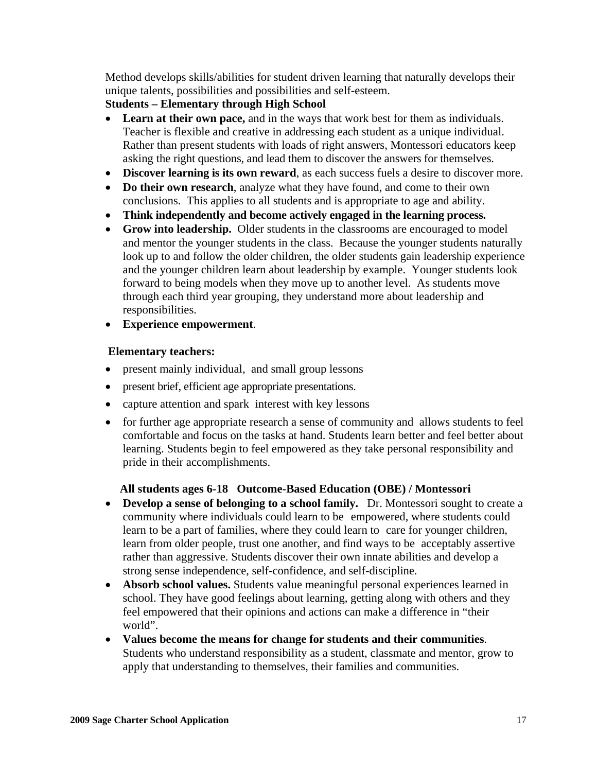Method develops skills/abilities for student driven learning that naturally develops their unique talents, possibilities and possibilities and self-esteem.

# **Students – Elementary through High School**

- **Learn at their own pace,** and in the ways that work best for them as individuals. Teacher is flexible and creative in addressing each student as a unique individual. Rather than present students with loads of right answers, Montessori educators keep asking the right questions, and lead them to discover the answers for themselves.
- **Discover learning is its own reward**, as each success fuels a desire to discover more.
- **Do their own research**, analyze what they have found, and come to their own conclusions. This applies to all students and is appropriate to age and ability.
- **Think independently and become actively engaged in the learning process.**
- **Grow into leadership.** Older students in the classrooms are encouraged to model and mentor the younger students in the class. Because the younger students naturally look up to and follow the older children, the older students gain leadership experience and the younger children learn about leadership by example. Younger students look forward to being models when they move up to another level. As students move through each third year grouping, they understand more about leadership and responsibilities.
- **Experience empowerment**.

# **Elementary teachers:**

- present mainly individual, and small group lessons
- present brief, efficient age appropriate presentations.
- capture attention and spark interest with key lessons
- for further age appropriate research a sense of community and allows students to feel comfortable and focus on the tasks at hand. Students learn better and feel better about learning. Students begin to feel empowered as they take personal responsibility and pride in their accomplishments.

# **All students ages 6-18 Outcome-Based Education (OBE) / Montessori**

- **Develop a sense of belonging to a school family.** Dr. Montessori sought to create a community where individuals could learn to be empowered, where students could learn to be a part of families, where they could learn to care for younger children, learn from older people, trust one another, and find ways to be acceptably assertive rather than aggressive. Students discover their own innate abilities and develop a strong sense independence, self-confidence, and self-discipline.
- **Absorb school values.** Students value meaningful personal experiences learned in school. They have good feelings about learning, getting along with others and they feel empowered that their opinions and actions can make a difference in "their world".
- **Values become the means for change for students and their communities**. Students who understand responsibility as a student, classmate and mentor, grow to apply that understanding to themselves, their families and communities.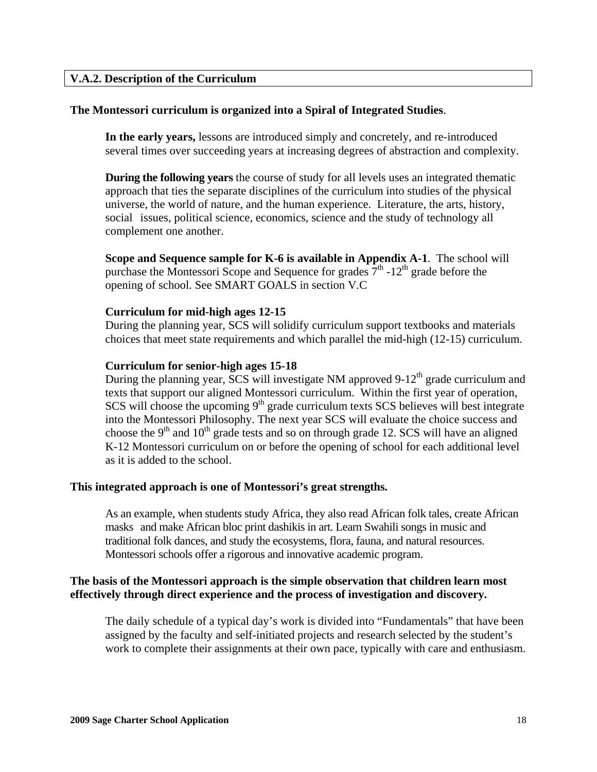#### **V.A.2. Description of the Curriculum**

#### **The Montessori curriculum is organized into a Spiral of Integrated Studies**.

**In the early years,** lessons are introduced simply and concretely, and re-introduced several times over succeeding years at increasing degrees of abstraction and complexity.

 **During the following years** the course of study for all levels uses an integrated thematic approach that ties the separate disciplines of the curriculum into studies of the physical universe, the world of nature, and the human experience. Literature, the arts, history, social issues, political science, economics, science and the study of technology all complement one another.

**Scope and Sequence sample for K-6 is available in Appendix A-1**. The school will purchase the Montessori Scope and Sequence for grades  $7<sup>th</sup>$  -12<sup>th</sup> grade before the opening of school. See SMART GOALS in section V.C

#### **Curriculum for mid-high ages 12-15**

During the planning year, SCS will solidify curriculum support textbooks and materials choices that meet state requirements and which parallel the mid-high (12-15) curriculum.

#### **Curriculum for senior-high ages 15-18**

During the planning year, SCS will investigate NM approved 9-12<sup>th</sup> grade curriculum and texts that support our aligned Montessori curriculum. Within the first year of operation,  $SCS$  will choose the upcoming  $9<sup>th</sup>$  grade curriculum texts  $SCS$  believes will best integrate into the Montessori Philosophy. The next year SCS will evaluate the choice success and choose the  $9<sup>th</sup>$  and  $10<sup>th</sup>$  grade tests and so on through grade 12. SCS will have an aligned K-12 Montessori curriculum on or before the opening of school for each additional level as it is added to the school.

#### **This integrated approach is one of Montessori's great strengths.**

 As an example, when students study Africa, they also read African folk tales, create African masks and make African bloc print dashikis in art. Learn Swahili songs in music and traditional folk dances, and study the ecosystems, flora, fauna, and natural resources. Montessori schools offer a rigorous and innovative academic program.

#### **The basis of the Montessori approach is the simple observation that children learn most effectively through direct experience and the process of investigation and discovery.**

The daily schedule of a typical day's work is divided into "Fundamentals" that have been assigned by the faculty and self-initiated projects and research selected by the student's work to complete their assignments at their own pace, typically with care and enthusiasm.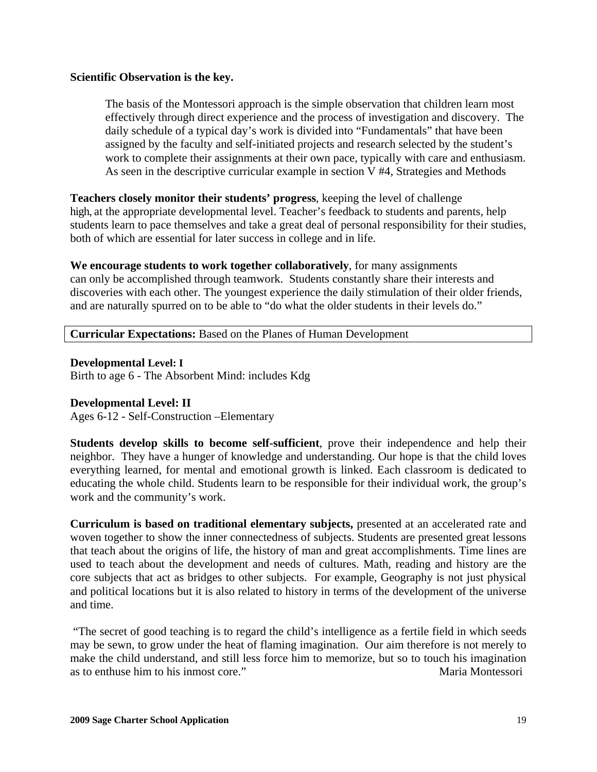#### **Scientific Observation is the key.**

The basis of the Montessori approach is the simple observation that children learn most effectively through direct experience and the process of investigation and discovery. The daily schedule of a typical day's work is divided into "Fundamentals" that have been assigned by the faculty and self-initiated projects and research selected by the student's work to complete their assignments at their own pace, typically with care and enthusiasm. As seen in the descriptive curricular example in section V #4, Strategies and Methods

**Teachers closely monitor their students' progress**, keeping the level of challenge high, at the appropriate developmental level. Teacher's feedback to students and parents, help students learn to pace themselves and take a great deal of personal responsibility for their studies, both of which are essential for later success in college and in life.

**We encourage students to work together collaboratively**, for many assignments can only be accomplished through teamwork. Students constantly share their interests and discoveries with each other. The youngest experience the daily stimulation of their older friends, and are naturally spurred on to be able to "do what the older students in their levels do."

**Curricular Expectations:** Based on the Planes of Human Development

#### **Developmental Level: I**

Birth to age 6 - The Absorbent Mind: includes Kdg

#### **Developmental Level: II**

Ages 6-12 - Self-Construction –Elementary

**Students develop skills to become self-sufficient**, prove their independence and help their neighbor. They have a hunger of knowledge and understanding. Our hope is that the child loves everything learned, for mental and emotional growth is linked. Each classroom is dedicated to educating the whole child. Students learn to be responsible for their individual work, the group's work and the community's work.

**Curriculum is based on traditional elementary subjects,** presented at an accelerated rate and woven together to show the inner connectedness of subjects. Students are presented great lessons that teach about the origins of life, the history of man and great accomplishments. Time lines are used to teach about the development and needs of cultures. Math, reading and history are the core subjects that act as bridges to other subjects. For example, Geography is not just physical and political locations but it is also related to history in terms of the development of the universe and time.

 "The secret of good teaching is to regard the child's intelligence as a fertile field in which seeds may be sewn, to grow under the heat of flaming imagination. Our aim therefore is not merely to make the child understand, and still less force him to memorize, but so to touch his imagination as to enthuse him to his inmost core." The contract of the matrix of the Maria Montessori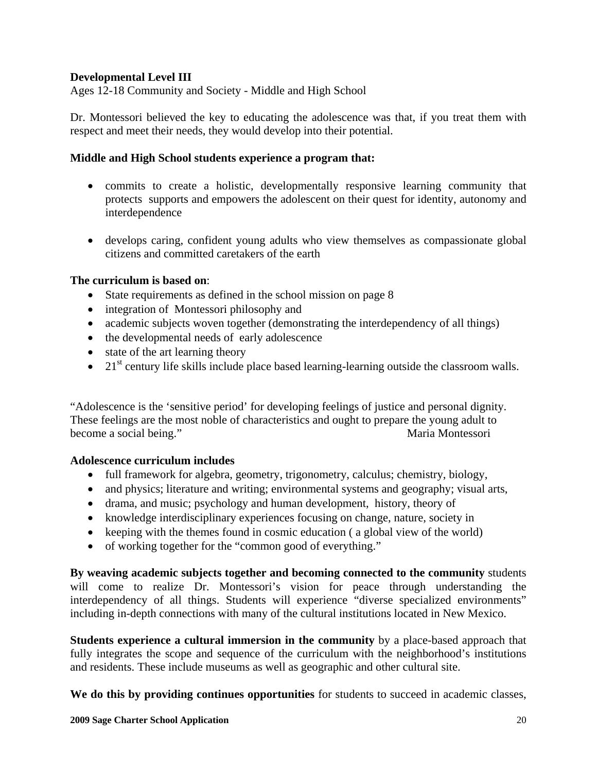## **Developmental Level III**

Ages 12-18 Community and Society - Middle and High School

Dr. Montessori believed the key to educating the adolescence was that, if you treat them with respect and meet their needs, they would develop into their potential.

#### **Middle and High School students experience a program that:**

- commits to create a holistic, developmentally responsive learning community that protects supports and empowers the adolescent on their quest for identity, autonomy and interdependence
- develops caring, confident young adults who view themselves as compassionate global citizens and committed caretakers of the earth

#### **The curriculum is based on**:

- State requirements as defined in the school mission on page 8
- integration of Montessori philosophy and
- academic subjects woven together (demonstrating the interdependency of all things)
- the developmental needs of early adolescence
- state of the art learning theory
- 21<sup>st</sup> century life skills include place based learning-learning outside the classroom walls.

"Adolescence is the 'sensitive period' for developing feelings of justice and personal dignity. These feelings are the most noble of characteristics and ought to prepare the young adult to become a social being." Naria Montessori

#### **Adolescence curriculum includes**

- full framework for algebra, geometry, trigonometry, calculus; chemistry, biology,
- and physics; literature and writing; environmental systems and geography; visual arts,
- drama, and music; psychology and human development, history, theory of
- knowledge interdisciplinary experiences focusing on change, nature, society in
- keeping with the themes found in cosmic education (a global view of the world)
- of working together for the "common good of everything."

**By weaving academic subjects together and becoming connected to the community** students will come to realize Dr. Montessori's vision for peace through understanding the interdependency of all things. Students will experience "diverse specialized environments" including in-depth connections with many of the cultural institutions located in New Mexico.

**Students experience a cultural immersion in the community** by a place-based approach that fully integrates the scope and sequence of the curriculum with the neighborhood's institutions and residents. These include museums as well as geographic and other cultural site.

**We do this by providing continues opportunities** for students to succeed in academic classes,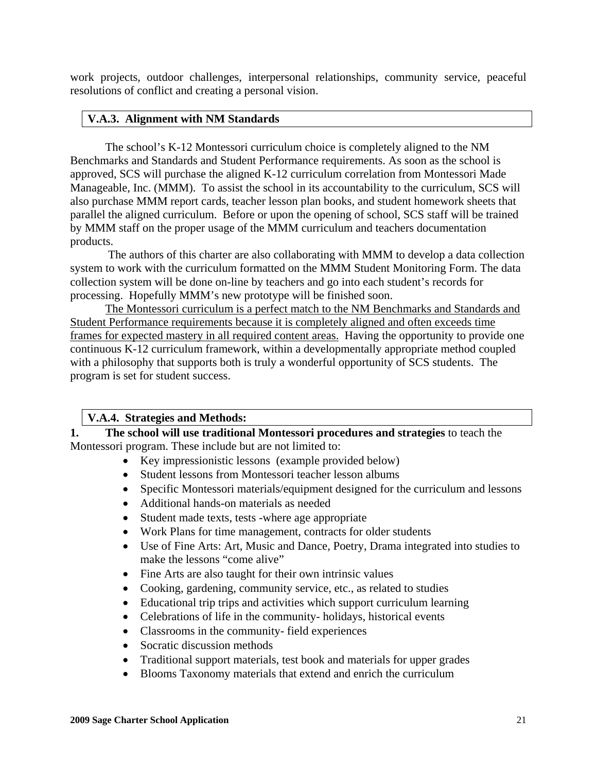work projects, outdoor challenges, interpersonal relationships, community service, peaceful resolutions of conflict and creating a personal vision.

#### **V.A.3. Alignment with NM Standards**

 The school's K-12 Montessori curriculum choice is completely aligned to the NM Benchmarks and Standards and Student Performance requirements. As soon as the school is approved, SCS will purchase the aligned K-12 curriculum correlation from Montessori Made Manageable, Inc. (MMM). To assist the school in its accountability to the curriculum, SCS will also purchase MMM report cards, teacher lesson plan books, and student homework sheets that parallel the aligned curriculum. Before or upon the opening of school, SCS staff will be trained by MMM staff on the proper usage of the MMM curriculum and teachers documentation products.

 The authors of this charter are also collaborating with MMM to develop a data collection system to work with the curriculum formatted on the MMM Student Monitoring Form. The data collection system will be done on-line by teachers and go into each student's records for processing. Hopefully MMM's new prototype will be finished soon.

 The Montessori curriculum is a perfect match to the NM Benchmarks and Standards and Student Performance requirements because it is completely aligned and often exceeds time frames for expected mastery in all required content areas. Having the opportunity to provide one continuous K-12 curriculum framework, within a developmentally appropriate method coupled with a philosophy that supports both is truly a wonderful opportunity of SCS students. The program is set for student success.

#### **V.A.4. Strategies and Methods:**

**1. The school will use traditional Montessori procedures and strategies** to teach the Montessori program. These include but are not limited to:

- Key impressionistic lessons (example provided below)
- Student lessons from Montessori teacher lesson albums
- Specific Montessori materials/equipment designed for the curriculum and lessons
- Additional hands-on materials as needed
- Student made texts, tests -where age appropriate
- Work Plans for time management, contracts for older students
- Use of Fine Arts: Art, Music and Dance, Poetry, Drama integrated into studies to make the lessons "come alive"
- Fine Arts are also taught for their own intrinsic values
- Cooking, gardening, community service, etc., as related to studies
- Educational trip trips and activities which support curriculum learning
- Celebrations of life in the community- holidays, historical events
- Classrooms in the community- field experiences
- Socratic discussion methods
- Traditional support materials, test book and materials for upper grades
- Blooms Taxonomy materials that extend and enrich the curriculum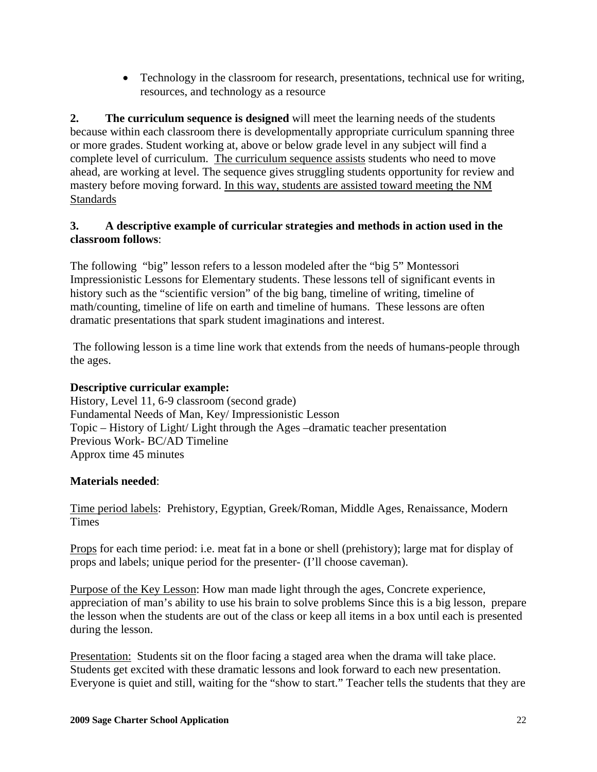• Technology in the classroom for research, presentations, technical use for writing, resources, and technology as a resource

**2. The curriculum sequence is designed** will meet the learning needs of the students because within each classroom there is developmentally appropriate curriculum spanning three or more grades. Student working at, above or below grade level in any subject will find a complete level of curriculum. The curriculum sequence assists students who need to move ahead, are working at level. The sequence gives struggling students opportunity for review and mastery before moving forward. In this way, students are assisted toward meeting the NM **Standards** 

# **3. A descriptive example of curricular strategies and methods in action used in the classroom follows**:

The following "big" lesson refers to a lesson modeled after the "big 5" Montessori Impressionistic Lessons for Elementary students. These lessons tell of significant events in history such as the "scientific version" of the big bang, timeline of writing, timeline of math/counting, timeline of life on earth and timeline of humans. These lessons are often dramatic presentations that spark student imaginations and interest.

 The following lesson is a time line work that extends from the needs of humans-people through the ages.

## **Descriptive curricular example:**

History, Level 11, 6-9 classroom (second grade) Fundamental Needs of Man, Key/ Impressionistic Lesson Topic – History of Light/ Light through the Ages –dramatic teacher presentation Previous Work- BC/AD Timeline Approx time 45 minutes

## **Materials needed**:

Time period labels: Prehistory, Egyptian, Greek/Roman, Middle Ages, Renaissance, Modern **Times** 

Props for each time period: i.e. meat fat in a bone or shell (prehistory); large mat for display of props and labels; unique period for the presenter- (I'll choose caveman).

Purpose of the Key Lesson: How man made light through the ages, Concrete experience, appreciation of man's ability to use his brain to solve problems Since this is a big lesson, prepare the lesson when the students are out of the class or keep all items in a box until each is presented during the lesson.

Presentation: Students sit on the floor facing a staged area when the drama will take place. Students get excited with these dramatic lessons and look forward to each new presentation. Everyone is quiet and still, waiting for the "show to start." Teacher tells the students that they are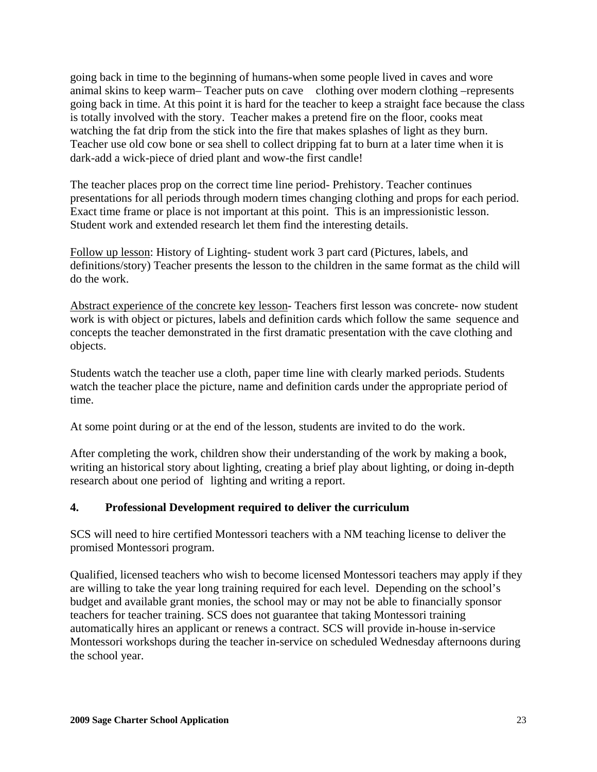going back in time to the beginning of humans-when some people lived in caves and wore animal skins to keep warm– Teacher puts on cave clothing over modern clothing –represents going back in time. At this point it is hard for the teacher to keep a straight face because the class is totally involved with the story. Teacher makes a pretend fire on the floor, cooks meat watching the fat drip from the stick into the fire that makes splashes of light as they burn. Teacher use old cow bone or sea shell to collect dripping fat to burn at a later time when it is dark-add a wick-piece of dried plant and wow-the first candle!

The teacher places prop on the correct time line period- Prehistory. Teacher continues presentations for all periods through modern times changing clothing and props for each period. Exact time frame or place is not important at this point. This is an impressionistic lesson. Student work and extended research let them find the interesting details.

Follow up lesson: History of Lighting- student work 3 part card (Pictures, labels, and definitions/story) Teacher presents the lesson to the children in the same format as the child will do the work.

Abstract experience of the concrete key lesson- Teachers first lesson was concrete- now student work is with object or pictures, labels and definition cards which follow the same sequence and concepts the teacher demonstrated in the first dramatic presentation with the cave clothing and objects.

Students watch the teacher use a cloth, paper time line with clearly marked periods. Students watch the teacher place the picture, name and definition cards under the appropriate period of time.

At some point during or at the end of the lesson, students are invited to do the work.

After completing the work, children show their understanding of the work by making a book, writing an historical story about lighting, creating a brief play about lighting, or doing in-depth research about one period of lighting and writing a report.

## **4. Professional Development required to deliver the curriculum**

SCS will need to hire certified Montessori teachers with a NM teaching license to deliver the promised Montessori program.

Qualified, licensed teachers who wish to become licensed Montessori teachers may apply if they are willing to take the year long training required for each level. Depending on the school's budget and available grant monies, the school may or may not be able to financially sponsor teachers for teacher training. SCS does not guarantee that taking Montessori training automatically hires an applicant or renews a contract. SCS will provide in-house in-service Montessori workshops during the teacher in-service on scheduled Wednesday afternoons during the school year.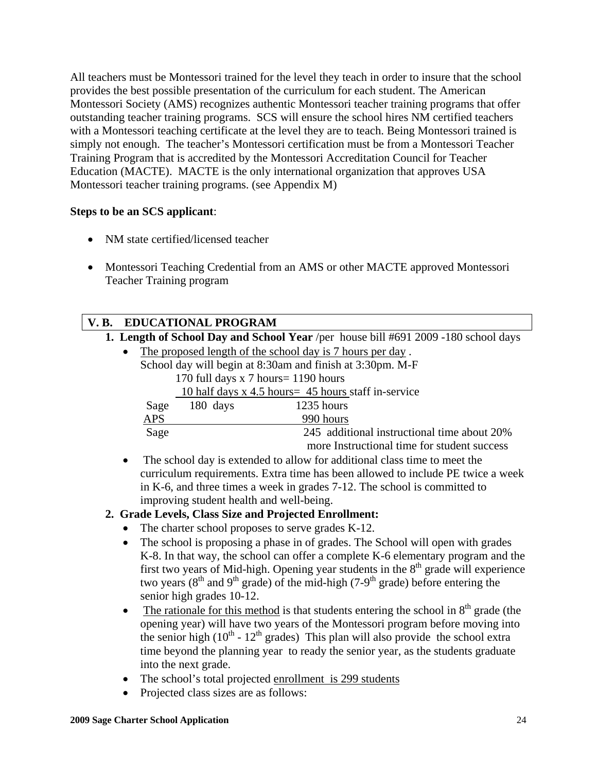All teachers must be Montessori trained for the level they teach in order to insure that the school provides the best possible presentation of the curriculum for each student. The American Montessori Society (AMS) recognizes authentic Montessori teacher training programs that offer outstanding teacher training programs. SCS will ensure the school hires NM certified teachers with a Montessori teaching certificate at the level they are to teach. Being Montessori trained is simply not enough. The teacher's Montessori certification must be from a Montessori Teacher Training Program that is accredited by the Montessori Accreditation Council for Teacher Education (MACTE). MACTE is the only international organization that approves USA Montessori teacher training programs. (see Appendix M)

## **Steps to be an SCS applicant**:

- NM state certified/licensed teacher
- Montessori Teaching Credential from an AMS or other MACTE approved Montessori Teacher Training program

# **V. B. EDUCATIONAL PROGRAM**

**1. Length of School Day and School Year** /per house bill #691 2009 -180 school days

The proposed length of the school day is 7 hours per day. School day will begin at 8:30am and finish at 3:30pm. M-F 170 full days x 7 hours= 1190 hours 10 half days x 4.5 hours= 45 hours staff in-service

| Sage | 180 days | 1235 hours                                  |
|------|----------|---------------------------------------------|
| APS  |          | 990 hours                                   |
| Sage |          | 245 additional instructional time about 20% |
|      |          | more Instructional time for student success |

• The school day is extended to allow for additional class time to meet the curriculum requirements. Extra time has been allowed to include PE twice a week in K-6, and three times a week in grades 7-12. The school is committed to improving student health and well-being.

## **2. Grade Levels, Class Size and Projected Enrollment:**

- The charter school proposes to serve grades K-12.
- The school is proposing a phase in of grades. The School will open with grades K-8. In that way, the school can offer a complete K-6 elementary program and the first two years of Mid-high. Opening year students in the  $8<sup>th</sup>$  grade will experience two years ( $8<sup>th</sup>$  and  $9<sup>th</sup>$  grade) of the mid-high (7-9<sup>th</sup> grade) before entering the senior high grades 10-12.
- The rationale for this method is that students entering the school in  $8<sup>th</sup>$  grade (the opening year) will have two years of the Montessori program before moving into the senior high ( $10^{th}$  -  $12^{th}$  grades) This plan will also provide the school extra time beyond the planning year to ready the senior year, as the students graduate into the next grade.
- The school's total projected enrollment is 299 students
- Projected class sizes are as follows: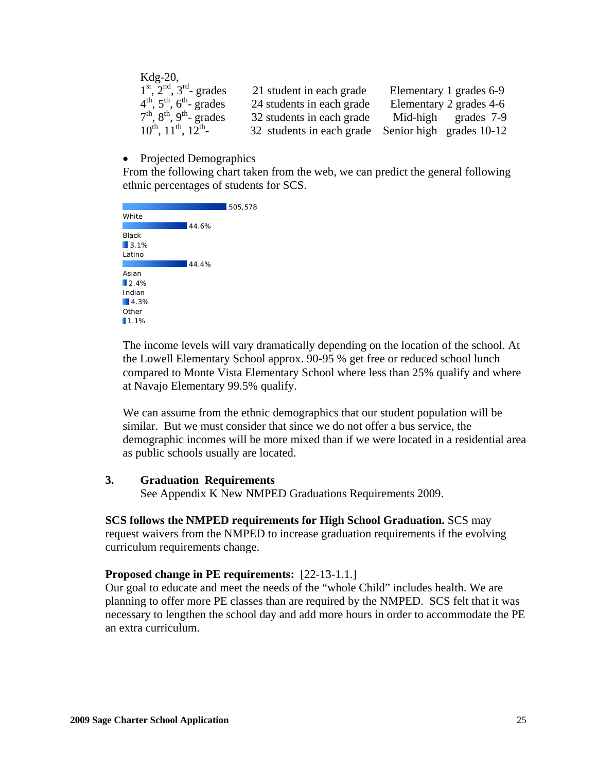| $Kdg-20$ ,                        |                           |                                                    |
|-----------------------------------|---------------------------|----------------------------------------------------|
| $1st$ , $2nd$ , $3rd$ - grades    | 21 student in each grade  | Elementary 1 grades 6-9                            |
| $4th$ , $5th$ , $6th$ - grades    | 24 students in each grade | Elementary 2 grades 4-6                            |
| $7th$ , $8th$ , $9th$ - grades    | 32 students in each grade | Mid-high grades 7-9                                |
| $10^{th}$ , $11^{th}$ , $12^{th}$ |                           | 32 students in each grade Senior high grades 10-12 |

#### • Projected Demographics

From the following chart taken from the web, we can predict the general following ethnic percentages of students for SCS.

|              |       | 505,578 |
|--------------|-------|---------|
| White        |       |         |
|              | 44.6% |         |
| <b>Black</b> |       |         |
| 13.1%        |       |         |
| Latino       |       |         |
|              | 44.4% |         |
| Asian        |       |         |
| 12.4%        |       |         |
| Indian       |       |         |
| 4.3%         |       |         |
| Other        |       |         |
| 1.1%         |       |         |

The income levels will vary dramatically depending on the location of the school. At the Lowell Elementary School approx. 90-95 % get free or reduced school lunch compared to Monte Vista Elementary School where less than 25% qualify and where at Navajo Elementary 99.5% qualify.

We can assume from the ethnic demographics that our student population will be similar. But we must consider that since we do not offer a bus service, the demographic incomes will be more mixed than if we were located in a residential area as public schools usually are located.

#### **3. Graduation Requirements**

See Appendix K New NMPED Graduations Requirements 2009.

#### **SCS follows the NMPED requirements for High School Graduation.** SCS may

 request waivers from the NMPED to increase graduation requirements if the evolving curriculum requirements change.

#### **Proposed change in PE requirements:** [22-13-1.1.]

 Our goal to educate and meet the needs of the "whole Child" includes health. We are planning to offer more PE classes than are required by the NMPED. SCS felt that it was necessary to lengthen the school day and add more hours in order to accommodate the PE an extra curriculum.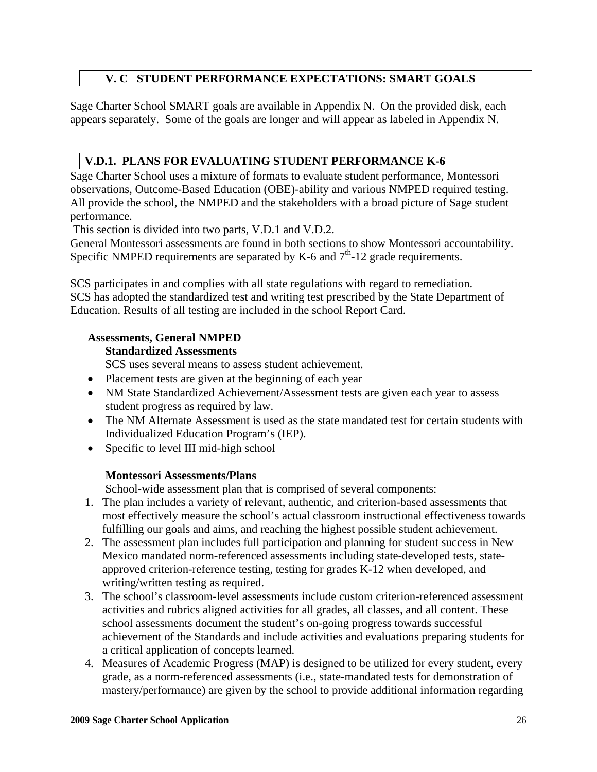# **V. C STUDENT PERFORMANCE EXPECTATIONS: SMART GOALS**

Sage Charter School SMART goals are available in Appendix N. On the provided disk, each appears separately. Some of the goals are longer and will appear as labeled in Appendix N.

# **V.D.1. PLANS FOR EVALUATING STUDENT PERFORMANCE K-6**

Sage Charter School uses a mixture of formats to evaluate student performance, Montessori observations, Outcome-Based Education (OBE)-ability and various NMPED required testing. All provide the school, the NMPED and the stakeholders with a broad picture of Sage student performance.

This section is divided into two parts, V.D.1 and V.D.2.

General Montessori assessments are found in both sections to show Montessori accountability. Specific NMPED requirements are separated by K-6 and  $7<sup>th</sup>$ -12 grade requirements.

SCS participates in and complies with all state regulations with regard to remediation. SCS has adopted the standardized test and writing test prescribed by the State Department of Education. Results of all testing are included in the school Report Card.

## **Assessments, General NMPED**

#### **Standardized Assessments**

SCS uses several means to assess student achievement.

- Placement tests are given at the beginning of each year
- NM State Standardized Achievement/Assessment tests are given each year to assess student progress as required by law.
- The NM Alternate Assessment is used as the state mandated test for certain students with Individualized Education Program's (IEP).
- Specific to level III mid-high school

#### **Montessori Assessments/Plans**

School-wide assessment plan that is comprised of several components:

- 1. The plan includes a variety of relevant, authentic, and criterion-based assessments that most effectively measure the school's actual classroom instructional effectiveness towards fulfilling our goals and aims, and reaching the highest possible student achievement.
- 2. The assessment plan includes full participation and planning for student success in New Mexico mandated norm-referenced assessments including state-developed tests, stateapproved criterion-reference testing, testing for grades K-12 when developed, and writing/written testing as required.
- 3. The school's classroom-level assessments include custom criterion-referenced assessment activities and rubrics aligned activities for all grades, all classes, and all content. These school assessments document the student's on-going progress towards successful achievement of the Standards and include activities and evaluations preparing students for a critical application of concepts learned.
- 4. Measures of Academic Progress (MAP) is designed to be utilized for every student, every grade, as a norm-referenced assessments (i.e., state-mandated tests for demonstration of mastery/performance) are given by the school to provide additional information regarding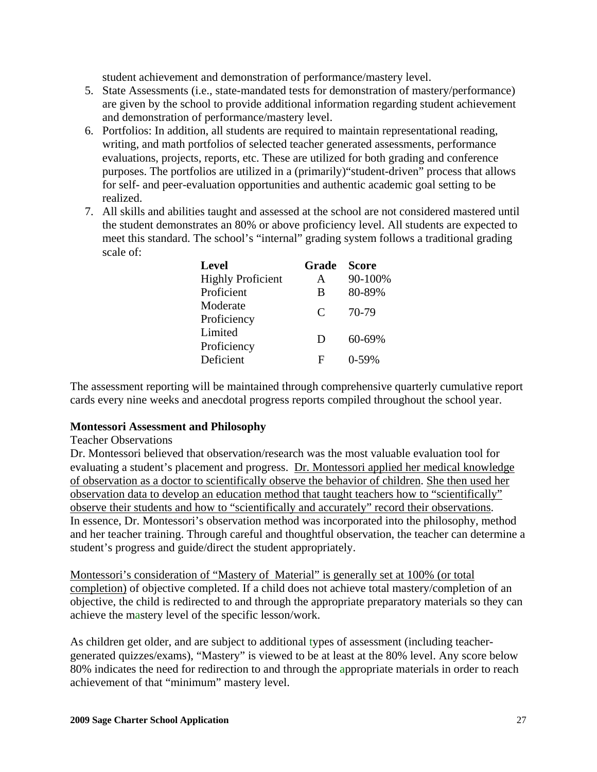student achievement and demonstration of performance/mastery level.

- 5. State Assessments (i.e., state-mandated tests for demonstration of mastery/performance) are given by the school to provide additional information regarding student achievement and demonstration of performance/mastery level.
- 6. Portfolios: In addition, all students are required to maintain representational reading, writing, and math portfolios of selected teacher generated assessments, performance evaluations, projects, reports, etc. These are utilized for both grading and conference purposes. The portfolios are utilized in a (primarily)"student-driven" process that allows for self- and peer-evaluation opportunities and authentic academic goal setting to be realized.
- 7. All skills and abilities taught and assessed at the school are not considered mastered until the student demonstrates an 80% or above proficiency level. All students are expected to meet this standard. The school's "internal" grading system follows a traditional grading scale of:

| <b>Level</b>             | Grade | <b>Score</b> |
|--------------------------|-------|--------------|
| <b>Highly Proficient</b> | A     | 90-100%      |
| Proficient               | B     | 80-89%       |
| Moderate                 | C     | 70-79        |
| Proficiency              |       |              |
| Limited                  | D     | $60 - 69\%$  |
| Proficiency              |       |              |
| Deficient                | F     | $0-59%$      |

The assessment reporting will be maintained through comprehensive quarterly cumulative report cards every nine weeks and anecdotal progress reports compiled throughout the school year.

#### **Montessori Assessment and Philosophy**

#### Teacher Observations

Dr. Montessori believed that observation/research was the most valuable evaluation tool for evaluating a student's placement and progress. Dr. Montessori applied her medical knowledge of observation as a doctor to scientifically observe the behavior of children. She then used her observation data to develop an education method that taught teachers how to "scientifically" observe their students and how to "scientifically and accurately" record their observations. In essence, Dr. Montessori's observation method was incorporated into the philosophy, method and her teacher training. Through careful and thoughtful observation, the teacher can determine a student's progress and guide/direct the student appropriately.

Montessori's consideration of "Mastery of Material" is generally set at 100% (or total completion) of objective completed. If a child does not achieve total mastery/completion of an objective, the child is redirected to and through the appropriate preparatory materials so they can achieve the mastery level of the specific lesson/work.

As children get older, and are subject to additional types of assessment (including teachergenerated quizzes/exams), "Mastery" is viewed to be at least at the 80% level. Any score below 80% indicates the need for redirection to and through the appropriate materials in order to reach achievement of that "minimum" mastery level.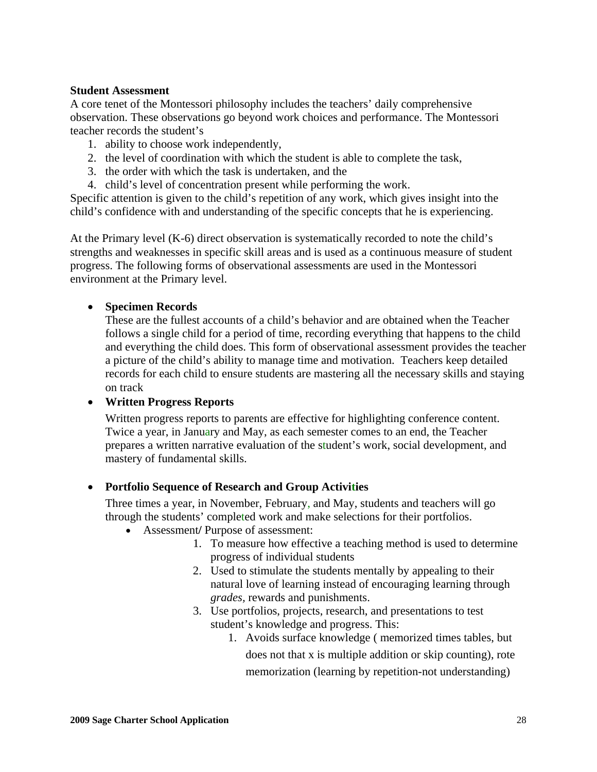#### **Student Assessment**

A core tenet of the Montessori philosophy includes the teachers' daily comprehensive observation. These observations go beyond work choices and performance. The Montessori teacher records the student's

- 1. ability to choose work independently,
- 2. the level of coordination with which the student is able to complete the task,
- 3. the order with which the task is undertaken, and the
- 4. child's level of concentration present while performing the work.

Specific attention is given to the child's repetition of any work, which gives insight into the child's confidence with and understanding of the specific concepts that he is experiencing.

At the Primary level (K-6) direct observation is systematically recorded to note the child's strengths and weaknesses in specific skill areas and is used as a continuous measure of student progress. The following forms of observational assessments are used in the Montessori environment at the Primary level.

#### • **Specimen Records**

These are the fullest accounts of a child's behavior and are obtained when the Teacher follows a single child for a period of time, recording everything that happens to the child and everything the child does. This form of observational assessment provides the teacher a picture of the child's ability to manage time and motivation. Teachers keep detailed records for each child to ensure students are mastering all the necessary skills and staying on track

#### • **Written Progress Reports**

 Written progress reports to parents are effective for highlighting conference content. Twice a year, in January and May, as each semester comes to an end, the Teacher prepares a written narrative evaluation of the student's work, social development, and mastery of fundamental skills.

#### • **Portfolio Sequence of Research and Group Activities**

 Three times a year, in November, February, and May, students and teachers will go through the students' completed work and make selections for their portfolios.

- Assessment**/** Purpose of assessment:
	- 1. To measure how effective a teaching method is used to determine progress of individual students
	- 2. Used to stimulate the students mentally by appealing to their natural love of learning instead of encouraging learning through *grades,* rewards and punishments.
	- 3. Use portfolios, projects, research, and presentations to test student's knowledge and progress. This:
		- 1. Avoids surface knowledge ( memorized times tables, but does not that x is multiple addition or skip counting), rote memorization (learning by repetition-not understanding)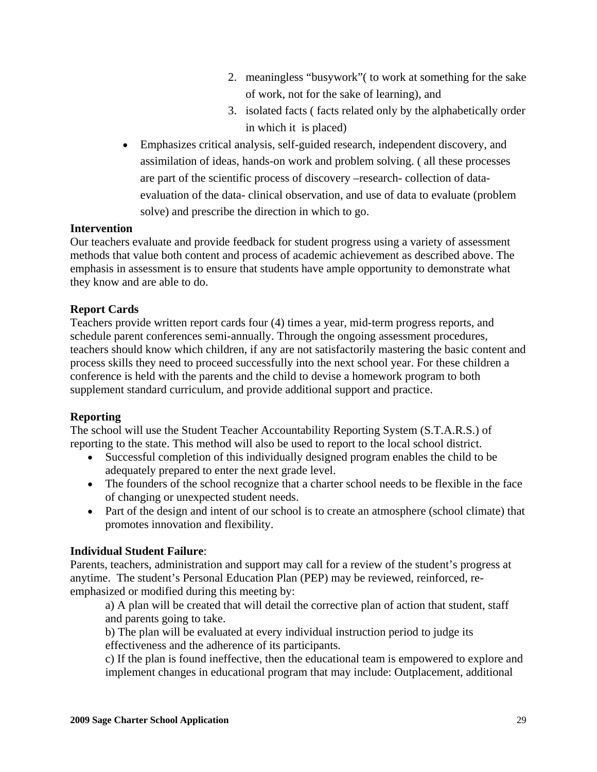- 2. meaningless "busywork"( to work at something for the sake of work, not for the sake of learning), and
- 3. isolated facts ( facts related only by the alphabetically order in which it is placed)
- Emphasizes critical analysis, self-guided research, independent discovery, and assimilation of ideas, hands-on work and problem solving. ( all these processes are part of the scientific process of discovery –research- collection of dataevaluation of the data- clinical observation, and use of data to evaluate (problem solve) and prescribe the direction in which to go.

#### **Intervention**

Our teachers evaluate and provide feedback for student progress using a variety of assessment methods that value both content and process of academic achievement as described above. The emphasis in assessment is to ensure that students have ample opportunity to demonstrate what they know and are able to do.

## **Report Cards**

Teachers provide written report cards four (4) times a year, mid-term progress reports, and schedule parent conferences semi-annually. Through the ongoing assessment procedures, teachers should know which children, if any are not satisfactorily mastering the basic content and process skills they need to proceed successfully into the next school year. For these children a conference is held with the parents and the child to devise a homework program to both supplement standard curriculum, and provide additional support and practice.

#### **Reporting**

The school will use the Student Teacher Accountability Reporting System (S.T.A.R.S.) of reporting to the state. This method will also be used to report to the local school district.

- Successful completion of this individually designed program enables the child to be adequately prepared to enter the next grade level.
- The founders of the school recognize that a charter school needs to be flexible in the face of changing or unexpected student needs.
- Part of the design and intent of our school is to create an atmosphere (school climate) that promotes innovation and flexibility.

#### **Individual Student Failure**:

Parents, teachers, administration and support may call for a review of the student's progress at anytime. The student's Personal Education Plan (PEP) may be reviewed, reinforced, reemphasized or modified during this meeting by:

a) A plan will be created that will detail the corrective plan of action that student, staff and parents going to take.

b) The plan will be evaluated at every individual instruction period to judge its effectiveness and the adherence of its participants.

c) If the plan is found ineffective, then the educational team is empowered to explore and implement changes in educational program that may include: Outplacement, additional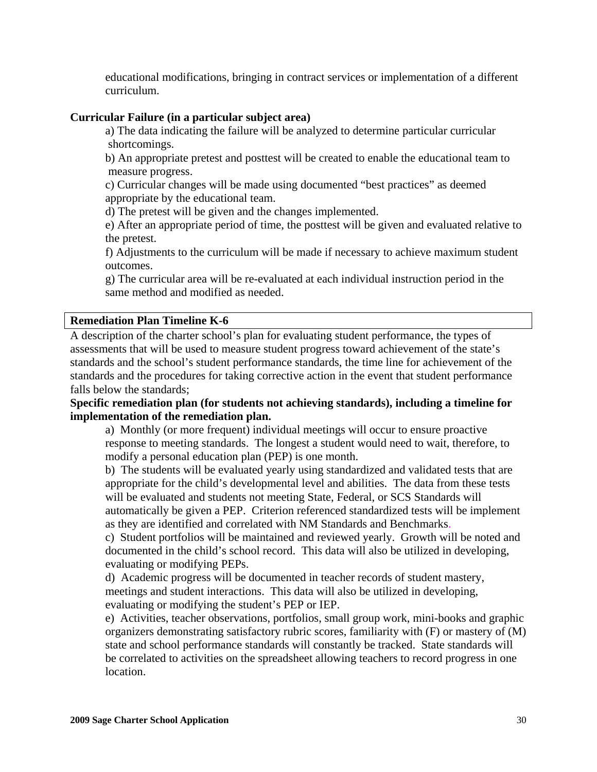educational modifications, bringing in contract services or implementation of a different curriculum.

#### **Curricular Failure (in a particular subject area)**

a) The data indicating the failure will be analyzed to determine particular curricular shortcomings.

b) An appropriate pretest and posttest will be created to enable the educational team to measure progress.

c) Curricular changes will be made using documented "best practices" as deemed appropriate by the educational team.

d) The pretest will be given and the changes implemented.

e) After an appropriate period of time, the posttest will be given and evaluated relative to the pretest.

f) Adjustments to the curriculum will be made if necessary to achieve maximum student outcomes.

g) The curricular area will be re-evaluated at each individual instruction period in the same method and modified as needed.

#### **Remediation Plan Timeline K-6**

A description of the charter school's plan for evaluating student performance, the types of assessments that will be used to measure student progress toward achievement of the state's standards and the school's student performance standards, the time line for achievement of the standards and the procedures for taking corrective action in the event that student performance falls below the standards;

**Specific remediation plan (for students not achieving standards), including a timeline for implementation of the remediation plan.** 

a) Monthly (or more frequent) individual meetings will occur to ensure proactive response to meeting standards. The longest a student would need to wait, therefore, to modify a personal education plan (PEP) is one month.

b) The students will be evaluated yearly using standardized and validated tests that are appropriate for the child's developmental level and abilities. The data from these tests will be evaluated and students not meeting State, Federal, or SCS Standards will automatically be given a PEP. Criterion referenced standardized tests will be implement as they are identified and correlated with NM Standards and Benchmarks.

c) Student portfolios will be maintained and reviewed yearly. Growth will be noted and documented in the child's school record. This data will also be utilized in developing, evaluating or modifying PEPs.

d) Academic progress will be documented in teacher records of student mastery, meetings and student interactions. This data will also be utilized in developing, evaluating or modifying the student's PEP or IEP.

e) Activities, teacher observations, portfolios, small group work, mini-books and graphic organizers demonstrating satisfactory rubric scores, familiarity with (F) or mastery of (M) state and school performance standards will constantly be tracked. State standards will be correlated to activities on the spreadsheet allowing teachers to record progress in one location.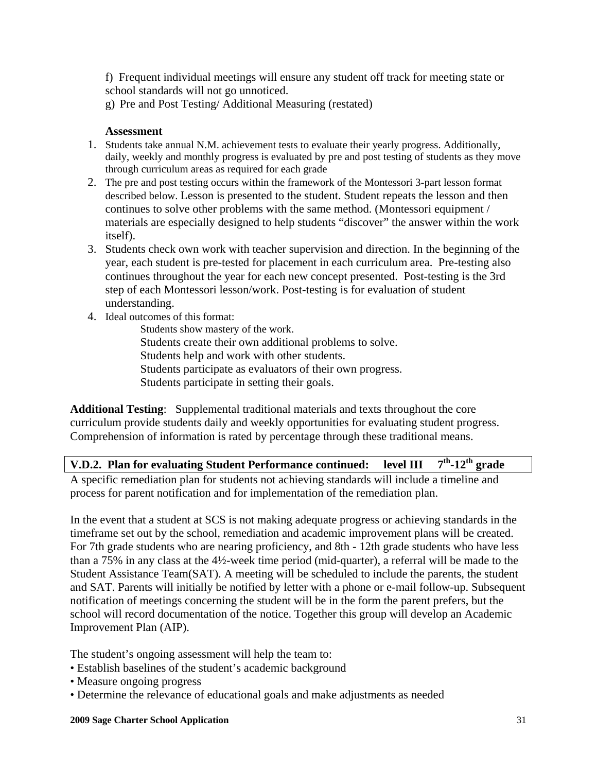f) Frequent individual meetings will ensure any student off track for meeting state or school standards will not go unnoticed.

g) Pre and Post Testing/ Additional Measuring (restated)

#### **Assessment**

- 1. Students take annual N.M. achievement tests to evaluate their yearly progress. Additionally, daily, weekly and monthly progress is evaluated by pre and post testing of students as they move through curriculum areas as required for each grade
- 2. The pre and post testing occurs within the framework of the Montessori 3-part lesson format described below. Lesson is presented to the student. Student repeats the lesson and then continues to solve other problems with the same method. (Montessori equipment / materials are especially designed to help students "discover" the answer within the work itself).
- 3. Students check own work with teacher supervision and direction. In the beginning of the year, each student is pre-tested for placement in each curriculum area. Pre-testing also continues throughout the year for each new concept presented. Post-testing is the 3rd step of each Montessori lesson/work. Post-testing is for evaluation of student understanding.
- 4. Ideal outcomes of this format:
	- Students show mastery of the work. Students create their own additional problems to solve. Students help and work with other students. Students participate as evaluators of their own progress. Students participate in setting their goals.

**Additional Testing**: Supplemental traditional materials and texts throughout the core curriculum provide students daily and weekly opportunities for evaluating student progress. Comprehension of information is rated by percentage through these traditional means.

**V.D.2. Plan for evaluating Student Performance continued: level III 7th-12th grade** 

A specific remediation plan for students not achieving standards will include a timeline and process for parent notification and for implementation of the remediation plan.

In the event that a student at SCS is not making adequate progress or achieving standards in the timeframe set out by the school, remediation and academic improvement plans will be created. For 7th grade students who are nearing proficiency, and 8th - 12th grade students who have less than a 75% in any class at the 4½-week time period (mid-quarter), a referral will be made to the Student Assistance Team(SAT). A meeting will be scheduled to include the parents, the student and SAT. Parents will initially be notified by letter with a phone or e-mail follow-up. Subsequent notification of meetings concerning the student will be in the form the parent prefers, but the school will record documentation of the notice. Together this group will develop an Academic Improvement Plan (AIP).

The student's ongoing assessment will help the team to:

- Establish baselines of the student's academic background
- Measure ongoing progress
- Determine the relevance of educational goals and make adjustments as needed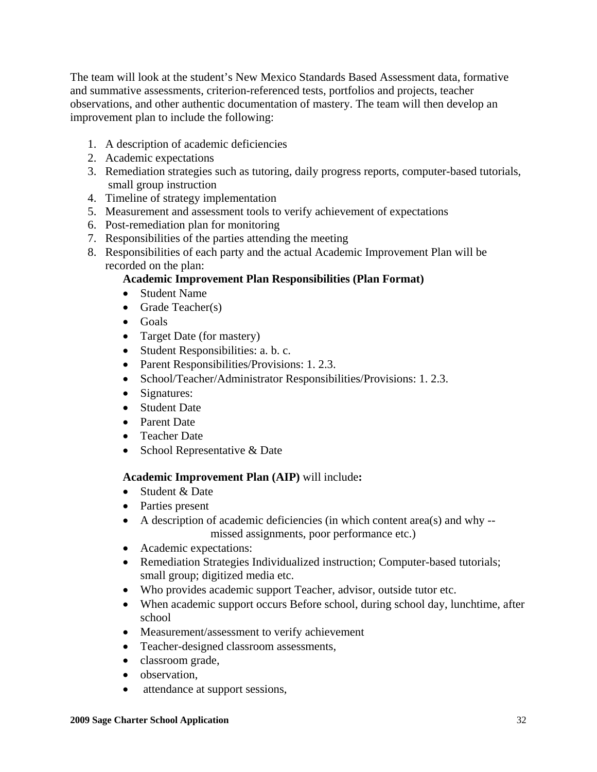The team will look at the student's New Mexico Standards Based Assessment data, formative and summative assessments, criterion-referenced tests, portfolios and projects, teacher observations, and other authentic documentation of mastery. The team will then develop an improvement plan to include the following:

- 1. A description of academic deficiencies
- 2. Academic expectations
- 3. Remediation strategies such as tutoring, daily progress reports, computer-based tutorials, small group instruction
- 4. Timeline of strategy implementation
- 5. Measurement and assessment tools to verify achievement of expectations
- 6. Post-remediation plan for monitoring
- 7. Responsibilities of the parties attending the meeting
- 8. Responsibilities of each party and the actual Academic Improvement Plan will be recorded on the plan:

## **Academic Improvement Plan Responsibilities (Plan Format)**

- Student Name
- Grade Teacher(s)
- Goals
- Target Date (for mastery)
- Student Responsibilities: a. b. c.
- Parent Responsibilities/Provisions: 1.2.3.
- School/Teacher/Administrator Responsibilities/Provisions: 1.2.3.
- Signatures:
- Student Date
- Parent Date
- Teacher Date
- School Representative & Date

#### **Academic Improvement Plan (AIP)** will include**:**

- Student & Date
- Parties present
- A description of academic deficiencies (in which content area(s) and why missed assignments, poor performance etc.)
- Academic expectations:
- Remediation Strategies Individualized instruction; Computer-based tutorials; small group; digitized media etc.
- Who provides academic support Teacher, advisor, outside tutor etc.
- When academic support occurs Before school, during school day, lunchtime, after school
- Measurement/assessment to verify achievement
- Teacher-designed classroom assessments,
- classroom grade,
- observation.
- attendance at support sessions,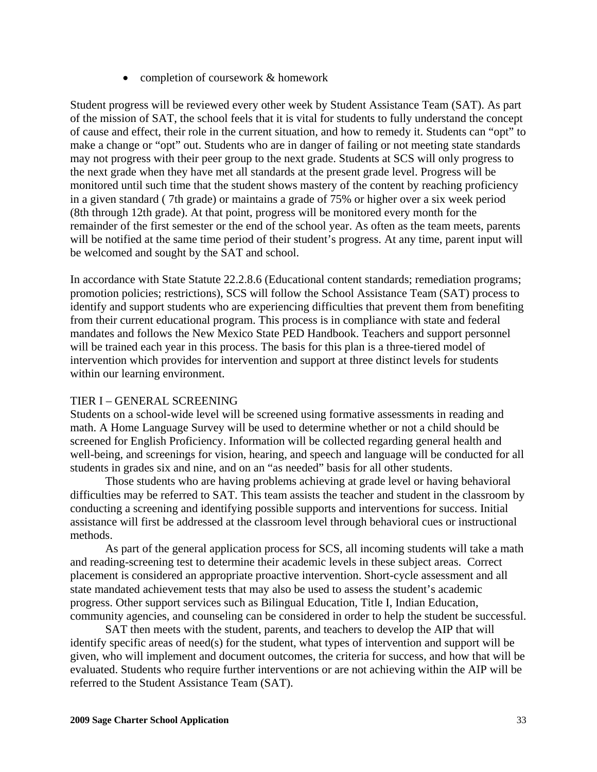• completion of coursework & homework

Student progress will be reviewed every other week by Student Assistance Team (SAT). As part of the mission of SAT, the school feels that it is vital for students to fully understand the concept of cause and effect, their role in the current situation, and how to remedy it. Students can "opt" to make a change or "opt" out. Students who are in danger of failing or not meeting state standards may not progress with their peer group to the next grade. Students at SCS will only progress to the next grade when they have met all standards at the present grade level. Progress will be monitored until such time that the student shows mastery of the content by reaching proficiency in a given standard ( 7th grade) or maintains a grade of 75% or higher over a six week period (8th through 12th grade). At that point, progress will be monitored every month for the remainder of the first semester or the end of the school year. As often as the team meets, parents will be notified at the same time period of their student's progress. At any time, parent input will be welcomed and sought by the SAT and school.

In accordance with State Statute 22.2.8.6 (Educational content standards; remediation programs; promotion policies; restrictions), SCS will follow the School Assistance Team (SAT) process to identify and support students who are experiencing difficulties that prevent them from benefiting from their current educational program. This process is in compliance with state and federal mandates and follows the New Mexico State PED Handbook. Teachers and support personnel will be trained each year in this process. The basis for this plan is a three-tiered model of intervention which provides for intervention and support at three distinct levels for students within our learning environment.

#### TIER I – GENERAL SCREENING

Students on a school-wide level will be screened using formative assessments in reading and math. A Home Language Survey will be used to determine whether or not a child should be screened for English Proficiency. Information will be collected regarding general health and well-being, and screenings for vision, hearing, and speech and language will be conducted for all students in grades six and nine, and on an "as needed" basis for all other students.

 Those students who are having problems achieving at grade level or having behavioral difficulties may be referred to SAT. This team assists the teacher and student in the classroom by conducting a screening and identifying possible supports and interventions for success. Initial assistance will first be addressed at the classroom level through behavioral cues or instructional methods.

 As part of the general application process for SCS, all incoming students will take a math and reading-screening test to determine their academic levels in these subject areas. Correct placement is considered an appropriate proactive intervention. Short-cycle assessment and all state mandated achievement tests that may also be used to assess the student's academic progress. Other support services such as Bilingual Education, Title I, Indian Education, community agencies, and counseling can be considered in order to help the student be successful.

 SAT then meets with the student, parents, and teachers to develop the AIP that will identify specific areas of need(s) for the student, what types of intervention and support will be given, who will implement and document outcomes, the criteria for success, and how that will be evaluated. Students who require further interventions or are not achieving within the AIP will be referred to the Student Assistance Team (SAT).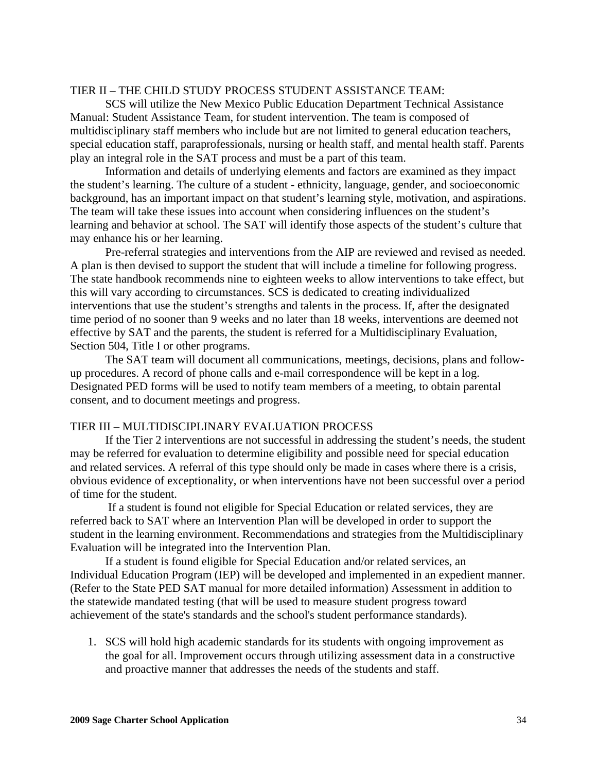#### TIER II – THE CHILD STUDY PROCESS STUDENT ASSISTANCE TEAM:

 SCS will utilize the New Mexico Public Education Department Technical Assistance Manual: Student Assistance Team, for student intervention. The team is composed of multidisciplinary staff members who include but are not limited to general education teachers, special education staff, paraprofessionals, nursing or health staff, and mental health staff. Parents play an integral role in the SAT process and must be a part of this team.

 Information and details of underlying elements and factors are examined as they impact the student's learning. The culture of a student - ethnicity, language, gender, and socioeconomic background, has an important impact on that student's learning style, motivation, and aspirations. The team will take these issues into account when considering influences on the student's learning and behavior at school. The SAT will identify those aspects of the student's culture that may enhance his or her learning.

 Pre-referral strategies and interventions from the AIP are reviewed and revised as needed. A plan is then devised to support the student that will include a timeline for following progress. The state handbook recommends nine to eighteen weeks to allow interventions to take effect, but this will vary according to circumstances. SCS is dedicated to creating individualized interventions that use the student's strengths and talents in the process. If, after the designated time period of no sooner than 9 weeks and no later than 18 weeks, interventions are deemed not effective by SAT and the parents, the student is referred for a Multidisciplinary Evaluation, Section 504, Title I or other programs.

 The SAT team will document all communications, meetings, decisions, plans and followup procedures. A record of phone calls and e-mail correspondence will be kept in a log. Designated PED forms will be used to notify team members of a meeting, to obtain parental consent, and to document meetings and progress.

#### TIER III – MULTIDISCIPLINARY EVALUATION PROCESS

 If the Tier 2 interventions are not successful in addressing the student's needs, the student may be referred for evaluation to determine eligibility and possible need for special education and related services. A referral of this type should only be made in cases where there is a crisis, obvious evidence of exceptionality, or when interventions have not been successful over a period of time for the student.

 If a student is found not eligible for Special Education or related services, they are referred back to SAT where an Intervention Plan will be developed in order to support the student in the learning environment. Recommendations and strategies from the Multidisciplinary Evaluation will be integrated into the Intervention Plan.

 If a student is found eligible for Special Education and/or related services, an Individual Education Program (IEP) will be developed and implemented in an expedient manner. (Refer to the State PED SAT manual for more detailed information) Assessment in addition to the statewide mandated testing (that will be used to measure student progress toward achievement of the state's standards and the school's student performance standards).

1. SCS will hold high academic standards for its students with ongoing improvement as the goal for all. Improvement occurs through utilizing assessment data in a constructive and proactive manner that addresses the needs of the students and staff.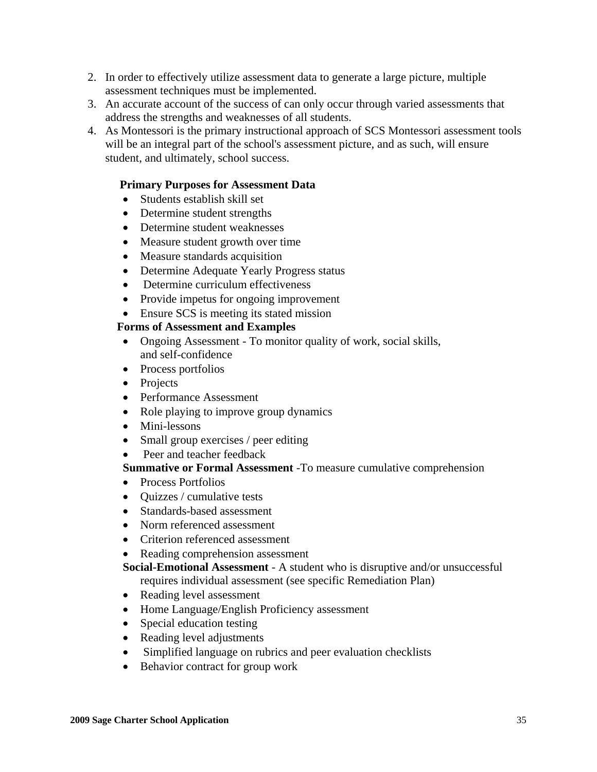- 2. In order to effectively utilize assessment data to generate a large picture, multiple assessment techniques must be implemented.
- 3. An accurate account of the success of can only occur through varied assessments that address the strengths and weaknesses of all students.
- 4. As Montessori is the primary instructional approach of SCS Montessori assessment tools will be an integral part of the school's assessment picture, and as such, will ensure student, and ultimately, school success.

## **Primary Purposes for Assessment Data**

- Students establish skill set
- Determine student strengths
- Determine student weaknesses
- Measure student growth over time
- Measure standards acquisition
- Determine Adequate Yearly Progress status
- Determine curriculum effectiveness
- Provide impetus for ongoing improvement
- Ensure SCS is meeting its stated mission

#### **Forms of Assessment and Examples**

- Ongoing Assessment To monitor quality of work, social skills, and self-confidence
- Process portfolios
- Projects
- Performance Assessment
- Role playing to improve group dynamics
- Mini-lessons
- Small group exercises / peer editing
- Peer and teacher feedback

#### **Summative or Formal Assessment** -To measure cumulative comprehension

- Process Portfolios
- Quizzes / cumulative tests
- Standards-based assessment
- Norm referenced assessment
- Criterion referenced assessment
- Reading comprehension assessment

 **Social-Emotional Assessment** - A student who is disruptive and/or unsuccessful requires individual assessment (see specific Remediation Plan)

- Reading level assessment
- Home Language/English Proficiency assessment
- Special education testing
- Reading level adjustments
- Simplified language on rubrics and peer evaluation checklists
- Behavior contract for group work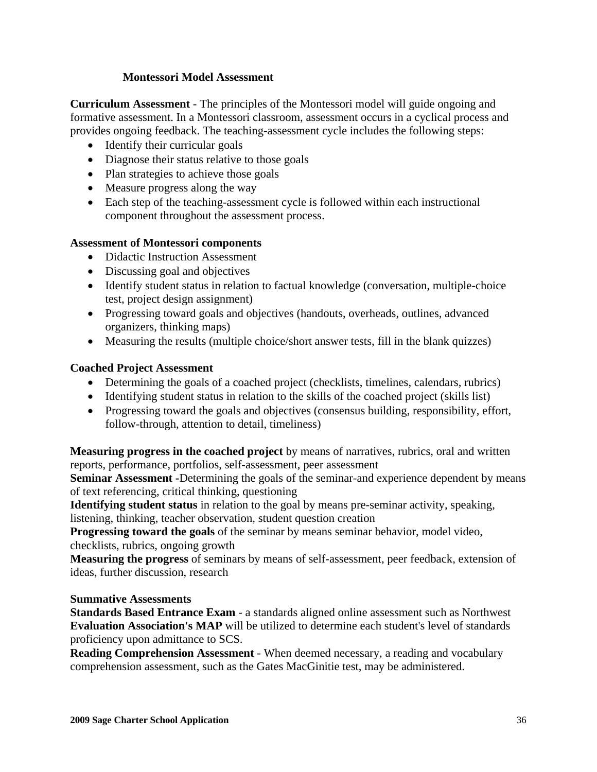## **Montessori Model Assessment**

**Curriculum Assessment** - The principles of the Montessori model will guide ongoing and formative assessment. In a Montessori classroom, assessment occurs in a cyclical process and provides ongoing feedback. The teaching-assessment cycle includes the following steps:

- Identify their curricular goals
- Diagnose their status relative to those goals
- Plan strategies to achieve those goals
- Measure progress along the way
- Each step of the teaching-assessment cycle is followed within each instructional component throughout the assessment process.

## **Assessment of Montessori components**

- Didactic Instruction Assessment
- Discussing goal and objectives
- Identify student status in relation to factual knowledge (conversation, multiple-choice test, project design assignment)
- Progressing toward goals and objectives (handouts, overheads, outlines, advanced organizers, thinking maps)
- Measuring the results (multiple choice/short answer tests, fill in the blank quizzes)

## **Coached Project Assessment**

- Determining the goals of a coached project (checklists, timelines, calendars, rubrics)
- Identifying student status in relation to the skills of the coached project (skills list)
- Progressing toward the goals and objectives (consensus building, responsibility, effort, follow-through, attention to detail, timeliness)

**Measuring progress in the coached project** by means of narratives, rubrics, oral and written reports, performance, portfolios, self-assessment, peer assessment

**Seminar Assessment -**Determining the goals of the seminar-and experience dependent by means of text referencing, critical thinking, questioning

**Identifying student status** in relation to the goal by means pre-seminar activity, speaking, listening, thinking, teacher observation, student question creation

**Progressing toward the goals** of the seminar by means seminar behavior, model video, checklists, rubrics, ongoing growth

**Measuring the progress** of seminars by means of self-assessment, peer feedback, extension of ideas, further discussion, research

#### **Summative Assessments**

**Standards Based Entrance Exam** - a standards aligned online assessment such as Northwest **Evaluation Association's MAP** will be utilized to determine each student's level of standards proficiency upon admittance to SCS.

**Reading Comprehension Assessment** - When deemed necessary, a reading and vocabulary comprehension assessment, such as the Gates MacGinitie test, may be administered.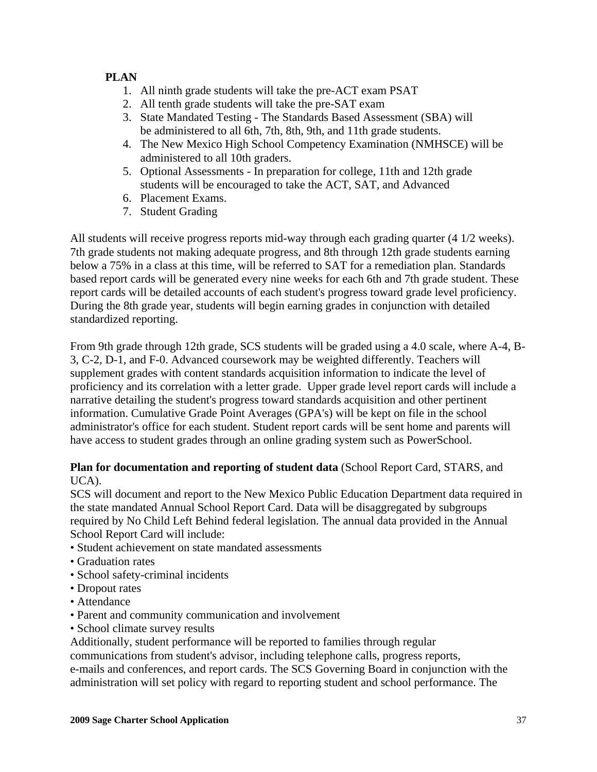# **PLAN**

- 1. All ninth grade students will take the pre-ACT exam PSAT
- 2. All tenth grade students will take the pre-SAT exam
- 3. State Mandated Testing The Standards Based Assessment (SBA) will be administered to all 6th, 7th, 8th, 9th, and 11th grade students.
- 4. The New Mexico High School Competency Examination (NMHSCE) will be administered to all 10th graders.
- 5. Optional Assessments In preparation for college, 11th and 12th grade students will be encouraged to take the ACT, SAT, and Advanced
- 6. Placement Exams.
- 7. Student Grading

All students will receive progress reports mid-way through each grading quarter (4 1/2 weeks). 7th grade students not making adequate progress, and 8th through 12th grade students earning below a 75% in a class at this time, will be referred to SAT for a remediation plan. Standards based report cards will be generated every nine weeks for each 6th and 7th grade student. These report cards will be detailed accounts of each student's progress toward grade level proficiency. During the 8th grade year, students will begin earning grades in conjunction with detailed standardized reporting.

From 9th grade through 12th grade, SCS students will be graded using a 4.0 scale, where A-4, B-3, C-2, D-1, and F-0. Advanced coursework may be weighted differently. Teachers will supplement grades with content standards acquisition information to indicate the level of proficiency and its correlation with a letter grade. Upper grade level report cards will include a narrative detailing the student's progress toward standards acquisition and other pertinent information. Cumulative Grade Point Averages (GPA's) will be kept on file in the school administrator's office for each student. Student report cards will be sent home and parents will have access to student grades through an online grading system such as PowerSchool.

# **Plan for documentation and reporting of student data** (School Report Card, STARS, and UCA).

SCS will document and report to the New Mexico Public Education Department data required in the state mandated Annual School Report Card. Data will be disaggregated by subgroups required by No Child Left Behind federal legislation. The annual data provided in the Annual School Report Card will include:

- Student achievement on state mandated assessments
- Graduation rates
- School safety-criminal incidents
- Dropout rates
- Attendance
- Parent and community communication and involvement
- School climate survey results

Additionally, student performance will be reported to families through regular

communications from student's advisor, including telephone calls, progress reports, e-mails and conferences, and report cards. The SCS Governing Board in conjunction with the administration will set policy with regard to reporting student and school performance. The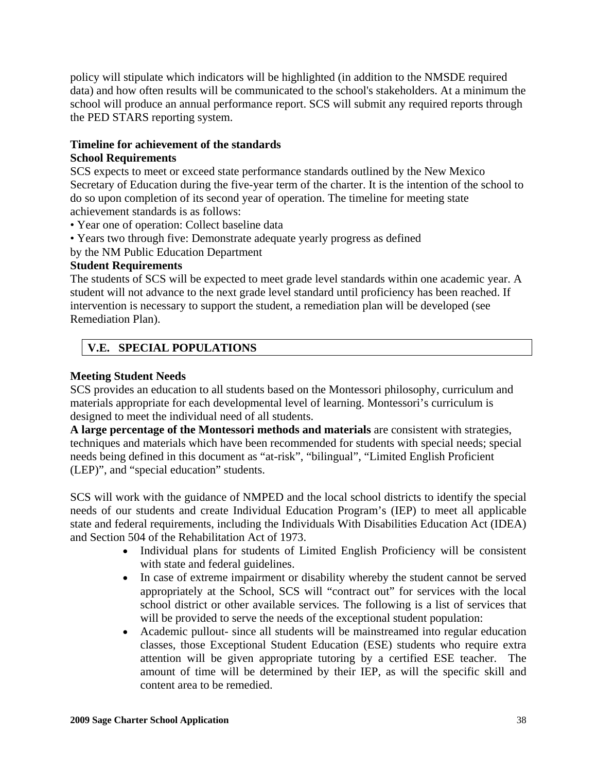policy will stipulate which indicators will be highlighted (in addition to the NMSDE required data) and how often results will be communicated to the school's stakeholders. At a minimum the school will produce an annual performance report. SCS will submit any required reports through the PED STARS reporting system.

# **Timeline for achievement of the standards School Requirements**

SCS expects to meet or exceed state performance standards outlined by the New Mexico Secretary of Education during the five-year term of the charter. It is the intention of the school to do so upon completion of its second year of operation. The timeline for meeting state achievement standards is as follows:

- Year one of operation: Collect baseline data
- Years two through five: Demonstrate adequate yearly progress as defined
- by the NM Public Education Department

# **Student Requirements**

The students of SCS will be expected to meet grade level standards within one academic year. A student will not advance to the next grade level standard until proficiency has been reached. If intervention is necessary to support the student, a remediation plan will be developed (see Remediation Plan).

# **V.E. SPECIAL POPULATIONS**

# **Meeting Student Needs**

SCS provides an education to all students based on the Montessori philosophy, curriculum and materials appropriate for each developmental level of learning. Montessori's curriculum is designed to meet the individual need of all students.

**A large percentage of the Montessori methods and materials** are consistent with strategies, techniques and materials which have been recommended for students with special needs; special needs being defined in this document as "at-risk", "bilingual", "Limited English Proficient (LEP)", and "special education" students.

SCS will work with the guidance of NMPED and the local school districts to identify the special needs of our students and create Individual Education Program's (IEP) to meet all applicable state and federal requirements, including the Individuals With Disabilities Education Act (IDEA) and Section 504 of the Rehabilitation Act of 1973.

- Individual plans for students of Limited English Proficiency will be consistent with state and federal guidelines.
- In case of extreme impairment or disability whereby the student cannot be served appropriately at the School, SCS will "contract out" for services with the local school district or other available services. The following is a list of services that will be provided to serve the needs of the exceptional student population:
- Academic pullout- since all students will be mainstreamed into regular education classes, those Exceptional Student Education (ESE) students who require extra attention will be given appropriate tutoring by a certified ESE teacher. The amount of time will be determined by their IEP, as will the specific skill and content area to be remedied.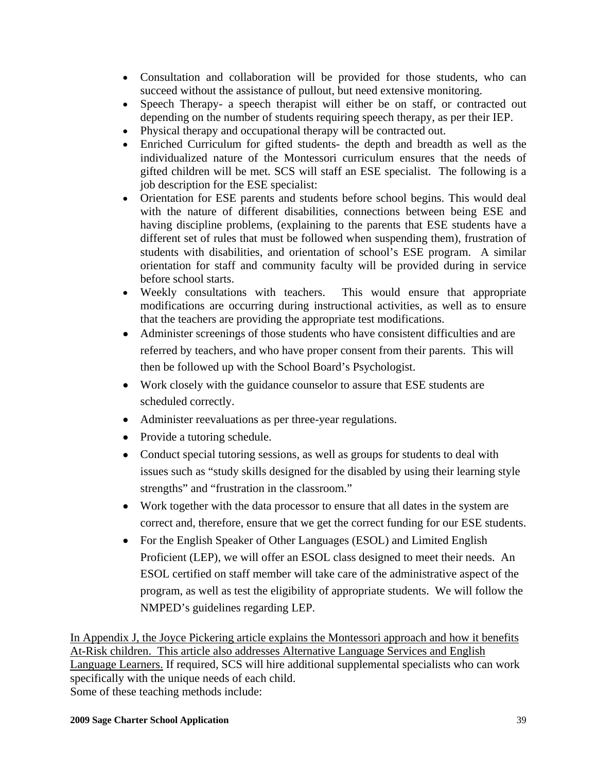- Consultation and collaboration will be provided for those students, who can succeed without the assistance of pullout, but need extensive monitoring.
- Speech Therapy- a speech therapist will either be on staff, or contracted out depending on the number of students requiring speech therapy, as per their IEP.
- Physical therapy and occupational therapy will be contracted out.
- Enriched Curriculum for gifted students- the depth and breadth as well as the individualized nature of the Montessori curriculum ensures that the needs of gifted children will be met. SCS will staff an ESE specialist. The following is a job description for the ESE specialist:
- Orientation for ESE parents and students before school begins. This would deal with the nature of different disabilities, connections between being ESE and having discipline problems, (explaining to the parents that ESE students have a different set of rules that must be followed when suspending them), frustration of students with disabilities, and orientation of school's ESE program. A similar orientation for staff and community faculty will be provided during in service before school starts.
- Weekly consultations with teachers. This would ensure that appropriate modifications are occurring during instructional activities, as well as to ensure that the teachers are providing the appropriate test modifications.
- Administer screenings of those students who have consistent difficulties and are referred by teachers, and who have proper consent from their parents. This will then be followed up with the School Board's Psychologist.
- Work closely with the guidance counselor to assure that ESE students are scheduled correctly.
- Administer reevaluations as per three-year regulations.
- Provide a tutoring schedule.
- Conduct special tutoring sessions, as well as groups for students to deal with issues such as "study skills designed for the disabled by using their learning style strengths" and "frustration in the classroom."
- Work together with the data processor to ensure that all dates in the system are correct and, therefore, ensure that we get the correct funding for our ESE students.
- For the English Speaker of Other Languages (ESOL) and Limited English Proficient (LEP), we will offer an ESOL class designed to meet their needs. An ESOL certified on staff member will take care of the administrative aspect of the program, as well as test the eligibility of appropriate students. We will follow the NMPED's guidelines regarding LEP.

In Appendix J, the Joyce Pickering article explains the Montessori approach and how it benefits At-Risk children. This article also addresses Alternative Language Services and English Language Learners. If required, SCS will hire additional supplemental specialists who can work specifically with the unique needs of each child. Some of these teaching methods include: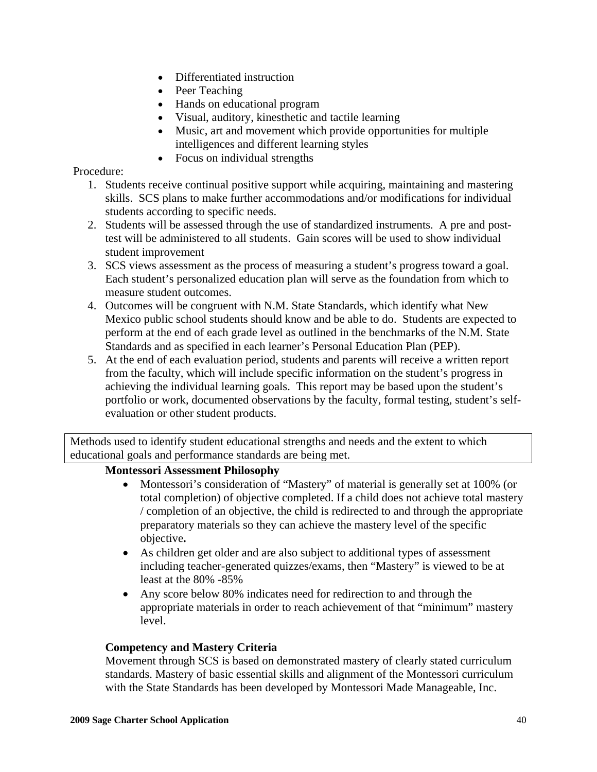- Differentiated instruction
- Peer Teaching
- Hands on educational program
- Visual, auditory, kinesthetic and tactile learning
- Music, art and movement which provide opportunities for multiple intelligences and different learning styles
- Focus on individual strengths

Procedure:

- 1. Students receive continual positive support while acquiring, maintaining and mastering skills. SCS plans to make further accommodations and/or modifications for individual students according to specific needs.
- 2. Students will be assessed through the use of standardized instruments. A pre and posttest will be administered to all students. Gain scores will be used to show individual student improvement
- 3. SCS views assessment as the process of measuring a student's progress toward a goal. Each student's personalized education plan will serve as the foundation from which to measure student outcomes.
- 4. Outcomes will be congruent with N.M. State Standards, which identify what New Mexico public school students should know and be able to do. Students are expected to perform at the end of each grade level as outlined in the benchmarks of the N.M. State Standards and as specified in each learner's Personal Education Plan (PEP).
- 5. At the end of each evaluation period, students and parents will receive a written report from the faculty, which will include specific information on the student's progress in achieving the individual learning goals. This report may be based upon the student's portfolio or work, documented observations by the faculty, formal testing, student's selfevaluation or other student products.

Methods used to identify student educational strengths and needs and the extent to which educational goals and performance standards are being met.

# **Montessori Assessment Philosophy**

- Montessori's consideration of "Mastery" of material is generally set at 100% (or total completion) of objective completed. If a child does not achieve total mastery / completion of an objective, the child is redirected to and through the appropriate preparatory materials so they can achieve the mastery level of the specific objective**.**
- As children get older and are also subject to additional types of assessment including teacher-generated quizzes/exams, then "Mastery" is viewed to be at least at the 80% -85%
- Any score below 80% indicates need for redirection to and through the appropriate materials in order to reach achievement of that "minimum" mastery level.

# **Competency and Mastery Criteria**

 Movement through SCS is based on demonstrated mastery of clearly stated curriculum standards. Mastery of basic essential skills and alignment of the Montessori curriculum with the State Standards has been developed by Montessori Made Manageable, Inc.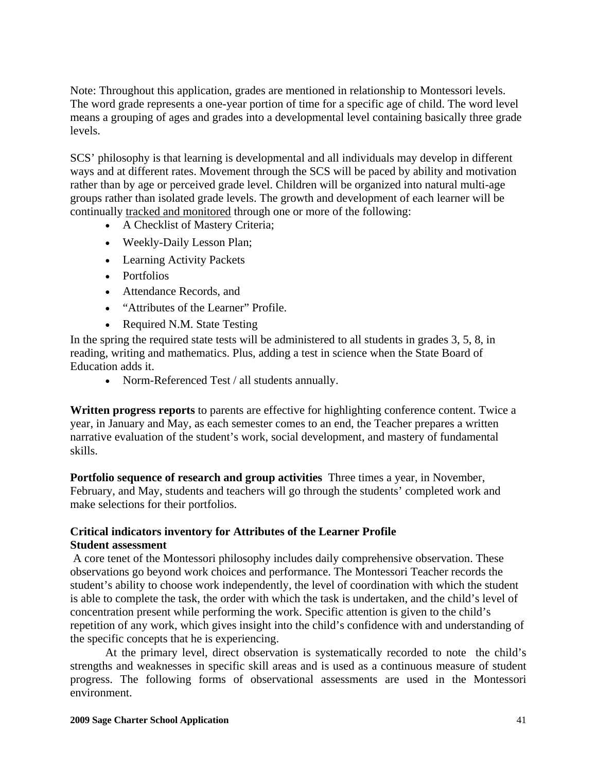Note: Throughout this application, grades are mentioned in relationship to Montessori levels. The word grade represents a one-year portion of time for a specific age of child. The word level means a grouping of ages and grades into a developmental level containing basically three grade levels.

SCS' philosophy is that learning is developmental and all individuals may develop in different ways and at different rates. Movement through the SCS will be paced by ability and motivation rather than by age or perceived grade level. Children will be organized into natural multi-age groups rather than isolated grade levels. The growth and development of each learner will be continually tracked and monitored through one or more of the following:

- A Checklist of Mastery Criteria;
- Weekly-Daily Lesson Plan;
- Learning Activity Packets
- Portfolios
- Attendance Records, and
- "Attributes of the Learner" Profile.
- Required N.M. State Testing

In the spring the required state tests will be administered to all students in grades 3, 5, 8, in reading, writing and mathematics. Plus, adding a test in science when the State Board of Education adds it.

• Norm-Referenced Test / all students annually.

**Written progress reports** to parents are effective for highlighting conference content. Twice a year, in January and May, as each semester comes to an end, the Teacher prepares a written narrative evaluation of the student's work, social development, and mastery of fundamental skills.

**Portfolio sequence of research and group activities** Three times a year, in November, February, and May, students and teachers will go through the students' completed work and make selections for their portfolios.

# **Critical indicators inventory for Attributes of the Learner Profile Student assessment**

 A core tenet of the Montessori philosophy includes daily comprehensive observation. These observations go beyond work choices and performance. The Montessori Teacher records the student's ability to choose work independently, the level of coordination with which the student is able to complete the task, the order with which the task is undertaken, and the child's level of concentration present while performing the work. Specific attention is given to the child's repetition of any work, which gives insight into the child's confidence with and understanding of the specific concepts that he is experiencing.

 At the primary level, direct observation is systematically recorded to note the child's strengths and weaknesses in specific skill areas and is used as a continuous measure of student progress. The following forms of observational assessments are used in the Montessori environment.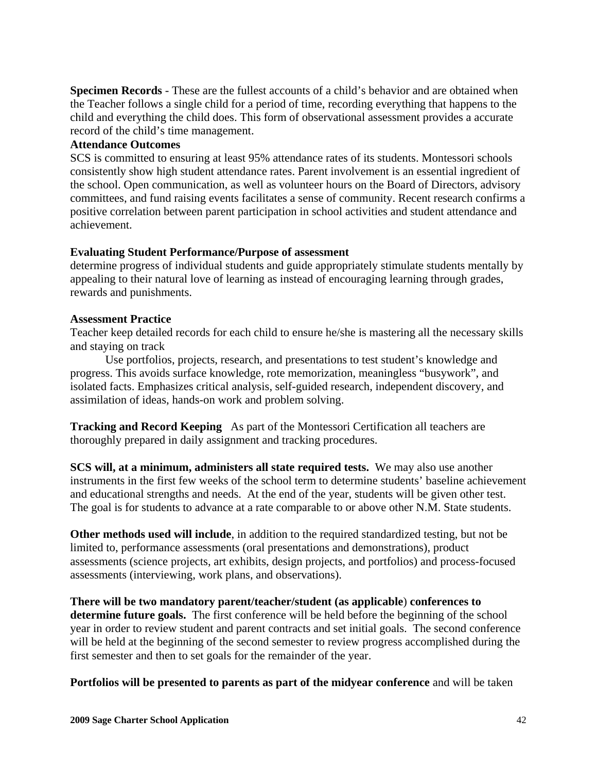**Specimen Records** - These are the fullest accounts of a child's behavior and are obtained when the Teacher follows a single child for a period of time, recording everything that happens to the child and everything the child does. This form of observational assessment provides a accurate record of the child's time management.

# **Attendance Outcomes**

SCS is committed to ensuring at least 95% attendance rates of its students. Montessori schools consistently show high student attendance rates. Parent involvement is an essential ingredient of the school. Open communication, as well as volunteer hours on the Board of Directors, advisory committees, and fund raising events facilitates a sense of community. Recent research confirms a positive correlation between parent participation in school activities and student attendance and achievement.

# **Evaluating Student Performance/Purpose of assessment**

determine progress of individual students and guide appropriately stimulate students mentally by appealing to their natural love of learning as instead of encouraging learning through grades, rewards and punishments.

# **Assessment Practice**

Teacher keep detailed records for each child to ensure he/she is mastering all the necessary skills and staying on track

Use portfolios, projects, research, and presentations to test student's knowledge and progress. This avoids surface knowledge, rote memorization, meaningless "busywork", and isolated facts. Emphasizes critical analysis, self-guided research, independent discovery, and assimilation of ideas, hands-on work and problem solving.

**Tracking and Record Keeping** As part of the Montessori Certification all teachers are thoroughly prepared in daily assignment and tracking procedures.

**SCS will, at a minimum, administers all state required tests.** We may also use another instruments in the first few weeks of the school term to determine students' baseline achievement and educational strengths and needs. At the end of the year, students will be given other test. The goal is for students to advance at a rate comparable to or above other N.M. State students.

**Other methods used will include**, in addition to the required standardized testing, but not be limited to, performance assessments (oral presentations and demonstrations), product assessments (science projects, art exhibits, design projects, and portfolios) and process-focused assessments (interviewing, work plans, and observations).

**There will be two mandatory parent/teacher/student (as applicable**) **conferences to determine future goals.** The first conference will be held before the beginning of the school year in order to review student and parent contracts and set initial goals. The second conference will be held at the beginning of the second semester to review progress accomplished during the first semester and then to set goals for the remainder of the year.

**Portfolios will be presented to parents as part of the midyear conference** and will be taken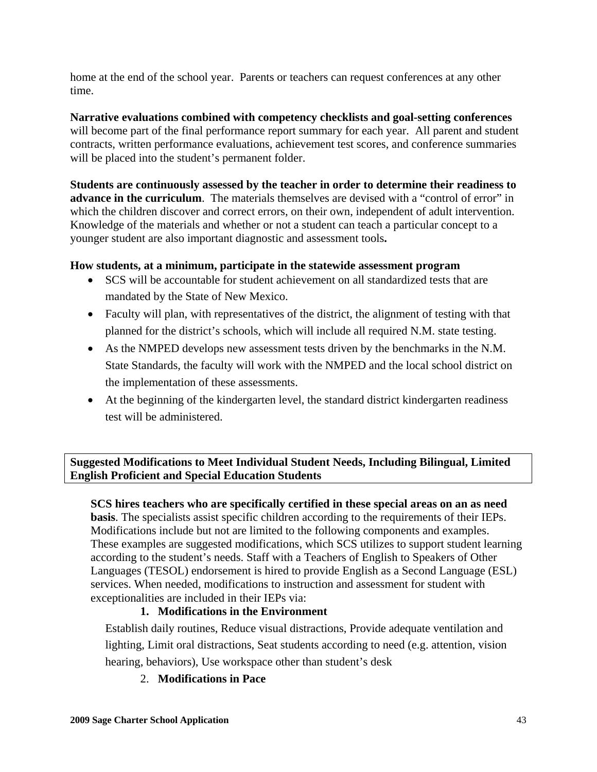home at the end of the school year. Parents or teachers can request conferences at any other time.

**Narrative evaluations combined with competency checklists and goal-setting conferences** will become part of the final performance report summary for each year. All parent and student contracts, written performance evaluations, achievement test scores, and conference summaries will be placed into the student's permanent folder.

**Students are continuously assessed by the teacher in order to determine their readiness to advance in the curriculum**. The materials themselves are devised with a "control of error" in which the children discover and correct errors, on their own, independent of adult intervention. Knowledge of the materials and whether or not a student can teach a particular concept to a younger student are also important diagnostic and assessment tools**.** 

# **How students, at a minimum, participate in the statewide assessment program**

- SCS will be accountable for student achievement on all standardized tests that are mandated by the State of New Mexico.
- Faculty will plan, with representatives of the district, the alignment of testing with that planned for the district's schools, which will include all required N.M. state testing.
- As the NMPED develops new assessment tests driven by the benchmarks in the N.M. State Standards, the faculty will work with the NMPED and the local school district on the implementation of these assessments.
- At the beginning of the kindergarten level, the standard district kindergarten readiness test will be administered.

**Suggested Modifications to Meet Individual Student Needs, Including Bilingual, Limited English Proficient and Special Education Students**

**SCS hires teachers who are specifically certified in these special areas on an as need basis**. The specialists assist specific children according to the requirements of their IEPs. Modifications include but not are limited to the following components and examples. These examples are suggested modifications, which SCS utilizes to support student learning according to the student's needs. Staff with a Teachers of English to Speakers of Other Languages (TESOL) endorsement is hired to provide English as a Second Language (ESL) services. When needed, modifications to instruction and assessment for student with exceptionalities are included in their IEPs via:

# **1. Modifications in the Environment**

Establish daily routines, Reduce visual distractions, Provide adequate ventilation and lighting, Limit oral distractions, Seat students according to need (e.g. attention, vision hearing, behaviors), Use workspace other than student's desk

2. **Modifications in Pace**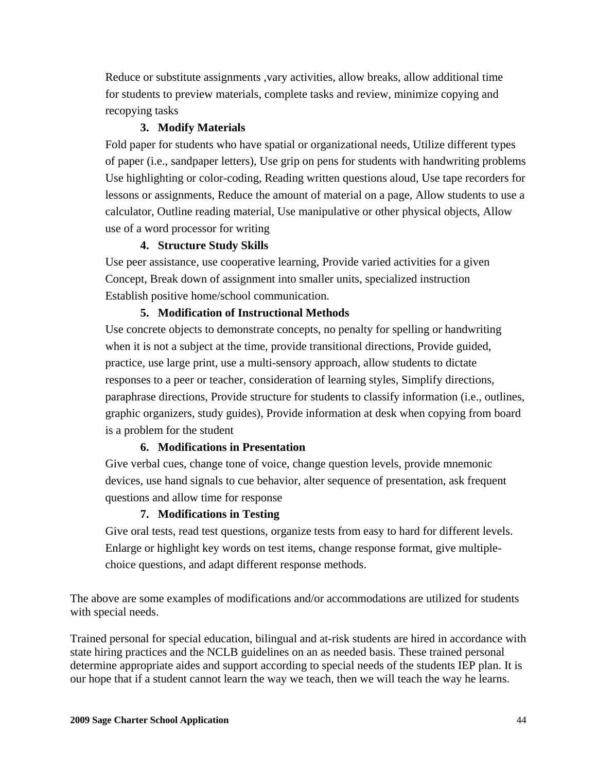Reduce or substitute assignments ,vary activities, allow breaks, allow additional time for students to preview materials, complete tasks and review, minimize copying and recopying tasks

# **3. Modify Materials**

Fold paper for students who have spatial or organizational needs, Utilize different types of paper (i.e., sandpaper letters), Use grip on pens for students with handwriting problems Use highlighting or color-coding, Reading written questions aloud, Use tape recorders for lessons or assignments, Reduce the amount of material on a page, Allow students to use a calculator, Outline reading material, Use manipulative or other physical objects, Allow use of a word processor for writing

# **4. Structure Study Skills**

Use peer assistance, use cooperative learning, Provide varied activities for a given Concept, Break down of assignment into smaller units, specialized instruction Establish positive home/school communication.

# **5. Modification of Instructional Methods**

Use concrete objects to demonstrate concepts, no penalty for spelling or handwriting when it is not a subject at the time, provide transitional directions, Provide guided, practice, use large print, use a multi-sensory approach, allow students to dictate responses to a peer or teacher, consideration of learning styles, Simplify directions, paraphrase directions, Provide structure for students to classify information (i.e., outlines, graphic organizers, study guides), Provide information at desk when copying from board is a problem for the student

# **6. Modifications in Presentation**

Give verbal cues, change tone of voice, change question levels, provide mnemonic devices, use hand signals to cue behavior, alter sequence of presentation, ask frequent questions and allow time for response

# **7. Modifications in Testing**

Give oral tests, read test questions, organize tests from easy to hard for different levels. Enlarge or highlight key words on test items, change response format, give multiplechoice questions, and adapt different response methods.

The above are some examples of modifications and/or accommodations are utilized for students with special needs.

Trained personal for special education, bilingual and at-risk students are hired in accordance with state hiring practices and the NCLB guidelines on an as needed basis. These trained personal determine appropriate aides and support according to special needs of the students IEP plan. It is our hope that if a student cannot learn the way we teach, then we will teach the way he learns.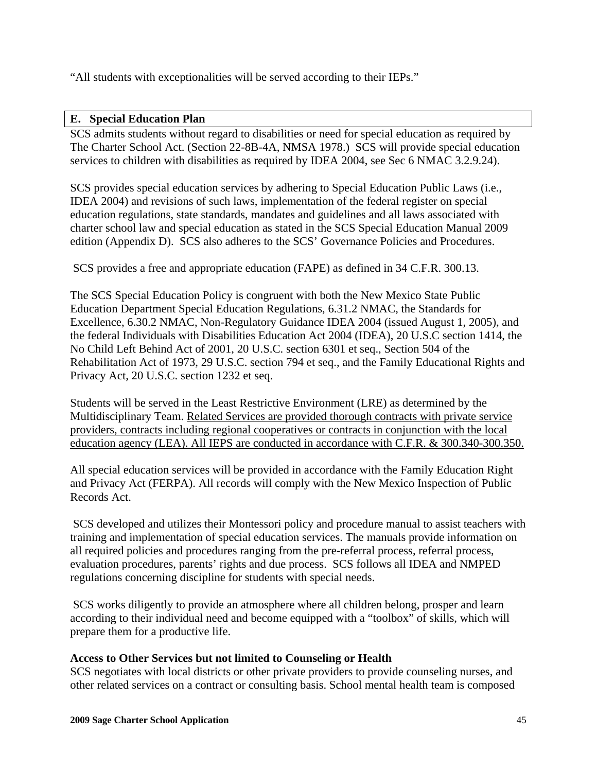"All students with exceptionalities will be served according to their IEPs."

# **E. Special Education Plan**

SCS admits students without regard to disabilities or need for special education as required by The Charter School Act. (Section 22-8B-4A, NMSA 1978.) SCS will provide special education services to children with disabilities as required by IDEA 2004, see Sec 6 NMAC 3.2.9.24).

SCS provides special education services by adhering to Special Education Public Laws (i.e., IDEA 2004) and revisions of such laws, implementation of the federal register on special education regulations, state standards, mandates and guidelines and all laws associated with charter school law and special education as stated in the SCS Special Education Manual 2009 edition (Appendix D). SCS also adheres to the SCS' Governance Policies and Procedures.

SCS provides a free and appropriate education (FAPE) as defined in 34 C.F.R. 300.13.

The SCS Special Education Policy is congruent with both the New Mexico State Public Education Department Special Education Regulations, 6.31.2 NMAC, the Standards for Excellence, 6.30.2 NMAC, Non-Regulatory Guidance IDEA 2004 (issued August 1, 2005), and the federal Individuals with Disabilities Education Act 2004 (IDEA), 20 U.S.C section 1414, the No Child Left Behind Act of 2001, 20 U.S.C. section 6301 et seq., Section 504 of the Rehabilitation Act of 1973, 29 U.S.C. section 794 et seq., and the Family Educational Rights and Privacy Act, 20 U.S.C. section 1232 et seq.

Students will be served in the Least Restrictive Environment (LRE) as determined by the Multidisciplinary Team. Related Services are provided thorough contracts with private service providers, contracts including regional cooperatives or contracts in conjunction with the local education agency (LEA). All IEPS are conducted in accordance with C.F.R. & 300.340-300.350.

All special education services will be provided in accordance with the Family Education Right and Privacy Act (FERPA). All records will comply with the New Mexico Inspection of Public Records Act.

 SCS developed and utilizes their Montessori policy and procedure manual to assist teachers with training and implementation of special education services. The manuals provide information on all required policies and procedures ranging from the pre-referral process, referral process, evaluation procedures, parents' rights and due process. SCS follows all IDEA and NMPED regulations concerning discipline for students with special needs.

 SCS works diligently to provide an atmosphere where all children belong, prosper and learn according to their individual need and become equipped with a "toolbox" of skills, which will prepare them for a productive life.

# **Access to Other Services but not limited to Counseling or Health**

SCS negotiates with local districts or other private providers to provide counseling nurses, and other related services on a contract or consulting basis. School mental health team is composed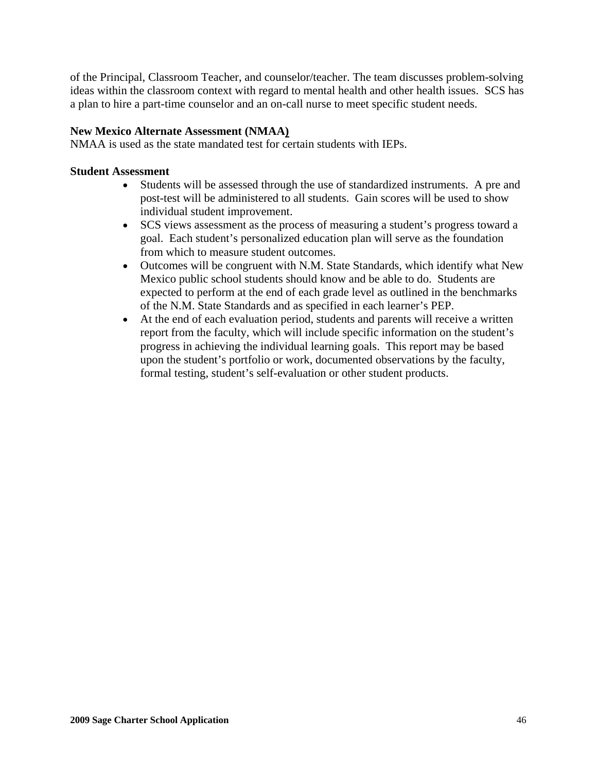of the Principal, Classroom Teacher, and counselor/teacher. The team discusses problem-solving ideas within the classroom context with regard to mental health and other health issues. SCS has a plan to hire a part-time counselor and an on-call nurse to meet specific student needs.

# **New Mexico Alternate Assessment (NMAA)**

NMAA is used as the state mandated test for certain students with IEPs.

# **Student Assessment**

- Students will be assessed through the use of standardized instruments. A pre and post-test will be administered to all students. Gain scores will be used to show individual student improvement.
- SCS views assessment as the process of measuring a student's progress toward a goal. Each student's personalized education plan will serve as the foundation from which to measure student outcomes.
- Outcomes will be congruent with N.M. State Standards, which identify what New Mexico public school students should know and be able to do. Students are expected to perform at the end of each grade level as outlined in the benchmarks of the N.M. State Standards and as specified in each learner's PEP.
- At the end of each evaluation period, students and parents will receive a written report from the faculty, which will include specific information on the student's progress in achieving the individual learning goals. This report may be based upon the student's portfolio or work, documented observations by the faculty, formal testing, student's self-evaluation or other student products.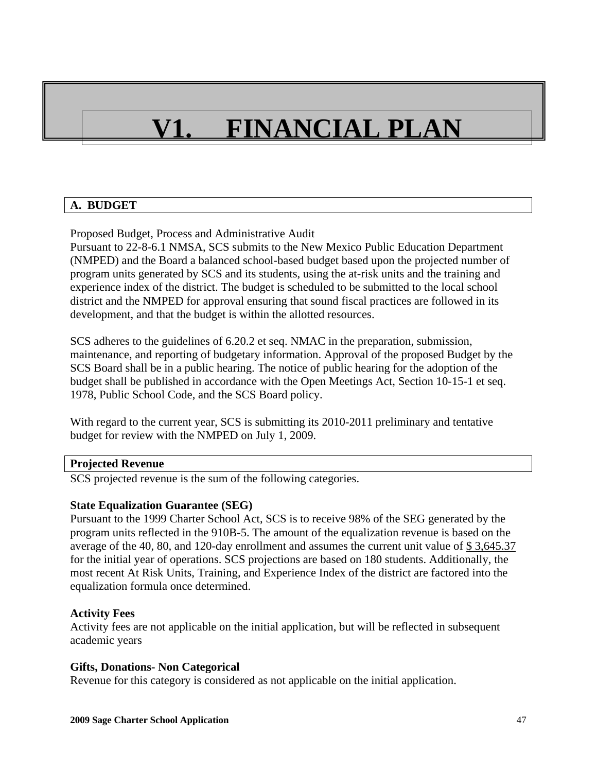# **V1. FINANCIAL PLAN**

# **A. BUDGET**

Proposed Budget, Process and Administrative Audit

Pursuant to 22-8-6.1 NMSA, SCS submits to the New Mexico Public Education Department (NMPED) and the Board a balanced school-based budget based upon the projected number of program units generated by SCS and its students, using the at-risk units and the training and experience index of the district. The budget is scheduled to be submitted to the local school district and the NMPED for approval ensuring that sound fiscal practices are followed in its development, and that the budget is within the allotted resources.

SCS adheres to the guidelines of 6.20.2 et seq. NMAC in the preparation, submission, maintenance, and reporting of budgetary information. Approval of the proposed Budget by the SCS Board shall be in a public hearing. The notice of public hearing for the adoption of the budget shall be published in accordance with the Open Meetings Act, Section 10-15-1 et seq. 1978, Public School Code, and the SCS Board policy.

With regard to the current year, SCS is submitting its 2010-2011 preliminary and tentative budget for review with the NMPED on July 1, 2009.

# **Projected Revenue**

SCS projected revenue is the sum of the following categories.

# **State Equalization Guarantee (SEG)**

Pursuant to the 1999 Charter School Act, SCS is to receive 98% of the SEG generated by the program units reflected in the 910B-5. The amount of the equalization revenue is based on the average of the 40, 80, and 120-day enrollment and assumes the current unit value of  $\frac{2}{3}$ , 3,645.37 for the initial year of operations. SCS projections are based on 180 students. Additionally, the most recent At Risk Units, Training, and Experience Index of the district are factored into the equalization formula once determined.

# **Activity Fees**

Activity fees are not applicable on the initial application, but will be reflected in subsequent academic years

#### **Gifts, Donations- Non Categorical**

Revenue for this category is considered as not applicable on the initial application.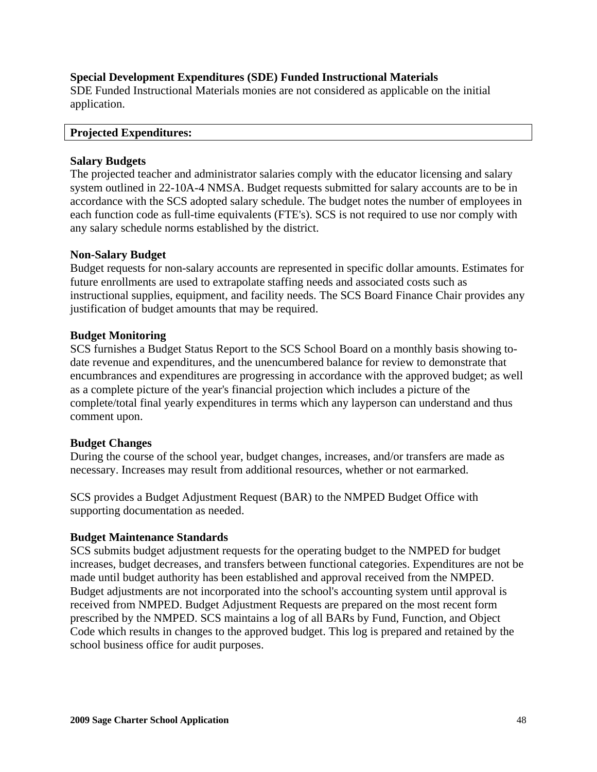# **Special Development Expenditures (SDE) Funded Instructional Materials**

SDE Funded Instructional Materials monies are not considered as applicable on the initial application.

#### **Projected Expenditures:**

# **Salary Budgets**

The projected teacher and administrator salaries comply with the educator licensing and salary system outlined in 22-10A-4 NMSA. Budget requests submitted for salary accounts are to be in accordance with the SCS adopted salary schedule. The budget notes the number of employees in each function code as full-time equivalents (FTE's). SCS is not required to use nor comply with any salary schedule norms established by the district.

# **Non-Salary Budget**

Budget requests for non-salary accounts are represented in specific dollar amounts. Estimates for future enrollments are used to extrapolate staffing needs and associated costs such as instructional supplies, equipment, and facility needs. The SCS Board Finance Chair provides any justification of budget amounts that may be required.

# **Budget Monitoring**

SCS furnishes a Budget Status Report to the SCS School Board on a monthly basis showing todate revenue and expenditures, and the unencumbered balance for review to demonstrate that encumbrances and expenditures are progressing in accordance with the approved budget; as well as a complete picture of the year's financial projection which includes a picture of the complete/total final yearly expenditures in terms which any layperson can understand and thus comment upon.

# **Budget Changes**

During the course of the school year, budget changes, increases, and/or transfers are made as necessary. Increases may result from additional resources, whether or not earmarked.

SCS provides a Budget Adjustment Request (BAR) to the NMPED Budget Office with supporting documentation as needed.

# **Budget Maintenance Standards**

SCS submits budget adjustment requests for the operating budget to the NMPED for budget increases, budget decreases, and transfers between functional categories. Expenditures are not be made until budget authority has been established and approval received from the NMPED. Budget adjustments are not incorporated into the school's accounting system until approval is received from NMPED. Budget Adjustment Requests are prepared on the most recent form prescribed by the NMPED. SCS maintains a log of all BARs by Fund, Function, and Object Code which results in changes to the approved budget. This log is prepared and retained by the school business office for audit purposes.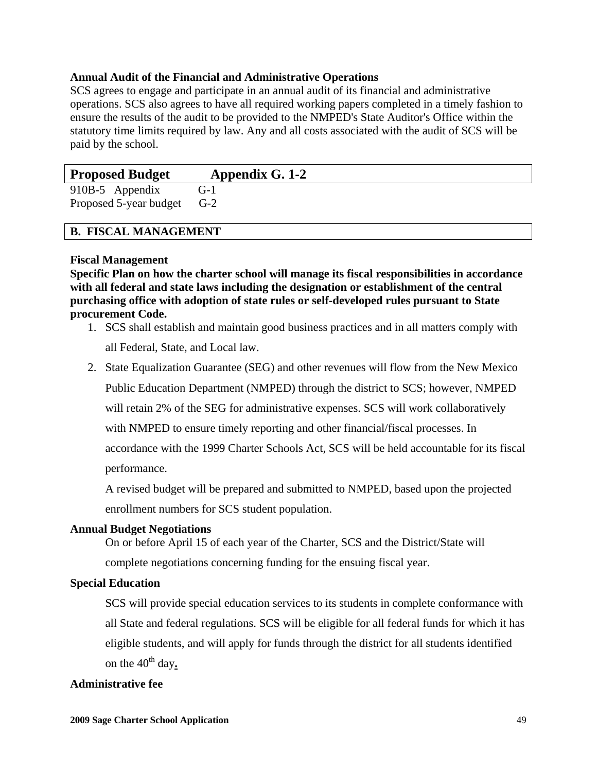## **Annual Audit of the Financial and Administrative Operations**

SCS agrees to engage and participate in an annual audit of its financial and administrative operations. SCS also agrees to have all required working papers completed in a timely fashion to ensure the results of the audit to be provided to the NMPED's State Auditor's Office within the statutory time limits required by law. Any and all costs associated with the audit of SCS will be paid by the school.

| <b>Proposed Budget</b> | Appendix G. 1-2 |  |
|------------------------|-----------------|--|
| 910B-5 Appendix        | G-1             |  |
| Proposed 5-year budget | $G-2$           |  |

# **B. FISCAL MANAGEMENT**

#### **Fiscal Management**

**Specific Plan on how the charter school will manage its fiscal responsibilities in accordance with all federal and state laws including the designation or establishment of the central purchasing office with adoption of state rules or self-developed rules pursuant to State procurement Code.** 

- 1. SCS shall establish and maintain good business practices and in all matters comply with all Federal, State, and Local law.
- 2. State Equalization Guarantee (SEG) and other revenues will flow from the New Mexico

Public Education Department (NMPED) through the district to SCS; however, NMPED

will retain 2% of the SEG for administrative expenses. SCS will work collaboratively

with NMPED to ensure timely reporting and other financial/fiscal processes. In

accordance with the 1999 Charter Schools Act, SCS will be held accountable for its fiscal performance.

 A revised budget will be prepared and submitted to NMPED, based upon the projected enrollment numbers for SCS student population.

#### **Annual Budget Negotiations**

On or before April 15 of each year of the Charter, SCS and the District/State will

complete negotiations concerning funding for the ensuing fiscal year.

# **Special Education**

SCS will provide special education services to its students in complete conformance with all State and federal regulations. SCS will be eligible for all federal funds for which it has eligible students, and will apply for funds through the district for all students identified on the  $40^{\text{th}}$  day.

#### **Administrative fee**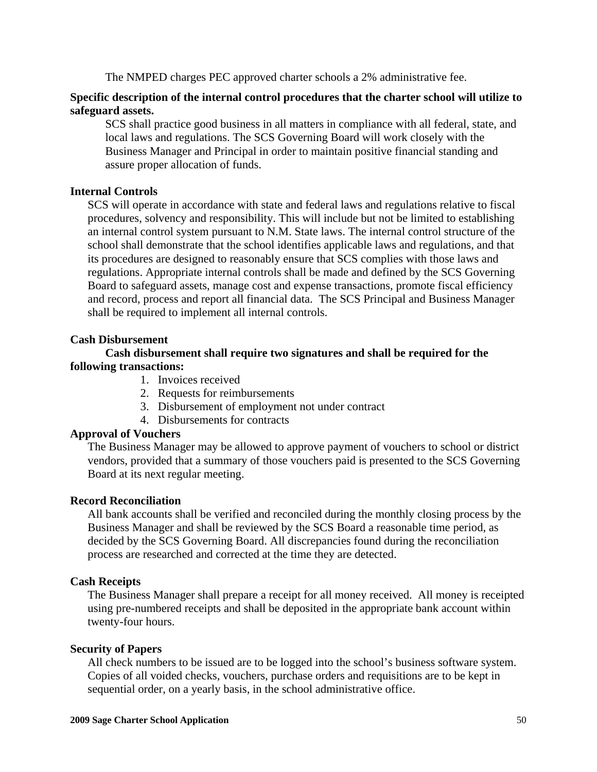The NMPED charges PEC approved charter schools a 2% administrative fee.

# **Specific description of the internal control procedures that the charter school will utilize to safeguard assets.**

SCS shall practice good business in all matters in compliance with all federal, state, and local laws and regulations. The SCS Governing Board will work closely with the Business Manager and Principal in order to maintain positive financial standing and assure proper allocation of funds.

# **Internal Controls**

SCS will operate in accordance with state and federal laws and regulations relative to fiscal procedures, solvency and responsibility. This will include but not be limited to establishing an internal control system pursuant to N.M. State laws. The internal control structure of the school shall demonstrate that the school identifies applicable laws and regulations, and that its procedures are designed to reasonably ensure that SCS complies with those laws and regulations. Appropriate internal controls shall be made and defined by the SCS Governing Board to safeguard assets, manage cost and expense transactions, promote fiscal efficiency and record, process and report all financial data. The SCS Principal and Business Manager shall be required to implement all internal controls.

# **Cash Disbursement**

# **Cash disbursement shall require two signatures and shall be required for the following transactions:**

- 1. Invoices received
- 2. Requests for reimbursements
- 3. Disbursement of employment not under contract
- 4. Disbursements for contracts

# **Approval of Vouchers**

The Business Manager may be allowed to approve payment of vouchers to school or district vendors, provided that a summary of those vouchers paid is presented to the SCS Governing Board at its next regular meeting.

# **Record Reconciliation**

All bank accounts shall be verified and reconciled during the monthly closing process by the Business Manager and shall be reviewed by the SCS Board a reasonable time period, as decided by the SCS Governing Board. All discrepancies found during the reconciliation process are researched and corrected at the time they are detected.

# **Cash Receipts**

The Business Manager shall prepare a receipt for all money received. All money is receipted using pre-numbered receipts and shall be deposited in the appropriate bank account within twenty-four hours.

# **Security of Papers**

All check numbers to be issued are to be logged into the school's business software system. Copies of all voided checks, vouchers, purchase orders and requisitions are to be kept in sequential order, on a yearly basis, in the school administrative office.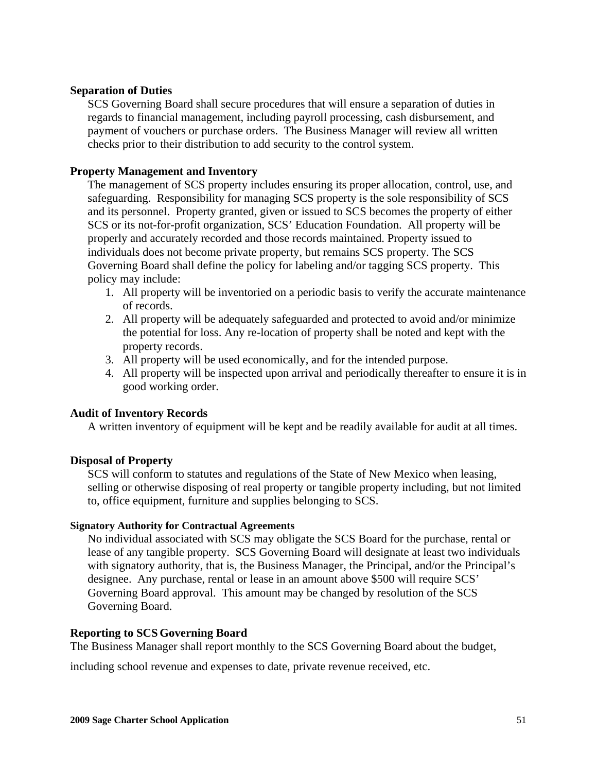# **Separation of Duties**

SCS Governing Board shall secure procedures that will ensure a separation of duties in regards to financial management, including payroll processing, cash disbursement, and payment of vouchers or purchase orders. The Business Manager will review all written checks prior to their distribution to add security to the control system.

# **Property Management and Inventory**

The management of SCS property includes ensuring its proper allocation, control, use, and safeguarding. Responsibility for managing SCS property is the sole responsibility of SCS and its personnel. Property granted, given or issued to SCS becomes the property of either SCS or its not-for-profit organization, SCS' Education Foundation. All property will be properly and accurately recorded and those records maintained. Property issued to individuals does not become private property, but remains SCS property. The SCS Governing Board shall define the policy for labeling and/or tagging SCS property. This policy may include:

- 1. All property will be inventoried on a periodic basis to verify the accurate maintenance of records.
- 2. All property will be adequately safeguarded and protected to avoid and/or minimize the potential for loss. Any re-location of property shall be noted and kept with the property records.
- 3. All property will be used economically, and for the intended purpose.
- 4. All property will be inspected upon arrival and periodically thereafter to ensure it is in good working order.

#### **Audit of Inventory Records**

A written inventory of equipment will be kept and be readily available for audit at all times.

#### **Disposal of Property**

SCS will conform to statutes and regulations of the State of New Mexico when leasing, selling or otherwise disposing of real property or tangible property including, but not limited to, office equipment, furniture and supplies belonging to SCS.

#### **Signatory Authority for Contractual Agreements**

No individual associated with SCS may obligate the SCS Board for the purchase, rental or lease of any tangible property. SCS Governing Board will designate at least two individuals with signatory authority, that is, the Business Manager, the Principal, and/or the Principal's designee. Any purchase, rental or lease in an amount above \$500 will require SCS' Governing Board approval. This amount may be changed by resolution of the SCS Governing Board.

#### **Reporting to SCS Governing Board**

The Business Manager shall report monthly to the SCS Governing Board about the budget,

including school revenue and expenses to date, private revenue received, etc.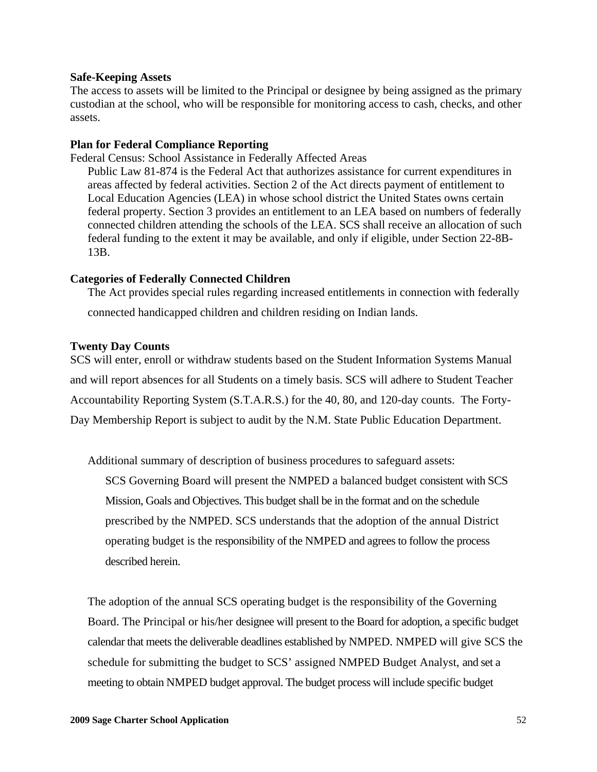#### **Safe-Keeping Assets**

The access to assets will be limited to the Principal or designee by being assigned as the primary custodian at the school, who will be responsible for monitoring access to cash, checks, and other assets.

#### **Plan for Federal Compliance Reporting**

Federal Census: School Assistance in Federally Affected Areas

Public Law 81-874 is the Federal Act that authorizes assistance for current expenditures in areas affected by federal activities. Section 2 of the Act directs payment of entitlement to Local Education Agencies (LEA) in whose school district the United States owns certain federal property. Section 3 provides an entitlement to an LEA based on numbers of federally connected children attending the schools of the LEA. SCS shall receive an allocation of such federal funding to the extent it may be available, and only if eligible, under Section 22-8B-13B.

#### **Categories of Federally Connected Children**

The Act provides special rules regarding increased entitlements in connection with federally connected handicapped children and children residing on Indian lands.

#### **Twenty Day Counts**

SCS will enter, enroll or withdraw students based on the Student Information Systems Manual and will report absences for all Students on a timely basis. SCS will adhere to Student Teacher Accountability Reporting System (S.T.A.R.S.) for the 40, 80, and 120-day counts. The Forty-Day Membership Report is subject to audit by the N.M. State Public Education Department.

Additional summary of description of business procedures to safeguard assets: SCS Governing Board will present the NMPED a balanced budget consistent with SCS Mission, Goals and Objectives. This budget shall be in the format and on the schedule prescribed by the NMPED. SCS understands that the adoption of the annual District operating budget is the responsibility of the NMPED and agrees to follow the process described herein.

The adoption of the annual SCS operating budget is the responsibility of the Governing Board. The Principal or his/her designee will present to the Board for adoption, a specific budget calendar that meets the deliverable deadlines established by NMPED. NMPED will give SCS the schedule for submitting the budget to SCS' assigned NMPED Budget Analyst, and set a meeting to obtain NMPED budget approval. The budget process will include specific budget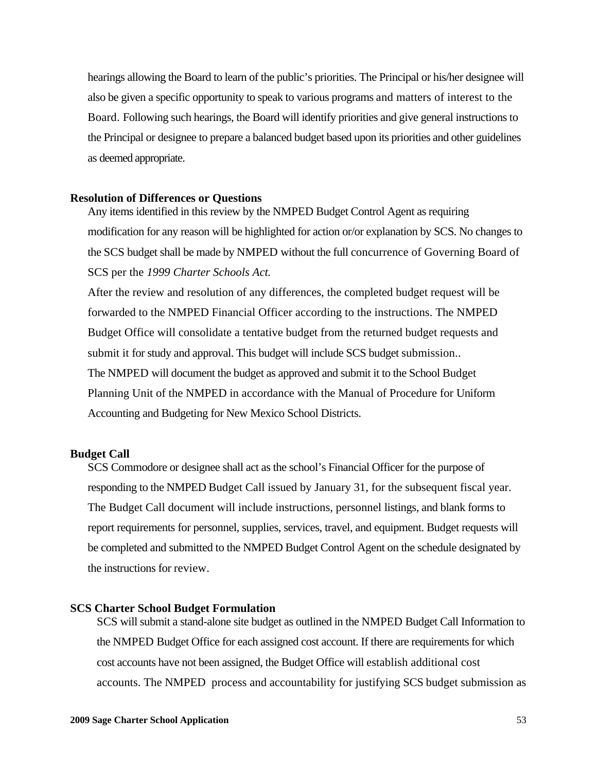hearings allowing the Board to learn of the public's priorities. The Principal or his/her designee will also be given a specific opportunity to speak to various programs and matters of interest to the Board. Following such hearings, the Board will identify priorities and give general instructions to the Principal or designee to prepare a balanced budget based upon its priorities and other guidelines as deemed appropriate.

#### **Resolution of Differences or Questions**

Any items identified in this review by the NMPED Budget Control Agent as requiring modification for any reason will be highlighted for action or/or explanation by SCS. No changes to the SCS budget shall be made by NMPED without the full concurrence of Governing Board of SCS per the *1999 Charter Schools Act.* 

After the review and resolution of any differences, the completed budget request will be forwarded to the NMPED Financial Officer according to the instructions. The NMPED Budget Office will consolidate a tentative budget from the returned budget requests and submit it for study and approval. This budget will include SCS budget submission.. The NMPED will document the budget as approved and submit it to the School Budget Planning Unit of the NMPED in accordance with the Manual of Procedure for Uniform Accounting and Budgeting for New Mexico School Districts.

#### **Budget Call**

SCS Commodore or designee shall act as the school's Financial Officer for the purpose of responding to the NMPED Budget Call issued by January 31, for the subsequent fiscal year. The Budget Call document will include instructions, personnel listings, and blank forms to report requirements for personnel, supplies, services, travel, and equipment. Budget requests will be completed and submitted to the NMPED Budget Control Agent on the schedule designated by the instructions for review.

#### **SCS Charter School Budget Formulation**

SCS will submit a stand-alone site budget as outlined in the NMPED Budget Call Information to the NMPED Budget Office for each assigned cost account. If there are requirements for which cost accounts have not been assigned, the Budget Office will establish additional cost accounts. The NMPED process and accountability for justifying SCS budget submission as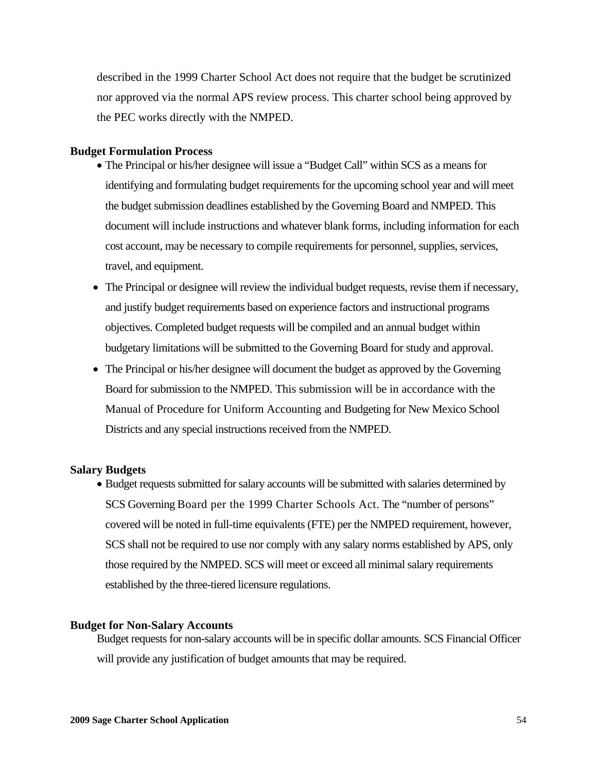described in the 1999 Charter School Act does not require that the budget be scrutinized nor approved via the normal APS review process. This charter school being approved by the PEC works directly with the NMPED.

#### **Budget Formulation Process**

- The Principal or his/her designee will issue a "Budget Call" within SCS as a means for identifying and formulating budget requirements for the upcoming school year and will meet the budget submission deadlines established by the Governing Board and NMPED. This document will include instructions and whatever blank forms, including information for each cost account, may be necessary to compile requirements for personnel, supplies, services, travel, and equipment.
- The Principal or designee will review the individual budget requests, revise them if necessary, and justify budget requirements based on experience factors and instructional programs objectives. Completed budget requests will be compiled and an annual budget within budgetary limitations will be submitted to the Governing Board for study and approval.
- The Principal or his/her designee will document the budget as approved by the Governing Board for submission to the NMPED. This submission will be in accordance with the Manual of Procedure for Uniform Accounting and Budgeting for New Mexico School Districts and any special instructions received from the NMPED.

#### **Salary Budgets**

• Budget requests submitted for salary accounts will be submitted with salaries determined by SCS Governing Board per the 1999 Charter Schools Act. The "number of persons" covered will be noted in full-time equivalents (FTE) per the NMPED requirement, however, SCS shall not be required to use nor comply with any salary norms established by APS, only those required by the NMPED. SCS will meet or exceed all minimal salary requirements established by the three-tiered licensure regulations.

#### **Budget for Non-Salary Accounts**

Budget requests for non-salary accounts will be in specific dollar amounts. SCS Financial Officer will provide any justification of budget amounts that may be required.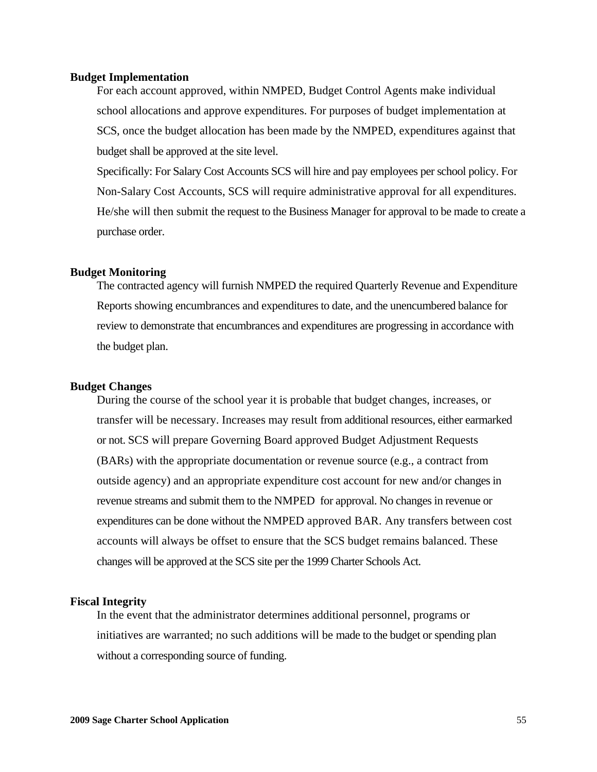#### **Budget Implementation**

For each account approved, within NMPED, Budget Control Agents make individual school allocations and approve expenditures. For purposes of budget implementation at SCS, once the budget allocation has been made by the NMPED, expenditures against that budget shall be approved at the site level.

Specifically: For Salary Cost Accounts SCS will hire and pay employees per school policy. For Non-Salary Cost Accounts, SCS will require administrative approval for all expenditures. He/she will then submit the request to the Business Manager for approval to be made to create a purchase order.

#### **Budget Monitoring**

The contracted agency will furnish NMPED the required Quarterly Revenue and Expenditure Reports showing encumbrances and expenditures to date, and the unencumbered balance for review to demonstrate that encumbrances and expenditures are progressing in accordance with the budget plan.

#### **Budget Changes**

During the course of the school year it is probable that budget changes, increases, or transfer will be necessary. Increases may result from additional resources, either earmarked or not. SCS will prepare Governing Board approved Budget Adjustment Requests (BARs) with the appropriate documentation or revenue source (e.g., a contract from outside agency) and an appropriate expenditure cost account for new and/or changes in revenue streams and submit them to the NMPED for approval. No changes in revenue or expenditures can be done without the NMPED approved BAR. Any transfers between cost accounts will always be offset to ensure that the SCS budget remains balanced. These changes will be approved at the SCS site per the 1999 Charter Schools Act.

#### **Fiscal Integrity**

In the event that the administrator determines additional personnel, programs or initiatives are warranted; no such additions will be made to the budget or spending plan without a corresponding source of funding.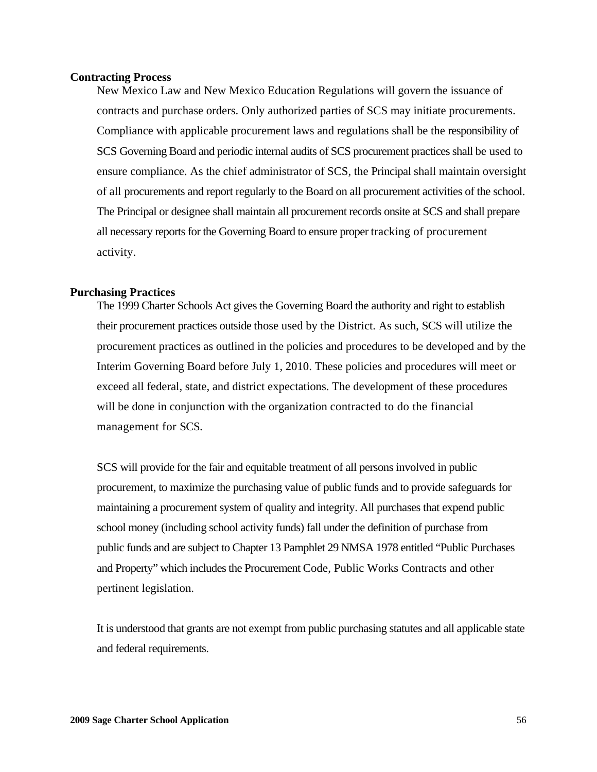#### **Contracting Process**

New Mexico Law and New Mexico Education Regulations will govern the issuance of contracts and purchase orders. Only authorized parties of SCS may initiate procurements. Compliance with applicable procurement laws and regulations shall be the responsibility of SCS Governing Board and periodic internal audits of SCS procurement practices shall be used to ensure compliance. As the chief administrator of SCS, the Principal shall maintain oversight of all procurements and report regularly to the Board on all procurement activities of the school. The Principal or designee shall maintain all procurement records onsite at SCS and shall prepare all necessary reports for the Governing Board to ensure proper tracking of procurement activity.

#### **Purchasing Practices**

The 1999 Charter Schools Act gives the Governing Board the authority and right to establish their procurement practices outside those used by the District. As such, SCS will utilize the procurement practices as outlined in the policies and procedures to be developed and by the Interim Governing Board before July 1, 2010. These policies and procedures will meet or exceed all federal, state, and district expectations. The development of these procedures will be done in conjunction with the organization contracted to do the financial management for SCS.

SCS will provide for the fair and equitable treatment of all persons involved in public procurement, to maximize the purchasing value of public funds and to provide safeguards for maintaining a procurement system of quality and integrity. All purchases that expend public school money (including school activity funds) fall under the definition of purchase from public funds and are subject to Chapter 13 Pamphlet 29 NMSA 1978 entitled "Public Purchases and Property" which includes the Procurement Code, Public Works Contracts and other pertinent legislation.

It is understood that grants are not exempt from public purchasing statutes and all applicable state and federal requirements.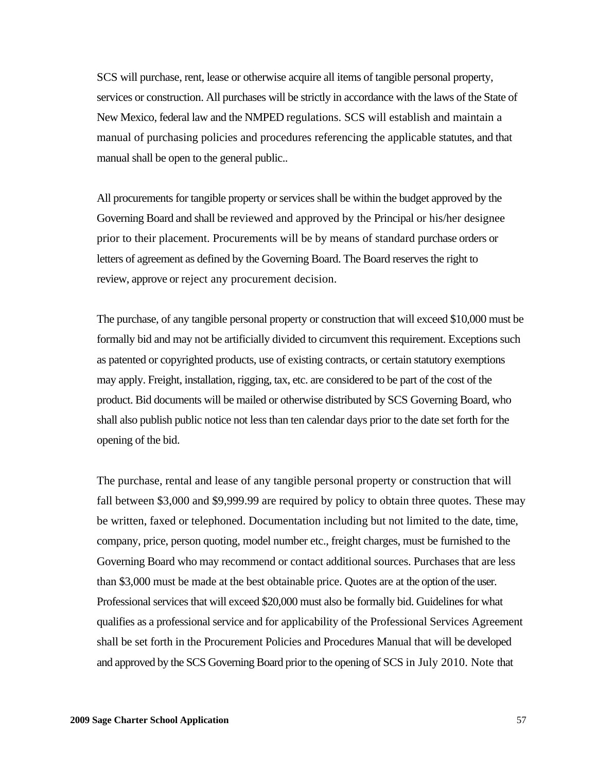SCS will purchase, rent, lease or otherwise acquire all items of tangible personal property, services or construction. All purchases will be strictly in accordance with the laws of the State of New Mexico, federal law and the NMPED regulations. SCS will establish and maintain a manual of purchasing policies and procedures referencing the applicable statutes, and that manual shall be open to the general public..

All procurements for tangible property or services shall be within the budget approved by the Governing Board and shall be reviewed and approved by the Principal or his/her designee prior to their placement. Procurements will be by means of standard purchase orders or letters of agreement as defined by the Governing Board. The Board reserves the right to review, approve or reject any procurement decision.

The purchase, of any tangible personal property or construction that will exceed \$10,000 must be formally bid and may not be artificially divided to circumvent this requirement. Exceptions such as patented or copyrighted products, use of existing contracts, or certain statutory exemptions may apply. Freight, installation, rigging, tax, etc. are considered to be part of the cost of the product. Bid documents will be mailed or otherwise distributed by SCS Governing Board, who shall also publish public notice not less than ten calendar days prior to the date set forth for the opening of the bid.

The purchase, rental and lease of any tangible personal property or construction that will fall between \$3,000 and \$9,999.99 are required by policy to obtain three quotes. These may be written, faxed or telephoned. Documentation including but not limited to the date, time, company, price, person quoting, model number etc., freight charges, must be furnished to the Governing Board who may recommend or contact additional sources. Purchases that are less than \$3,000 must be made at the best obtainable price. Quotes are at the option of the user. Professional services that will exceed \$20,000 must also be formally bid. Guidelines for what qualifies as a professional service and for applicability of the Professional Services Agreement shall be set forth in the Procurement Policies and Procedures Manual that will be developed and approved by the SCS Governing Board prior to the opening of SCS in July 2010. Note that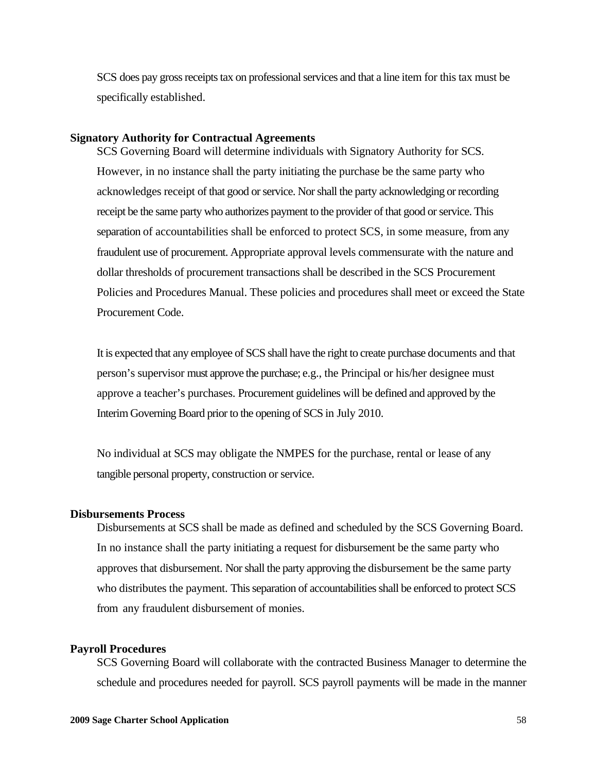SCS does pay gross receipts tax on professional services and that a line item for this tax must be specifically established.

#### **Signatory Authority for Contractual Agreements**

SCS Governing Board will determine individuals with Signatory Authority for SCS. However, in no instance shall the party initiating the purchase be the same party who acknowledges receipt of that good or service. Nor shall the party acknowledging or recording receipt be the same party who authorizes payment to the provider of that good or service. This separation of accountabilities shall be enforced to protect SCS, in some measure, from any fraudulent use of procurement. Appropriate approval levels commensurate with the nature and dollar thresholds of procurement transactions shall be described in the SCS Procurement Policies and Procedures Manual. These policies and procedures shall meet or exceed the State Procurement Code.

It is expected that any employee of SCS shall have the right to create purchase documents and that person's supervisor must approve the purchase; e.g., the Principal or his/her designee must approve a teacher's purchases. Procurement guidelines will be defined and approved by the Interim Governing Board prior to the opening of SCS in July 2010.

No individual at SCS may obligate the NMPES for the purchase, rental or lease of any tangible personal property, construction or service.

#### **Disbursements Process**

Disbursements at SCS shall be made as defined and scheduled by the SCS Governing Board. In no instance shall the party initiating a request for disbursement be the same party who approves that disbursement. Nor shall the party approving the disbursement be the same party who distributes the payment. This separation of accountabilities shall be enforced to protect SCS from any fraudulent disbursement of monies.

#### **Payroll Procedures**

SCS Governing Board will collaborate with the contracted Business Manager to determine the schedule and procedures needed for payroll. SCS payroll payments will be made in the manner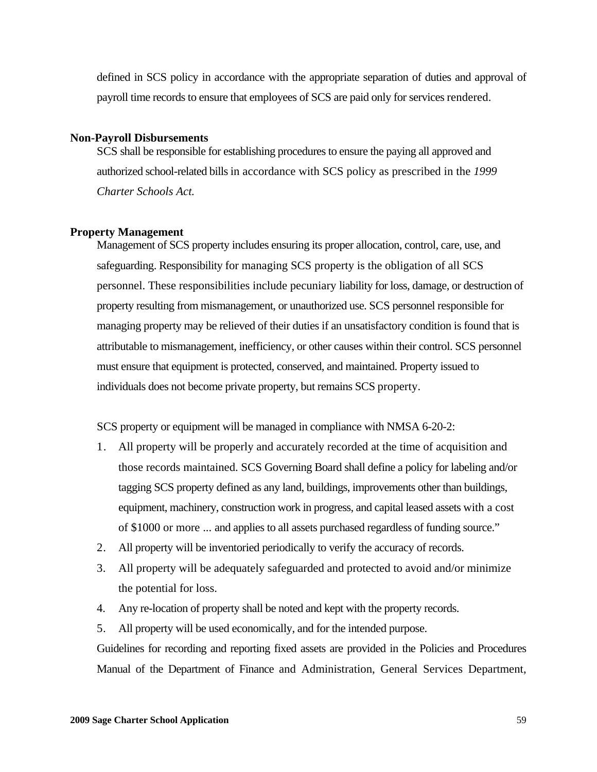defined in SCS policy in accordance with the appropriate separation of duties and approval of payroll time records to ensure that employees of SCS are paid only for services rendered.

#### **Non-Payroll Disbursements**

SCS shall be responsible for establishing procedures to ensure the paying all approved and authorized school-related bills in accordance with SCS policy as prescribed in the *1999 Charter Schools Act.* 

#### **Property Management**

Management of SCS property includes ensuring its proper allocation, control, care, use, and safeguarding. Responsibility for managing SCS property is the obligation of all SCS personnel. These responsibilities include pecuniary liability for loss, damage, or destruction of property resulting from mismanagement, or unauthorized use. SCS personnel responsible for managing property may be relieved of their duties if an unsatisfactory condition is found that is attributable to mismanagement, inefficiency, or other causes within their control. SCS personnel must ensure that equipment is protected, conserved, and maintained. Property issued to individuals does not become private property, but remains SCS property.

SCS property or equipment will be managed in compliance with NMSA 6-20-2:

- 1. All property will be properly and accurately recorded at the time of acquisition and those records maintained. SCS Governing Board shall define a policy for labeling and/or tagging SCS property defined as any land, buildings, improvements other than buildings, equipment, machinery, construction work in progress, and capital leased assets with a cost of \$1000 or more ... and applies to all assets purchased regardless of funding source."
- 2. All property will be inventoried periodically to verify the accuracy of records.
- 3. All property will be adequately safeguarded and protected to avoid and/or minimize the potential for loss.
- 4. Any re-location of property shall be noted and kept with the property records.
- 5. All property will be used economically, and for the intended purpose.

Guidelines for recording and reporting fixed assets are provided in the Policies and Procedures Manual of the Department of Finance and Administration, General Services Department,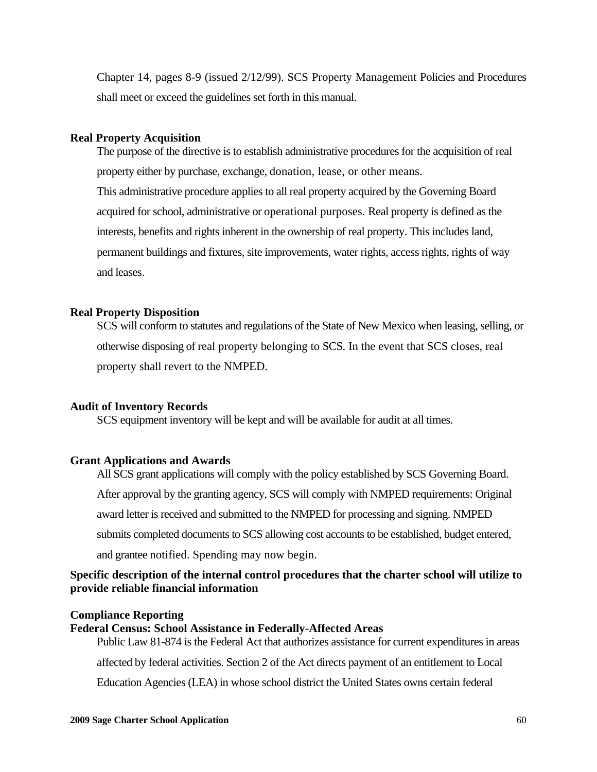Chapter 14, pages 8-9 (issued 2/12/99). SCS Property Management Policies and Procedures shall meet or exceed the guidelines set forth in this manual.

#### **Real Property Acquisition**

The purpose of the directive is to establish administrative procedures for the acquisition of real property either by purchase, exchange, donation, lease, or other means. This administrative procedure applies to all real property acquired by the Governing Board acquired for school, administrative or operational purposes. Real property is defined as the interests, benefits and rights inherent in the ownership of real property. This includes land, permanent buildings and fixtures, site improvements, water rights, access rights, rights of way and leases.

#### **Real Property Disposition**

SCS will conform to statutes and regulations of the State of New Mexico when leasing, selling, or otherwise disposing of real property belonging to SCS. In the event that SCS closes, real property shall revert to the NMPED.

#### **Audit of Inventory Records**

SCS equipment inventory will be kept and will be available for audit at all times.

#### **Grant Applications and Awards**

All SCS grant applications will comply with the policy established by SCS Governing Board. After approval by the granting agency, SCS will comply with NMPED requirements: Original award letter is received and submitted to the NMPED for processing and signing. NMPED submits completed documents to SCS allowing cost accounts to be established, budget entered, and grantee notified. Spending may now begin.

# **Specific description of the internal control procedures that the charter school will utilize to provide reliable financial information**

#### **Compliance Reporting**

**Federal Census: School Assistance in Federally-Affected Areas** 

Public Law 81-874 is the Federal Act that authorizes assistance for current expenditures in areas

affected by federal activities. Section 2 of the Act directs payment of an entitlement to Local

Education Agencies (LEA) in whose school district the United States owns certain federal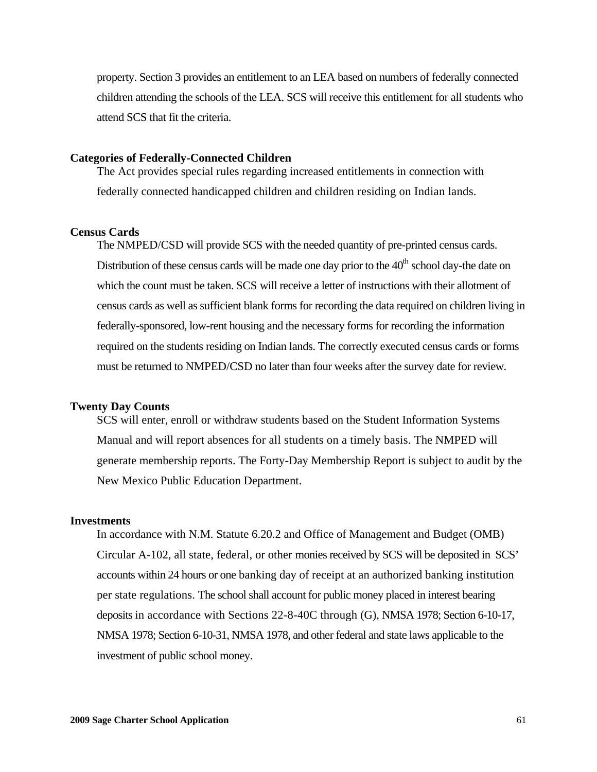property. Section 3 provides an entitlement to an LEA based on numbers of federally connected children attending the schools of the LEA. SCS will receive this entitlement for all students who attend SCS that fit the criteria.

#### **Categories of Federally-Connected Children**

The Act provides special rules regarding increased entitlements in connection with federally connected handicapped children and children residing on Indian lands.

#### **Census Cards**

The NMPED/CSD will provide SCS with the needed quantity of pre-printed census cards. Distribution of these census cards will be made one day prior to the  $40<sup>th</sup>$  school day-the date on which the count must be taken. SCS will receive a letter of instructions with their allotment of census cards as well as sufficient blank forms for recording the data required on children living in federally-sponsored, low-rent housing and the necessary forms for recording the information required on the students residing on Indian lands. The correctly executed census cards or forms must be returned to NMPED/CSD no later than four weeks after the survey date for review.

#### **Twenty Day Counts**

SCS will enter, enroll or withdraw students based on the Student Information Systems Manual and will report absences for all students on a timely basis. The NMPED will generate membership reports. The Forty-Day Membership Report is subject to audit by the New Mexico Public Education Department.

#### **Investments**

In accordance with N.M. Statute 6.20.2 and Office of Management and Budget (OMB) Circular A-102, all state, federal, or other monies received by SCS will be deposited in SCS' accounts within 24 hours or one banking day of receipt at an authorized banking institution per state regulations. The school shall account for public money placed in interest bearing deposits in accordance with Sections 22-8-40C through (G), NMSA 1978; Section 6-10-17, NMSA 1978; Section 6-10-31, NMSA 1978, and other federal and state laws applicable to the investment of public school money.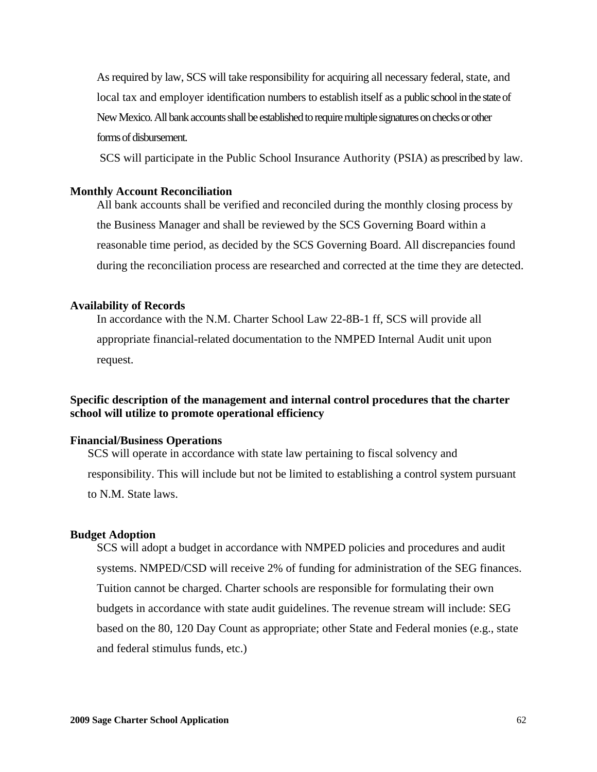As required by law, SCS will take responsibility for acquiring all necessary federal, state, and local tax and employer identification numbers to establish itself as a public school in the state of New Mexico. All bank accounts shall be established to require multiple signatures on checks or other forms of disbursement.

SCS will participate in the Public School Insurance Authority (PSIA) as prescribed by law.

#### **Monthly Account Reconciliation**

All bank accounts shall be verified and reconciled during the monthly closing process by the Business Manager and shall be reviewed by the SCS Governing Board within a reasonable time period, as decided by the SCS Governing Board. All discrepancies found during the reconciliation process are researched and corrected at the time they are detected.

#### **Availability of Records**

In accordance with the N.M. Charter School Law 22-8B-1 ff, SCS will provide all appropriate financial-related documentation to the NMPED Internal Audit unit upon request.

# **Specific description of the management and internal control procedures that the charter school will utilize to promote operational efficiency**

#### **Financial/Business Operations**

SCS will operate in accordance with state law pertaining to fiscal solvency and responsibility. This will include but not be limited to establishing a control system pursuant to N.M. State laws.

#### **Budget Adoption**

SCS will adopt a budget in accordance with NMPED policies and procedures and audit systems. NMPED/CSD will receive 2% of funding for administration of the SEG finances. Tuition cannot be charged. Charter schools are responsible for formulating their own budgets in accordance with state audit guidelines. The revenue stream will include: SEG based on the 80, 120 Day Count as appropriate; other State and Federal monies (e.g., state and federal stimulus funds, etc.)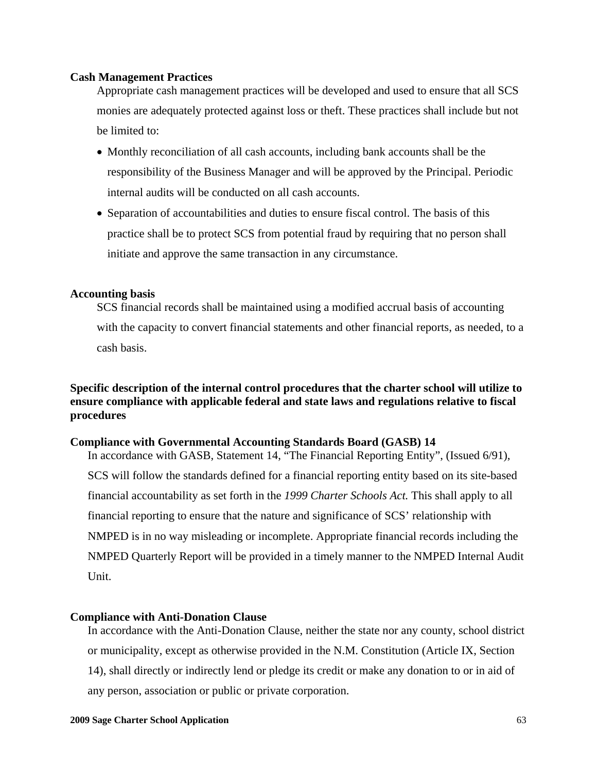#### **Cash Management Practices**

Appropriate cash management practices will be developed and used to ensure that all SCS monies are adequately protected against loss or theft. These practices shall include but not be limited to:

- Monthly reconciliation of all cash accounts, including bank accounts shall be the responsibility of the Business Manager and will be approved by the Principal. Periodic internal audits will be conducted on all cash accounts.
- Separation of accountabilities and duties to ensure fiscal control. The basis of this practice shall be to protect SCS from potential fraud by requiring that no person shall initiate and approve the same transaction in any circumstance.

#### **Accounting basis**

SCS financial records shall be maintained using a modified accrual basis of accounting with the capacity to convert financial statements and other financial reports, as needed, to a cash basis.

# **Specific description of the internal control procedures that the charter school will utilize to ensure compliance with applicable federal and state laws and regulations relative to fiscal procedures**

#### **Compliance with Governmental Accounting Standards Board (GASB) 14**

In accordance with GASB, Statement 14, "The Financial Reporting Entity", (Issued 6/91), SCS will follow the standards defined for a financial reporting entity based on its site-based financial accountability as set forth in the *1999 Charter Schools Act.* This shall apply to all financial reporting to ensure that the nature and significance of SCS' relationship with NMPED is in no way misleading or incomplete. Appropriate financial records including the NMPED Quarterly Report will be provided in a timely manner to the NMPED Internal Audit Unit.

#### **Compliance with Anti-Donation Clause**

In accordance with the Anti-Donation Clause, neither the state nor any county, school district or municipality, except as otherwise provided in the N.M. Constitution (Article IX, Section 14), shall directly or indirectly lend or pledge its credit or make any donation to or in aid of any person, association or public or private corporation.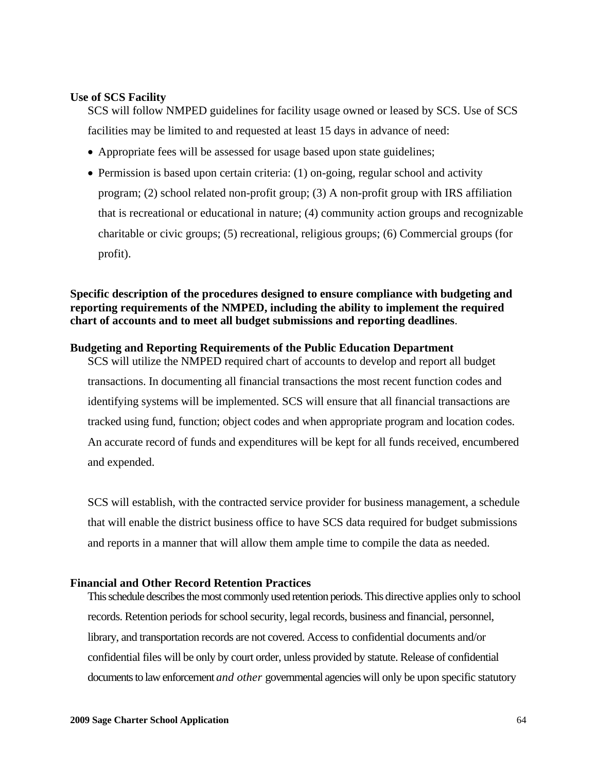#### **Use of SCS Facility**

SCS will follow NMPED guidelines for facility usage owned or leased by SCS. Use of SCS facilities may be limited to and requested at least 15 days in advance of need:

- Appropriate fees will be assessed for usage based upon state guidelines;
- Permission is based upon certain criteria: (1) on-going, regular school and activity program; (2) school related non-profit group; (3) A non-profit group with IRS affiliation that is recreational or educational in nature; (4) community action groups and recognizable charitable or civic groups; (5) recreational, religious groups; (6) Commercial groups (for profit).

# **Specific description of the procedures designed to ensure compliance with budgeting and reporting requirements of the NMPED, including the ability to implement the required chart of accounts and to meet all budget submissions and reporting deadlines**.

#### **Budgeting and Reporting Requirements of the Public Education Department**

SCS will utilize the NMPED required chart of accounts to develop and report all budget transactions. In documenting all financial transactions the most recent function codes and identifying systems will be implemented. SCS will ensure that all financial transactions are tracked using fund, function; object codes and when appropriate program and location codes. An accurate record of funds and expenditures will be kept for all funds received, encumbered and expended.

SCS will establish, with the contracted service provider for business management, a schedule that will enable the district business office to have SCS data required for budget submissions and reports in a manner that will allow them ample time to compile the data as needed.

#### **Financial and Other Record Retention Practices**

This schedule describes the most commonly used retention periods. This directive applies only to school records. Retention periods for school security, legal records, business and financial, personnel, library, and transportation records are not covered. Access to confidential documents and/or confidential files will be only by court order, unless provided by statute. Release of confidential documents to law enforcement *and other* governmental agencies will only be upon specific statutory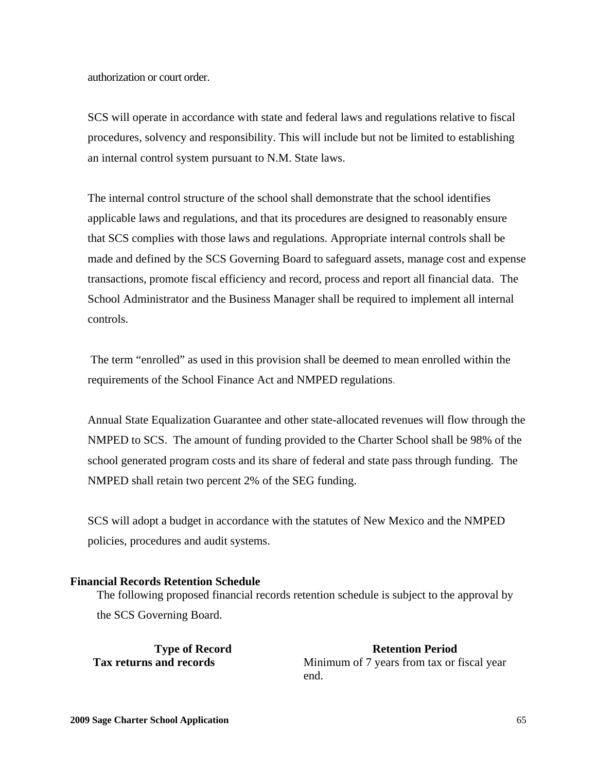authorization or court order.

SCS will operate in accordance with state and federal laws and regulations relative to fiscal procedures, solvency and responsibility. This will include but not be limited to establishing an internal control system pursuant to N.M. State laws.

The internal control structure of the school shall demonstrate that the school identifies applicable laws and regulations, and that its procedures are designed to reasonably ensure that SCS complies with those laws and regulations. Appropriate internal controls shall be made and defined by the SCS Governing Board to safeguard assets, manage cost and expense transactions, promote fiscal efficiency and record, process and report all financial data. The School Administrator and the Business Manager shall be required to implement all internal controls.

 The term "enrolled" as used in this provision shall be deemed to mean enrolled within the requirements of the School Finance Act and NMPED regulations.

Annual State Equalization Guarantee and other state-allocated revenues will flow through the NMPED to SCS. The amount of funding provided to the Charter School shall be 98% of the school generated program costs and its share of federal and state pass through funding. The NMPED shall retain two percent 2% of the SEG funding.

SCS will adopt a budget in accordance with the statutes of New Mexico and the NMPED policies, procedures and audit systems.

#### **Financial Records Retention Schedule**

The following proposed financial records retention schedule is subject to the approval by the SCS Governing Board.

**Type of Record Retention Period Retention Period Tax returns and records Minimum of 7 years from tax or fiscal year** end.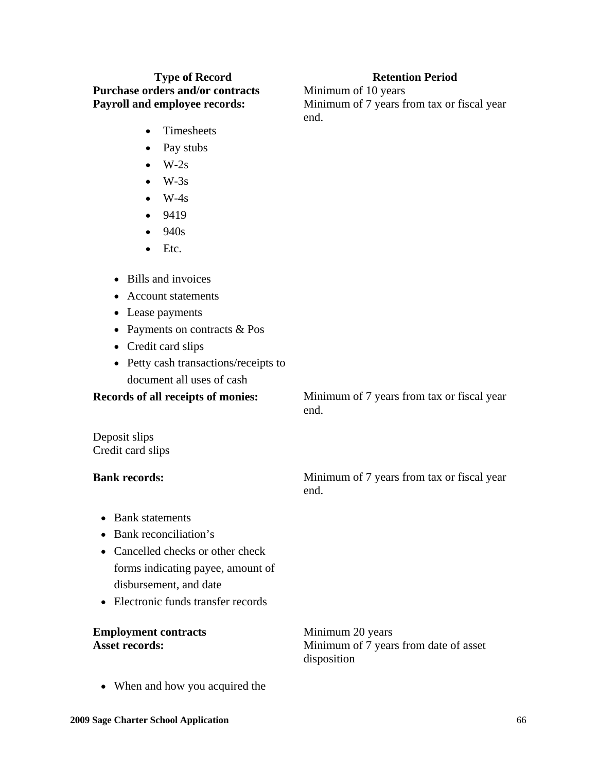# **Type of Record Retention Period Retention Period Purchase orders and/or contracts** Minimum of 10 years

- Timesheets
- Pay stubs
- $W-2s$
- $\bullet$  W-3s
- $W-4s$
- 9419
- $940s$
- Etc.
- Bills and invoices
- Account statements
- Lease payments
- Payments on contracts & Pos
- Credit card slips
- Petty cash transactions/receipts to document all uses of cash

**Records of all receipts of monies:** Minimum of 7 years from tax or fiscal year

Deposit slips Credit card slips

**Bank records:** Minimum of 7 years from tax or fiscal year end.

- Bank statements
- Bank reconciliation's
- Cancelled checks or other check forms indicating payee, amount of disbursement, and date
- Electronic funds transfer records

| <b>Employment contracts</b> | Minimum 20 years                      |
|-----------------------------|---------------------------------------|
| <b>Asset records:</b>       | Minimum of 7 years from date of asset |
|                             | disposition                           |

• When and how you acquired the

end.

**Payroll and employee records:** Minimum of 7 years from tax or fiscal year end.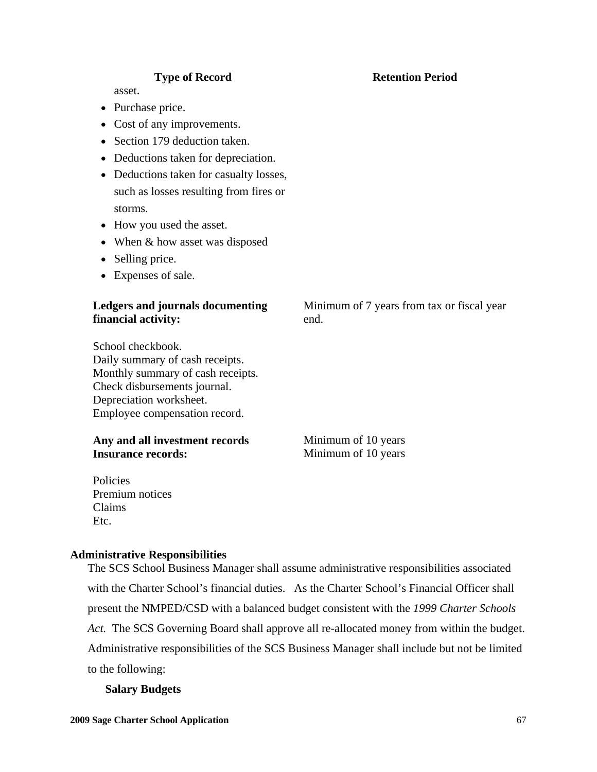asset.

- Purchase price.
- Cost of any improvements.
- Section 179 deduction taken.
- Deductions taken for depreciation.
- Deductions taken for casualty losses, such as losses resulting from fires or storms.
- How you used the asset.
- When  $&$  how asset was disposed
- Selling price.
- Expenses of sale.

# **Ledgers and journals documenting financial activity:**

School checkbook. Daily summary of cash receipts. Monthly summary of cash receipts. Check disbursements journal. Depreciation worksheet. Employee compensation record.

# Any and all investment records **Minimum of 10 years Insurance records:** Minimum of 10 years

Policies Premium notices Claims Etc.

#### **Administrative Responsibilities**

The SCS School Business Manager shall assume administrative responsibilities associated with the Charter School's financial duties. As the Charter School's Financial Officer shall present the NMPED/CSD with a balanced budget consistent with the *1999 Charter Schools Act.* The SCS Governing Board shall approve all re-allocated money from within the budget. Administrative responsibilities of the SCS Business Manager shall include but not be limited to the following:

#### **Salary Budgets**

# Minimum of 7 years from tax or fiscal year end.

# **Type of Record Retention Period Retention Period**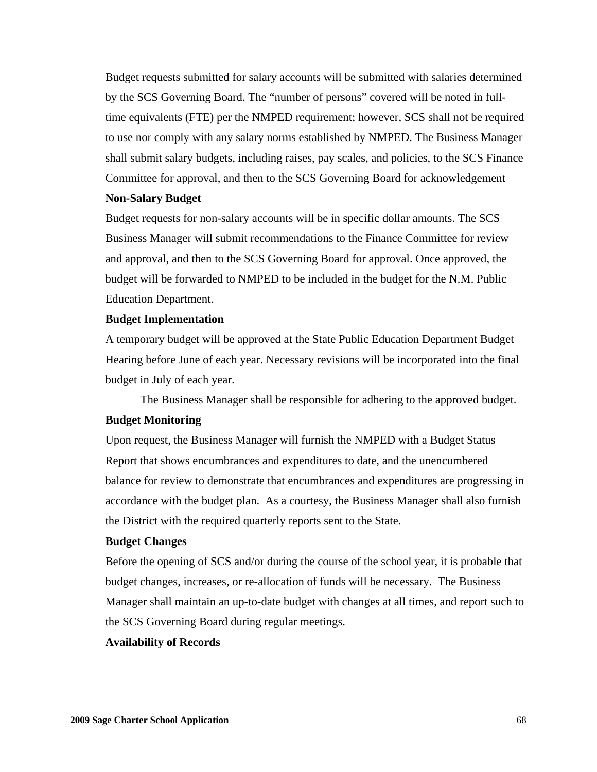Budget requests submitted for salary accounts will be submitted with salaries determined by the SCS Governing Board. The "number of persons" covered will be noted in fulltime equivalents (FTE) per the NMPED requirement; however, SCS shall not be required to use nor comply with any salary norms established by NMPED. The Business Manager shall submit salary budgets, including raises, pay scales, and policies, to the SCS Finance Committee for approval, and then to the SCS Governing Board for acknowledgement

#### **Non-Salary Budget**

Budget requests for non-salary accounts will be in specific dollar amounts. The SCS Business Manager will submit recommendations to the Finance Committee for review and approval, and then to the SCS Governing Board for approval. Once approved, the budget will be forwarded to NMPED to be included in the budget for the N.M. Public Education Department.

#### **Budget Implementation**

A temporary budget will be approved at the State Public Education Department Budget Hearing before June of each year. Necessary revisions will be incorporated into the final budget in July of each year.

The Business Manager shall be responsible for adhering to the approved budget.

#### **Budget Monitoring**

Upon request, the Business Manager will furnish the NMPED with a Budget Status Report that shows encumbrances and expenditures to date, and the unencumbered balance for review to demonstrate that encumbrances and expenditures are progressing in accordance with the budget plan. As a courtesy, the Business Manager shall also furnish the District with the required quarterly reports sent to the State.

# **Budget Changes**

Before the opening of SCS and/or during the course of the school year, it is probable that budget changes, increases, or re-allocation of funds will be necessary. The Business Manager shall maintain an up-to-date budget with changes at all times, and report such to the SCS Governing Board during regular meetings.

#### **Availability of Records**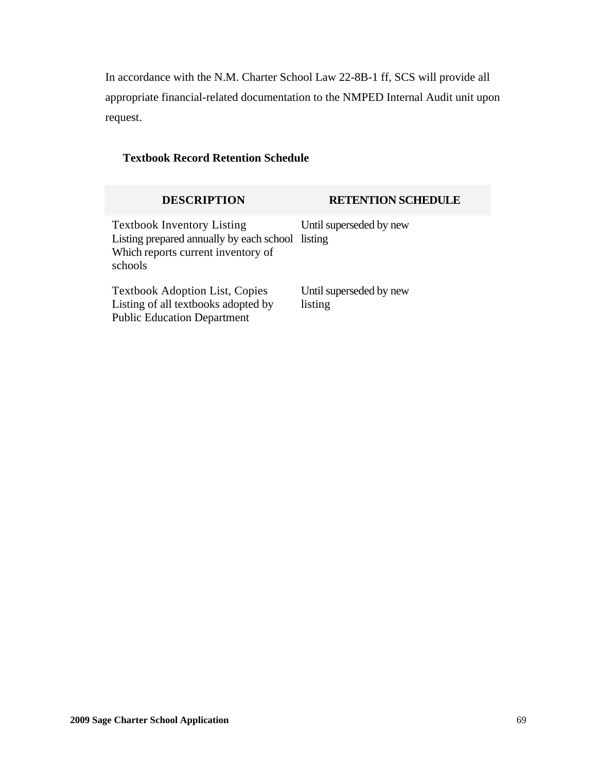In accordance with the N.M. Charter School Law 22-8B-1 ff, SCS will provide all appropriate financial-related documentation to the NMPED Internal Audit unit upon request.

# **Textbook Record Retention Schedule**

| <b>DESCRIPTION</b>                                                                                                                     | <b>RETENTION SCHEDULE</b>          |
|----------------------------------------------------------------------------------------------------------------------------------------|------------------------------------|
| <b>Textbook Inventory Listing</b><br>Listing prepared annually by each school listing<br>Which reports current inventory of<br>schools | Until superseded by new            |
| <b>Textbook Adoption List, Copies</b><br>Listing of all textbooks adopted by<br><b>Public Education Department</b>                     | Until superseded by new<br>listing |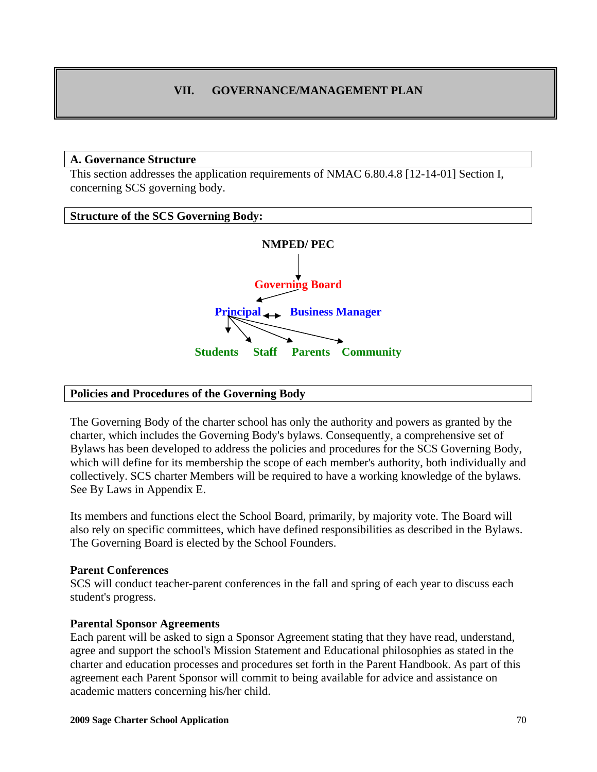# **VII. GOVERNANCE/MANAGEMENT PLAN**

#### **A. Governance Structure**

This section addresses the application requirements of NMAC 6.80.4.8 [12-14-01] Section I, concerning SCS governing body.

#### **Structure of the SCS Governing Body:**



#### **Policies and Procedures of the Governing Body**

The Governing Body of the charter school has only the authority and powers as granted by the charter, which includes the Governing Body's bylaws. Consequently, a comprehensive set of Bylaws has been developed to address the policies and procedures for the SCS Governing Body, which will define for its membership the scope of each member's authority, both individually and collectively. SCS charter Members will be required to have a working knowledge of the bylaws. See By Laws in Appendix E.

Its members and functions elect the School Board, primarily, by majority vote. The Board will also rely on specific committees, which have defined responsibilities as described in the Bylaws. The Governing Board is elected by the School Founders.

#### **Parent Conferences**

SCS will conduct teacher-parent conferences in the fall and spring of each year to discuss each student's progress.

#### **Parental Sponsor Agreements**

Each parent will be asked to sign a Sponsor Agreement stating that they have read, understand, agree and support the school's Mission Statement and Educational philosophies as stated in the charter and education processes and procedures set forth in the Parent Handbook. As part of this agreement each Parent Sponsor will commit to being available for advice and assistance on academic matters concerning his/her child.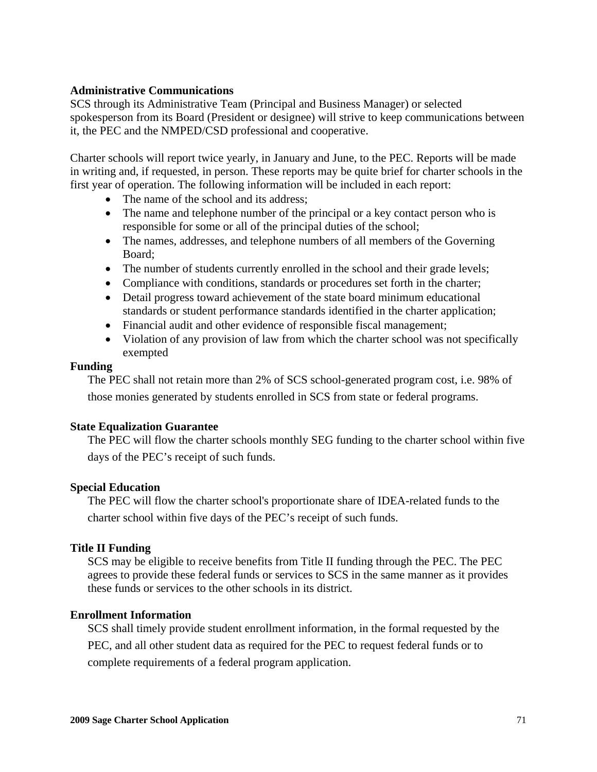# **Administrative Communications**

SCS through its Administrative Team (Principal and Business Manager) or selected spokesperson from its Board (President or designee) will strive to keep communications between it, the PEC and the NMPED/CSD professional and cooperative.

Charter schools will report twice yearly, in January and June, to the PEC. Reports will be made in writing and, if requested, in person. These reports may be quite brief for charter schools in the first year of operation. The following information will be included in each report:

- The name of the school and its address;
- The name and telephone number of the principal or a key contact person who is responsible for some or all of the principal duties of the school;
- The names, addresses, and telephone numbers of all members of the Governing Board;
- The number of students currently enrolled in the school and their grade levels;
- Compliance with conditions, standards or procedures set forth in the charter;
- Detail progress toward achievement of the state board minimum educational standards or student performance standards identified in the charter application;
- Financial audit and other evidence of responsible fiscal management;
- Violation of any provision of law from which the charter school was not specifically exempted

# **Funding**

The PEC shall not retain more than 2% of SCS school-generated program cost, i.e. 98% of those monies generated by students enrolled in SCS from state or federal programs.

# **State Equalization Guarantee**

The PEC will flow the charter schools monthly SEG funding to the charter school within five days of the PEC's receipt of such funds.

# **Special Education**

The PEC will flow the charter school's proportionate share of IDEA-related funds to the charter school within five days of the PEC's receipt of such funds.

# **Title II Funding**

SCS may be eligible to receive benefits from Title II funding through the PEC. The PEC agrees to provide these federal funds or services to SCS in the same manner as it provides these funds or services to the other schools in its district.

# **Enrollment Information**

SCS shall timely provide student enrollment information, in the formal requested by the PEC, and all other student data as required for the PEC to request federal funds or to complete requirements of a federal program application.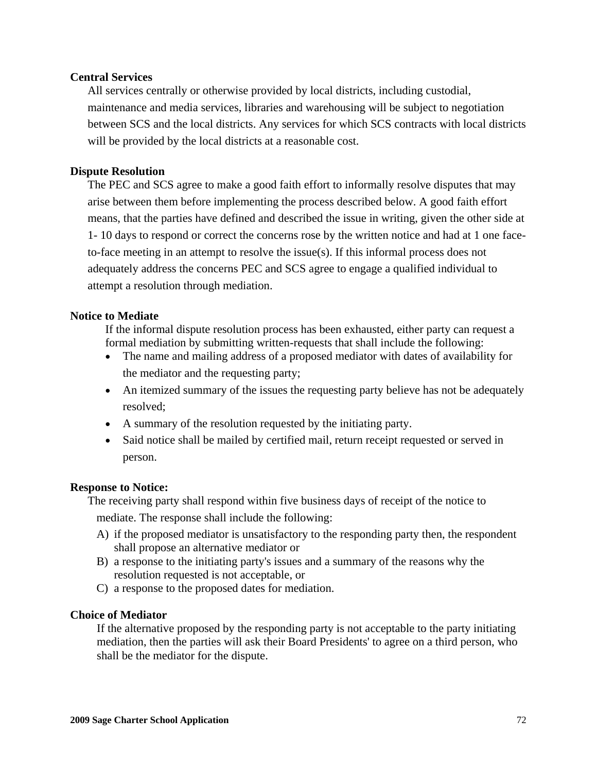# **Central Services**

All services centrally or otherwise provided by local districts, including custodial, maintenance and media services, libraries and warehousing will be subject to negotiation between SCS and the local districts. Any services for which SCS contracts with local districts will be provided by the local districts at a reasonable cost.

# **Dispute Resolution**

The PEC and SCS agree to make a good faith effort to informally resolve disputes that may arise between them before implementing the process described below. A good faith effort means, that the parties have defined and described the issue in writing, given the other side at 1- 10 days to respond or correct the concerns rose by the written notice and had at 1 one faceto-face meeting in an attempt to resolve the issue(s). If this informal process does not adequately address the concerns PEC and SCS agree to engage a qualified individual to attempt a resolution through mediation.

# **Notice to Mediate**

If the informal dispute resolution process has been exhausted, either party can request a formal mediation by submitting written-requests that shall include the following:

- The name and mailing address of a proposed mediator with dates of availability for the mediator and the requesting party;
- An itemized summary of the issues the requesting party believe has not be adequately resolved;
- A summary of the resolution requested by the initiating party.
- Said notice shall be mailed by certified mail, return receipt requested or served in person.

# **Response to Notice:**

The receiving party shall respond within five business days of receipt of the notice to mediate. The response shall include the following:

- A) if the proposed mediator is unsatisfactory to the responding party then, the respondent shall propose an alternative mediator or
- B) a response to the initiating party's issues and a summary of the reasons why the resolution requested is not acceptable, or
- C) a response to the proposed dates for mediation.

#### **Choice of Mediator**

If the alternative proposed by the responding party is not acceptable to the party initiating mediation, then the parties will ask their Board Presidents' to agree on a third person, who shall be the mediator for the dispute.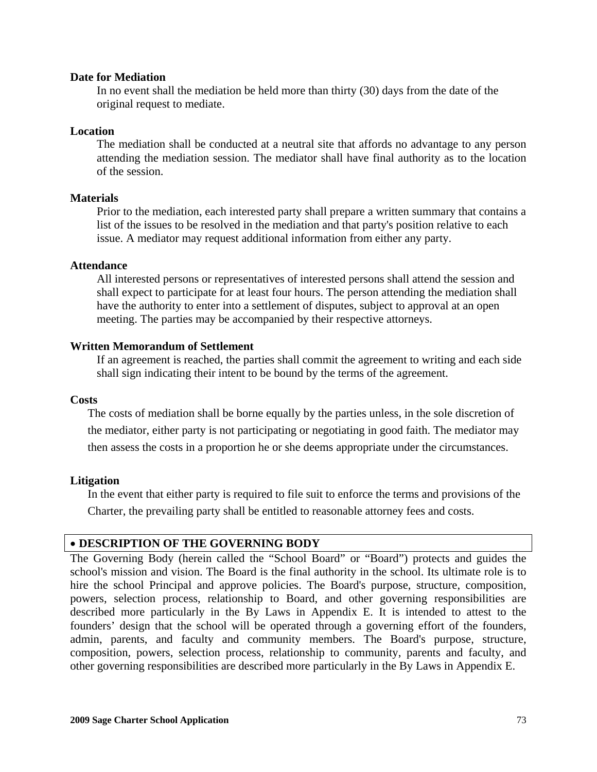#### **Date for Mediation**

In no event shall the mediation be held more than thirty (30) days from the date of the original request to mediate.

#### **Location**

The mediation shall be conducted at a neutral site that affords no advantage to any person attending the mediation session. The mediator shall have final authority as to the location of the session.

#### **Materials**

Prior to the mediation, each interested party shall prepare a written summary that contains a list of the issues to be resolved in the mediation and that party's position relative to each issue. A mediator may request additional information from either any party.

#### **Attendance**

All interested persons or representatives of interested persons shall attend the session and shall expect to participate for at least four hours. The person attending the mediation shall have the authority to enter into a settlement of disputes, subject to approval at an open meeting. The parties may be accompanied by their respective attorneys.

#### **Written Memorandum of Settlement**

If an agreement is reached, the parties shall commit the agreement to writing and each side shall sign indicating their intent to be bound by the terms of the agreement.

#### **Costs**

The costs of mediation shall be borne equally by the parties unless, in the sole discretion of the mediator, either party is not participating or negotiating in good faith. The mediator may then assess the costs in a proportion he or she deems appropriate under the circumstances.

#### **Litigation**

In the event that either party is required to file suit to enforce the terms and provisions of the Charter, the prevailing party shall be entitled to reasonable attorney fees and costs.

#### • **DESCRIPTION OF THE GOVERNING BODY**

The Governing Body (herein called the "School Board" or "Board") protects and guides the school's mission and vision. The Board is the final authority in the school. Its ultimate role is to hire the school Principal and approve policies. The Board's purpose, structure, composition, powers, selection process, relationship to Board, and other governing responsibilities are described more particularly in the By Laws in Appendix E. It is intended to attest to the founders' design that the school will be operated through a governing effort of the founders, admin, parents, and faculty and community members. The Board's purpose, structure, composition, powers, selection process, relationship to community, parents and faculty, and other governing responsibilities are described more particularly in the By Laws in Appendix E.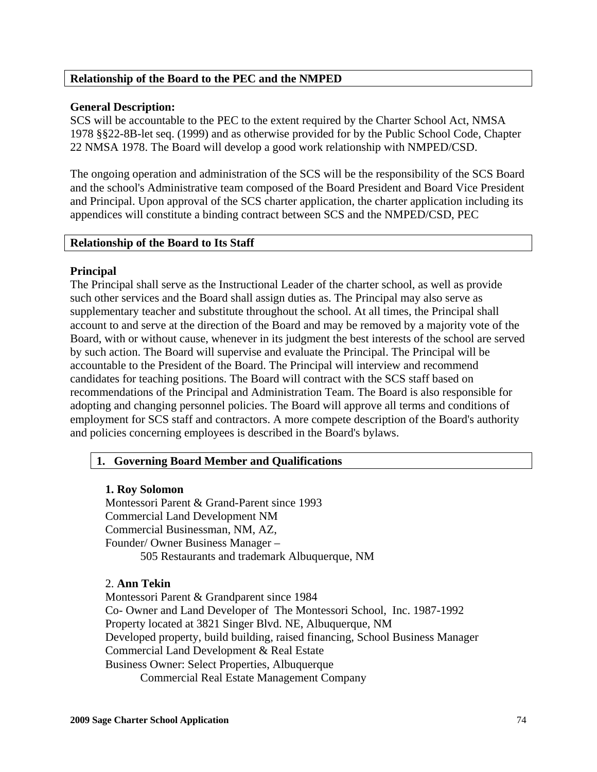## **Relationship of the Board to the PEC and the NMPED**

## **General Description:**

SCS will be accountable to the PEC to the extent required by the Charter School Act, NMSA 1978 §§22-8B-let seq. (1999) and as otherwise provided for by the Public School Code, Chapter 22 NMSA 1978. The Board will develop a good work relationship with NMPED/CSD.

The ongoing operation and administration of the SCS will be the responsibility of the SCS Board and the school's Administrative team composed of the Board President and Board Vice President and Principal. Upon approval of the SCS charter application, the charter application including its appendices will constitute a binding contract between SCS and the NMPED/CSD, PEC

## **Relationship of the Board to Its Staff**

## **Principal**

The Principal shall serve as the Instructional Leader of the charter school, as well as provide such other services and the Board shall assign duties as. The Principal may also serve as supplementary teacher and substitute throughout the school. At all times, the Principal shall account to and serve at the direction of the Board and may be removed by a majority vote of the Board, with or without cause, whenever in its judgment the best interests of the school are served by such action. The Board will supervise and evaluate the Principal. The Principal will be accountable to the President of the Board. The Principal will interview and recommend candidates for teaching positions. The Board will contract with the SCS staff based on recommendations of the Principal and Administration Team. The Board is also responsible for adopting and changing personnel policies. The Board will approve all terms and conditions of employment for SCS staff and contractors. A more compete description of the Board's authority and policies concerning employees is described in the Board's bylaws.

## **1. Governing Board Member and Qualifications**

## **1. Roy Solomon**

Montessori Parent & Grand-Parent since 1993 Commercial Land Development NM Commercial Businessman, NM, AZ, Founder/ Owner Business Manager – 505 Restaurants and trademark Albuquerque, NM

## 2. **Ann Tekin**

Montessori Parent & Grandparent since 1984 Co- Owner and Land Developer of The Montessori School, Inc. 1987-1992 Property located at 3821 Singer Blvd. NE, Albuquerque, NM Developed property, build building, raised financing, School Business Manager Commercial Land Development & Real Estate Business Owner: Select Properties, Albuquerque Commercial Real Estate Management Company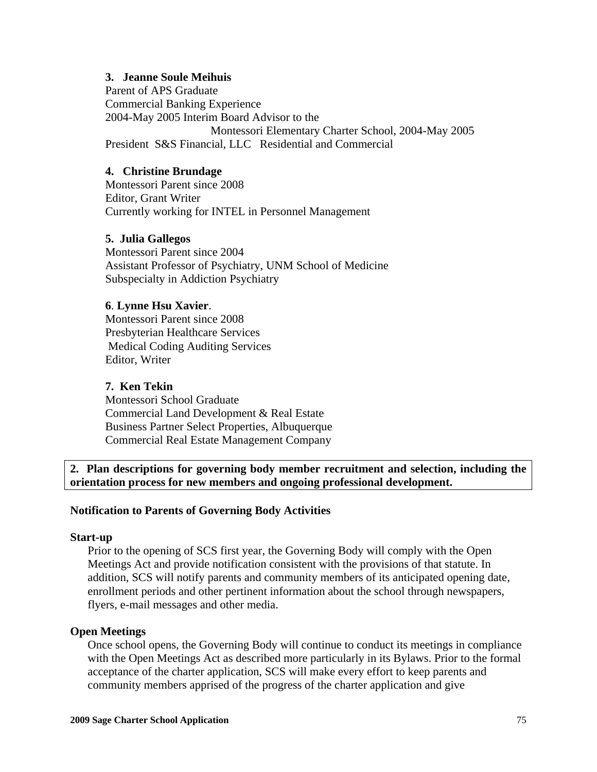## **3. Jeanne Soule Meihuis**

Parent of APS Graduate Commercial Banking Experience 2004-May 2005 Interim Board Advisor to the Montessori Elementary Charter School, 2004-May 2005 President S&S Financial, LLC Residential and Commercial

### **4. Christine Brundage**

Montessori Parent since 2008 Editor, Grant Writer Currently working for INTEL in Personnel Management

#### **5. Julia Gallegos**

 Montessori Parent since 2004 Assistant Professor of Psychiatry, UNM School of Medicine Subspecialty in Addiction Psychiatry

#### **6**. **Lynne Hsu Xavier**.

 Montessori Parent since 2008 Presbyterian Healthcare Services Medical Coding Auditing Services Editor, Writer

### **7. Ken Tekin**

 Montessori School Graduate Commercial Land Development & Real Estate Business Partner Select Properties, Albuquerque Commercial Real Estate Management Company

**2. Plan descriptions for governing body member recruitment and selection, including the orientation process for new members and ongoing professional development.**

#### **Notification to Parents of Governing Body Activities**

#### **Start-up**

Prior to the opening of SCS first year, the Governing Body will comply with the Open Meetings Act and provide notification consistent with the provisions of that statute. In addition, SCS will notify parents and community members of its anticipated opening date, enrollment periods and other pertinent information about the school through newspapers, flyers, e-mail messages and other media.

#### **Open Meetings**

Once school opens, the Governing Body will continue to conduct its meetings in compliance with the Open Meetings Act as described more particularly in its Bylaws. Prior to the formal acceptance of the charter application, SCS will make every effort to keep parents and community members apprised of the progress of the charter application and give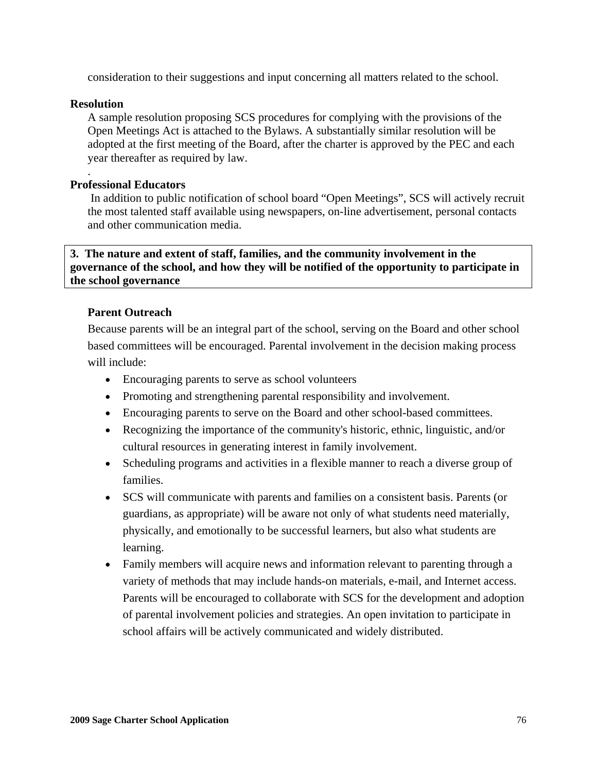consideration to their suggestions and input concerning all matters related to the school.

### **Resolution**

.

A sample resolution proposing SCS procedures for complying with the provisions of the Open Meetings Act is attached to the Bylaws. A substantially similar resolution will be adopted at the first meeting of the Board, after the charter is approved by the PEC and each year thereafter as required by law.

### **Professional Educators**

 In addition to public notification of school board "Open Meetings", SCS will actively recruit the most talented staff available using newspapers, on-line advertisement, personal contacts and other communication media.

## **3. The nature and extent of staff, families, and the community involvement in the governance of the school, and how they will be notified of the opportunity to participate in the school governance**

#### **Parent Outreach**

Because parents will be an integral part of the school, serving on the Board and other school based committees will be encouraged. Parental involvement in the decision making process will include:

- Encouraging parents to serve as school volunteers
- Promoting and strengthening parental responsibility and involvement.
- Encouraging parents to serve on the Board and other school-based committees.
- Recognizing the importance of the community's historic, ethnic, linguistic, and/or cultural resources in generating interest in family involvement.
- Scheduling programs and activities in a flexible manner to reach a diverse group of families.
- SCS will communicate with parents and families on a consistent basis. Parents (or guardians, as appropriate) will be aware not only of what students need materially, physically, and emotionally to be successful learners, but also what students are learning.
- Family members will acquire news and information relevant to parenting through a variety of methods that may include hands-on materials, e-mail, and Internet access. Parents will be encouraged to collaborate with SCS for the development and adoption of parental involvement policies and strategies. An open invitation to participate in school affairs will be actively communicated and widely distributed.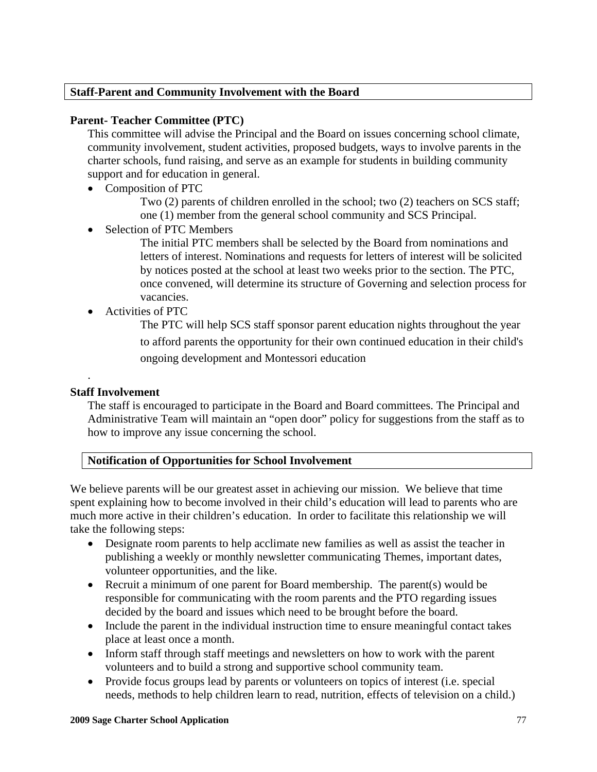## **Staff-Parent and Community Involvement with the Board**

## **Parent- Teacher Committee (PTC)**

This committee will advise the Principal and the Board on issues concerning school climate, community involvement, student activities, proposed budgets, ways to involve parents in the charter schools, fund raising, and serve as an example for students in building community support and for education in general.

• Composition of PTC

 Two (2) parents of children enrolled in the school; two (2) teachers on SCS staff; one (1) member from the general school community and SCS Principal.

Selection of PTC Members

 The initial PTC members shall be selected by the Board from nominations and letters of interest. Nominations and requests for letters of interest will be solicited by notices posted at the school at least two weeks prior to the section. The PTC, once convened, will determine its structure of Governing and selection process for vacancies.

• Activities of PTC

 The PTC will help SCS staff sponsor parent education nights throughout the year to afford parents the opportunity for their own continued education in their child's ongoing development and Montessori education

## **Staff Involvement**

.

The staff is encouraged to participate in the Board and Board committees. The Principal and Administrative Team will maintain an "open door" policy for suggestions from the staff as to how to improve any issue concerning the school.

# **Notification of Opportunities for School Involvement**

We believe parents will be our greatest asset in achieving our mission. We believe that time spent explaining how to become involved in their child's education will lead to parents who are much more active in their children's education. In order to facilitate this relationship we will take the following steps:

- Designate room parents to help acclimate new families as well as assist the teacher in publishing a weekly or monthly newsletter communicating Themes, important dates, volunteer opportunities, and the like.
- Recruit a minimum of one parent for Board membership. The parent (s) would be responsible for communicating with the room parents and the PTO regarding issues decided by the board and issues which need to be brought before the board.
- Include the parent in the individual instruction time to ensure meaningful contact takes place at least once a month.
- Inform staff through staff meetings and newsletters on how to work with the parent volunteers and to build a strong and supportive school community team.
- Provide focus groups lead by parents or volunteers on topics of interest (i.e. special needs, methods to help children learn to read, nutrition, effects of television on a child.)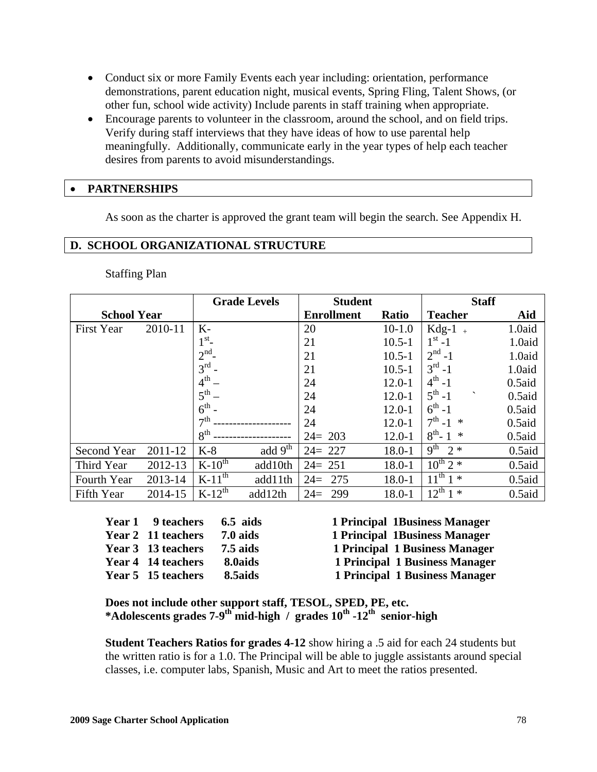- Conduct six or more Family Events each year including: orientation, performance demonstrations, parent education night, musical events, Spring Fling, Talent Shows, (or other fun, school wide activity) Include parents in staff training when appropriate.
- Encourage parents to volunteer in the classroom, around the school, and on field trips. Verify during staff interviews that they have ideas of how to use parental help meaningfully. Additionally, communicate early in the year types of help each teacher desires from parents to avoid misunderstandings.

## • **PARTNERSHIPS**

As soon as the charter is approved the grant team will begin the search. See Appendix H.

#### **D. SCHOOL ORGANIZATIONAL STRUCTURE**

Staffing Plan

|                    |         |                 | <b>Grade Levels</b> | <b>Student</b>    |              |                              | <b>Staff</b> |
|--------------------|---------|-----------------|---------------------|-------------------|--------------|------------------------------|--------------|
| <b>School Year</b> |         |                 |                     | <b>Enrollment</b> | <b>Ratio</b> | <b>Teacher</b>               | Aid          |
| <b>First Year</b>  | 2010-11 | $K-$            |                     | 20                | $10-1.0$     | $Kdg-1$                      | 1.0aid       |
|                    |         | 1 <sup>st</sup> |                     | 21                | $10.5 - 1$   | $1^{st} - 1$                 | 1.0aid       |
|                    |         | 2 <sup>nd</sup> |                     | 21                | $10.5 - 1$   | $2^{nd} - 1$                 | 1.0aid       |
|                    |         | $3^{\text{rd}}$ |                     | 21                | $10.5 - 1$   | $3^{rd} - 1$                 | 1.0aid       |
|                    |         | $4^{\text{th}}$ |                     | 24                | $12.0 - 1$   | $4^{th} - 1$                 | $0.5$ aid    |
|                    |         | 5 <sup>th</sup> |                     | 24                | $12.0 - 1$   | $5^{th} - 1$<br>$\checkmark$ | $0.5$ aid    |
|                    |         | $6^{\text{th}}$ |                     | 24                | $12.0 - 1$   | $6^{th} - 1$                 | $0.5$ aid    |
|                    |         | 7 <sup>th</sup> |                     | 24                | $12.0 - 1$   | $7^{th} - 1$ *               | $0.5$ aid    |
|                    |         | 8 <sup>th</sup> |                     | $24 = 203$        | $12.0 - 1$   | $8^{th}$ - 1<br>$\ast$       | $0.5$ aid    |
| Second Year        | 2011-12 | $K-8$           | add $9th$           | $24 = 227$        | $18.0 - 1$   | 9 <sup>th</sup><br>$2*$      | $0.5$ aid    |
| Third Year         | 2012-13 | $K-10^{th}$     | add10th             | $24 = 251$        | 18.0-1       | $10^{th}$ 2 $*$              | $0.5$ aid    |
| Fourth Year        | 2013-14 | $K-11^{th}$     | add11th             | $24=$<br>275      | 18.0-1       | $11^{th}$ 1 $*$              | $0.5$ aid    |
| Fifth Year         | 2014-15 | $K-12^{th}$     | add12th             | $24=$<br>299      | 18.0-1       | $12^{th}$<br>$1 *$           | $0.5$ aid    |

| Year 1 9 teachers  | $6.5$ aids | 1 Principal 1 Business Manager |
|--------------------|------------|--------------------------------|
| Year 2 11 teachers | $7.0$ aids | 1 Principal 1 Business Manager |
| Year 3 13 teachers | $7.5$ aids | 1 Principal 1 Business Manager |
| Year 4 14 teachers | 8.0aids    | 1 Principal 1 Business Manager |
| Year 5 15 teachers | 8.5aids    | 1 Principal 1 Business Manager |

**Does not include other support staff, TESOL, SPED, PE, etc. \*Adolescents grades 7-9th mid-high / grades 10th -12th senior-high** 

**Student Teachers Ratios for grades 4-12** show hiring a .5 aid for each 24 students but the written ratio is for a 1.0. The Principal will be able to juggle assistants around special classes, i.e. computer labs, Spanish, Music and Art to meet the ratios presented.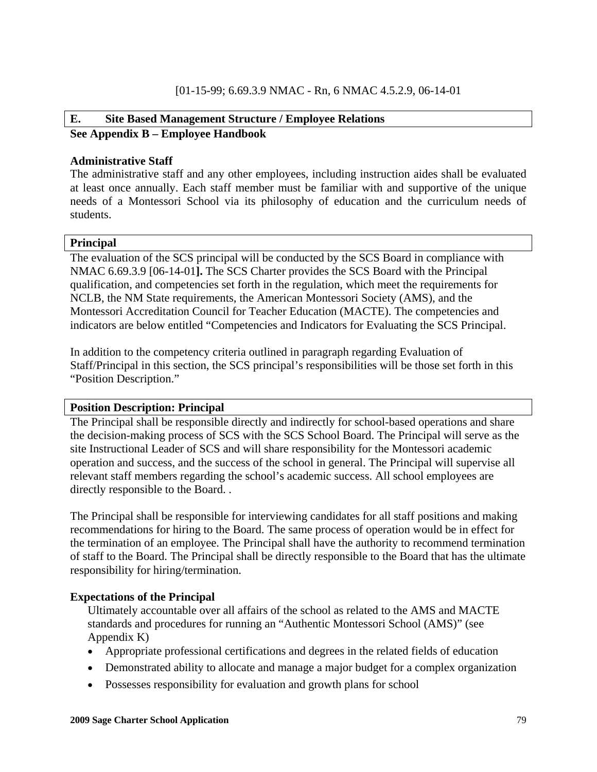# **E. Site Based Management Structure / Employee Relations See Appendix B – Employee Handbook**

## **Administrative Staff**

The administrative staff and any other employees, including instruction aides shall be evaluated at least once annually. Each staff member must be familiar with and supportive of the unique needs of a Montessori School via its philosophy of education and the curriculum needs of students.

#### **Principal**

The evaluation of the SCS principal will be conducted by the SCS Board in compliance with NMAC 6.69.3.9 [06-14-01**].** The SCS Charter provides the SCS Board with the Principal qualification, and competencies set forth in the regulation, which meet the requirements for NCLB, the NM State requirements, the American Montessori Society (AMS), and the Montessori Accreditation Council for Teacher Education (MACTE). The competencies and indicators are below entitled "Competencies and Indicators for Evaluating the SCS Principal.

In addition to the competency criteria outlined in paragraph regarding Evaluation of Staff/Principal in this section, the SCS principal's responsibilities will be those set forth in this "Position Description."

#### **Position Description: Principal**

The Principal shall be responsible directly and indirectly for school-based operations and share the decision-making process of SCS with the SCS School Board. The Principal will serve as the site Instructional Leader of SCS and will share responsibility for the Montessori academic operation and success, and the success of the school in general. The Principal will supervise all relevant staff members regarding the school's academic success. All school employees are directly responsible to the Board. .

The Principal shall be responsible for interviewing candidates for all staff positions and making recommendations for hiring to the Board. The same process of operation would be in effect for the termination of an employee. The Principal shall have the authority to recommend termination of staff to the Board. The Principal shall be directly responsible to the Board that has the ultimate responsibility for hiring/termination.

## **Expectations of the Principal**

Ultimately accountable over all affairs of the school as related to the AMS and MACTE standards and procedures for running an "Authentic Montessori School (AMS)" (see Appendix K)

- Appropriate professional certifications and degrees in the related fields of education
- Demonstrated ability to allocate and manage a major budget for a complex organization
- Possesses responsibility for evaluation and growth plans for school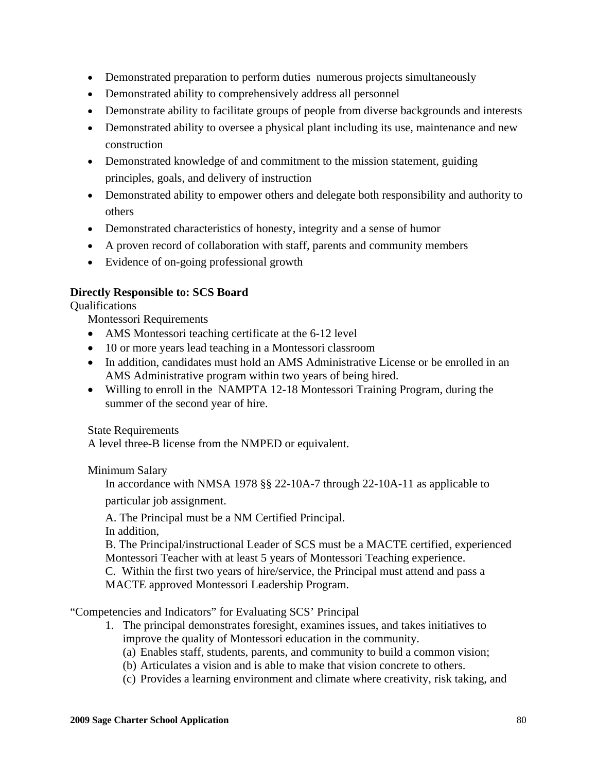- Demonstrated preparation to perform duties numerous projects simultaneously
- Demonstrated ability to comprehensively address all personnel
- Demonstrate ability to facilitate groups of people from diverse backgrounds and interests
- Demonstrated ability to oversee a physical plant including its use, maintenance and new construction
- Demonstrated knowledge of and commitment to the mission statement, guiding principles, goals, and delivery of instruction
- Demonstrated ability to empower others and delegate both responsibility and authority to others
- Demonstrated characteristics of honesty, integrity and a sense of humor
- A proven record of collaboration with staff, parents and community members
- Evidence of on-going professional growth

# **Directly Responsible to: SCS Board**

Qualifications

Montessori Requirements

- AMS Montessori teaching certificate at the 6-12 level
- 10 or more years lead teaching in a Montessori classroom
- In addition, candidates must hold an AMS Administrative License or be enrolled in an AMS Administrative program within two years of being hired.
- Willing to enroll in the NAMPTA 12-18 Montessori Training Program, during the summer of the second year of hire.

State Requirements

A level three-B license from the NMPED or equivalent.

Minimum Salary

In accordance with NMSA 1978 §§ 22-10A-7 through 22-10A-11 as applicable to

particular job assignment.

A. The Principal must be a NM Certified Principal.

In addition,

B. The Principal/instructional Leader of SCS must be a MACTE certified, experienced Montessori Teacher with at least 5 years of Montessori Teaching experience.

C. Within the first two years of hire/service, the Principal must attend and pass a MACTE approved Montessori Leadership Program.

"Competencies and Indicators" for Evaluating SCS' Principal

- 1. The principal demonstrates foresight, examines issues, and takes initiatives to improve the quality of Montessori education in the community.
	- (a) Enables staff, students, parents, and community to build a common vision;
	- (b) Articulates a vision and is able to make that vision concrete to others.
	- (c) Provides a learning environment and climate where creativity, risk taking, and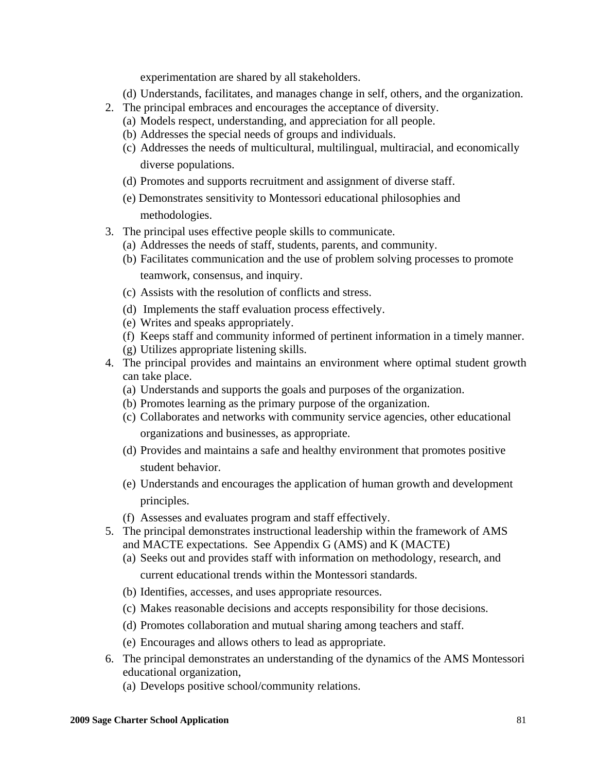experimentation are shared by all stakeholders.

(d) Understands, facilitates, and manages change in self, others, and the organization.

- 2. The principal embraces and encourages the acceptance of diversity.
	- (a) Models respect, understanding, and appreciation for all people.
		- (b) Addresses the special needs of groups and individuals.
		- (c) Addresses the needs of multicultural, multilingual, multiracial, and economically diverse populations.
		- (d) Promotes and supports recruitment and assignment of diverse staff.
		- (e) Demonstrates sensitivity to Montessori educational philosophies and methodologies.
- 3. The principal uses effective people skills to communicate.
	- (a) Addresses the needs of staff, students, parents, and community.
	- (b) Facilitates communication and the use of problem solving processes to promote teamwork, consensus, and inquiry.
	- (c) Assists with the resolution of conflicts and stress.
	- (d) Implements the staff evaluation process effectively.
	- (e) Writes and speaks appropriately.
	- (f) Keeps staff and community informed of pertinent information in a timely manner.
	- (g) Utilizes appropriate listening skills.
- 4. The principal provides and maintains an environment where optimal student growth can take place.
	- (a) Understands and supports the goals and purposes of the organization.
	- (b) Promotes learning as the primary purpose of the organization.
	- (c) Collaborates and networks with community service agencies, other educational organizations and businesses, as appropriate.
	- (d) Provides and maintains a safe and healthy environment that promotes positive student behavior.
	- (e) Understands and encourages the application of human growth and development principles.
	- (f) Assesses and evaluates program and staff effectively.
- 5. The principal demonstrates instructional leadership within the framework of AMS and MACTE expectations. See Appendix G (AMS) and K (MACTE)
	- (a) Seeks out and provides staff with information on methodology, research, and current educational trends within the Montessori standards.
	- (b) Identifies, accesses, and uses appropriate resources.
	- (c) Makes reasonable decisions and accepts responsibility for those decisions.
	- (d) Promotes collaboration and mutual sharing among teachers and staff.
	- (e) Encourages and allows others to lead as appropriate.
- 6. The principal demonstrates an understanding of the dynamics of the AMS Montessori educational organization,
	- (a) Develops positive school/community relations.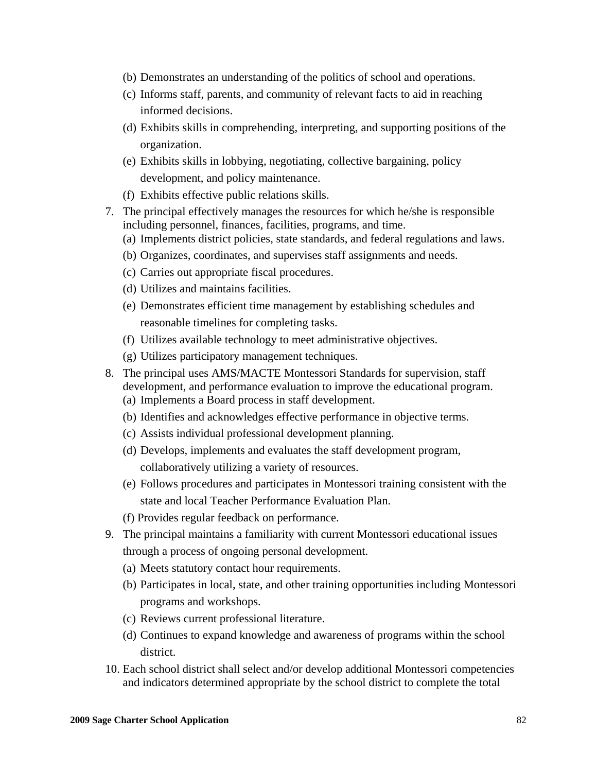- (b) Demonstrates an understanding of the politics of school and operations.
- (c) Informs staff, parents, and community of relevant facts to aid in reaching informed decisions.
- (d) Exhibits skills in comprehending, interpreting, and supporting positions of the organization.
- (e) Exhibits skills in lobbying, negotiating, collective bargaining, policy development, and policy maintenance.
- (f) Exhibits effective public relations skills.
- 7. The principal effectively manages the resources for which he/she is responsible including personnel, finances, facilities, programs, and time.
	- (a) Implements district policies, state standards, and federal regulations and laws.
	- (b) Organizes, coordinates, and supervises staff assignments and needs.
	- (c) Carries out appropriate fiscal procedures.
	- (d) Utilizes and maintains facilities.
	- (e) Demonstrates efficient time management by establishing schedules and reasonable timelines for completing tasks.
	- (f) Utilizes available technology to meet administrative objectives.
	- (g) Utilizes participatory management techniques.
- 8. The principal uses AMS/MACTE Montessori Standards for supervision, staff development, and performance evaluation to improve the educational program. (a) Implements a Board process in staff development.
	- (b) Identifies and acknowledges effective performance in objective terms.
	- (c) Assists individual professional development planning.
	- (d) Develops, implements and evaluates the staff development program, collaboratively utilizing a variety of resources.
	- (e) Follows procedures and participates in Montessori training consistent with the state and local Teacher Performance Evaluation Plan.
	- (f) Provides regular feedback on performance.
- 9. The principal maintains a familiarity with current Montessori educational issues through a process of ongoing personal development.
	- (a) Meets statutory contact hour requirements.
	- (b) Participates in local, state, and other training opportunities including Montessori programs and workshops.
	- (c) Reviews current professional literature.
	- (d) Continues to expand knowledge and awareness of programs within the school district.
- 10. Each school district shall select and/or develop additional Montessori competencies and indicators determined appropriate by the school district to complete the total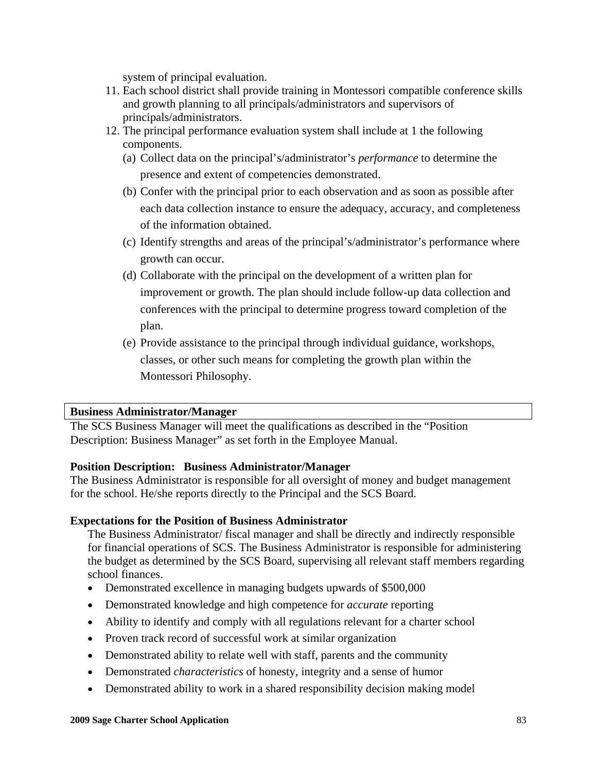system of principal evaluation.

- 11. Each school district shall provide training in Montessori compatible conference skills and growth planning to all principals/administrators and supervisors of principals/administrators.
- 12. The principal performance evaluation system shall include at 1 the following components.
	- (a) Collect data on the principal's/administrator's *performance* to determine the presence and extent of competencies demonstrated.
	- (b) Confer with the principal prior to each observation and as soon as possible after each data collection instance to ensure the adequacy, accuracy, and completeness of the information obtained.
	- (c) Identify strengths and areas of the principal's/administrator's performance where growth can occur.
	- (d) Collaborate with the principal on the development of a written plan for improvement or growth. The plan should include follow-up data collection and conferences with the principal to determine progress toward completion of the plan.
	- (e) Provide assistance to the principal through individual guidance, workshops, classes, or other such means for completing the growth plan within the Montessori Philosophy.

## **Business Administrator/Manager**

The SCS Business Manager will meet the qualifications as described in the "Position Description: Business Manager" as set forth in the Employee Manual.

## **Position Description: Business Administrator/Manager**

The Business Administrator is responsible for all oversight of money and budget management for the school. He/she reports directly to the Principal and the SCS Board.

## **Expectations for the Position of Business Administrator**

The Business Administrator/ fiscal manager and shall be directly and indirectly responsible for financial operations of SCS. The Business Administrator is responsible for administering the budget as determined by the SCS Board, supervising all relevant staff members regarding school finances.

- Demonstrated excellence in managing budgets upwards of \$500,000
- Demonstrated knowledge and high competence for *accurate* reporting
- Ability to identify and comply with all regulations relevant for a charter school
- Proven track record of successful work at similar organization
- Demonstrated ability to relate well with staff, parents and the community
- Demonstrated *characteristics* of honesty, integrity and a sense of humor
- Demonstrated ability to work in a shared responsibility decision making model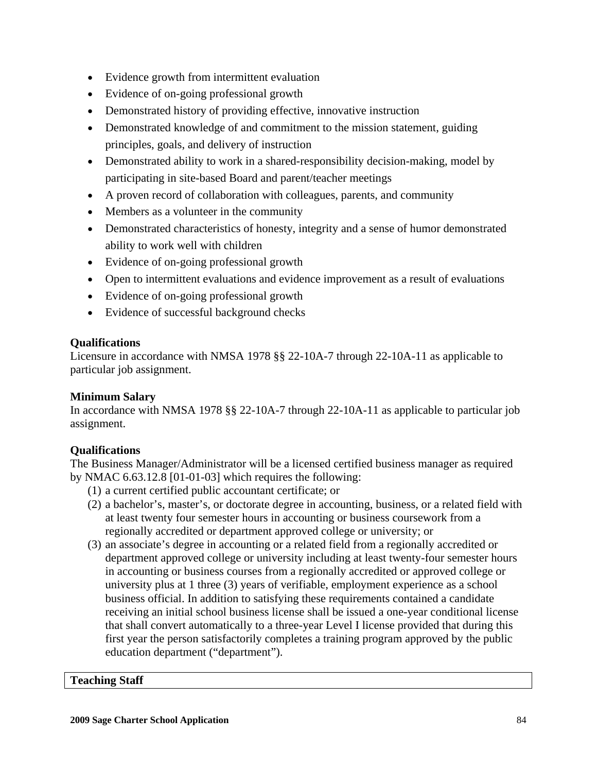- Evidence growth from intermittent evaluation
- Evidence of on-going professional growth
- Demonstrated history of providing effective, innovative instruction
- Demonstrated knowledge of and commitment to the mission statement, guiding principles, goals, and delivery of instruction
- Demonstrated ability to work in a shared-responsibility decision-making, model by participating in site-based Board and parent/teacher meetings
- A proven record of collaboration with colleagues, parents, and community
- Members as a volunteer in the community
- Demonstrated characteristics of honesty, integrity and a sense of humor demonstrated ability to work well with children
- Evidence of on-going professional growth
- Open to intermittent evaluations and evidence improvement as a result of evaluations
- Evidence of on-going professional growth
- Evidence of successful background checks

## **Qualifications**

Licensure in accordance with NMSA 1978 §§ 22-10A-7 through 22-10A-11 as applicable to particular job assignment.

# **Minimum Salary**

In accordance with NMSA 1978 §§ 22-10A-7 through 22-10A-11 as applicable to particular job assignment.

# **Qualifications**

The Business Manager/Administrator will be a licensed certified business manager as required by NMAC 6.63.12.8 [01-01-03] which requires the following:

- (1) a current certified public accountant certificate; or
- (2) a bachelor's, master's, or doctorate degree in accounting, business, or a related field with at least twenty four semester hours in accounting or business coursework from a regionally accredited or department approved college or university; or
- (3) an associate's degree in accounting or a related field from a regionally accredited or department approved college or university including at least twenty-four semester hours in accounting or business courses from a regionally accredited or approved college or university plus at 1 three (3) years of verifiable, employment experience as a school business official. In addition to satisfying these requirements contained a candidate receiving an initial school business license shall be issued a one-year conditional license that shall convert automatically to a three-year Level I license provided that during this first year the person satisfactorily completes a training program approved by the public education department ("department").

## **Teaching Staff**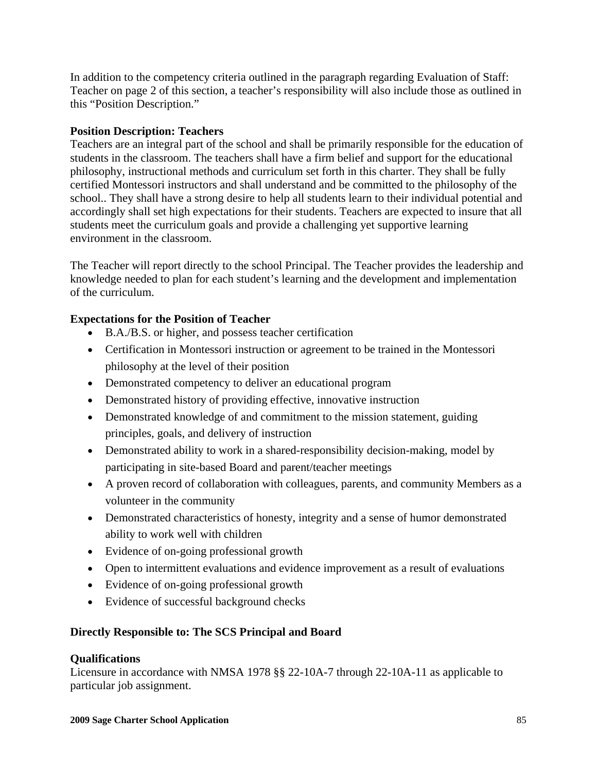In addition to the competency criteria outlined in the paragraph regarding Evaluation of Staff: Teacher on page 2 of this section, a teacher's responsibility will also include those as outlined in this "Position Description."

# **Position Description: Teachers**

Teachers are an integral part of the school and shall be primarily responsible for the education of students in the classroom. The teachers shall have a firm belief and support for the educational philosophy, instructional methods and curriculum set forth in this charter. They shall be fully certified Montessori instructors and shall understand and be committed to the philosophy of the school.. They shall have a strong desire to help all students learn to their individual potential and accordingly shall set high expectations for their students. Teachers are expected to insure that all students meet the curriculum goals and provide a challenging yet supportive learning environment in the classroom.

The Teacher will report directly to the school Principal. The Teacher provides the leadership and knowledge needed to plan for each student's learning and the development and implementation of the curriculum.

## **Expectations for the Position of Teacher**

- B.A./B.S. or higher, and possess teacher certification
- Certification in Montessori instruction or agreement to be trained in the Montessori philosophy at the level of their position
- Demonstrated competency to deliver an educational program
- Demonstrated history of providing effective, innovative instruction
- Demonstrated knowledge of and commitment to the mission statement, guiding principles, goals, and delivery of instruction
- Demonstrated ability to work in a shared-responsibility decision-making, model by participating in site-based Board and parent/teacher meetings
- A proven record of collaboration with colleagues, parents, and community Members as a volunteer in the community
- Demonstrated characteristics of honesty, integrity and a sense of humor demonstrated ability to work well with children
- Evidence of on-going professional growth
- Open to intermittent evaluations and evidence improvement as a result of evaluations
- Evidence of on-going professional growth
- Evidence of successful background checks

## **Directly Responsible to: The SCS Principal and Board**

## **Qualifications**

Licensure in accordance with NMSA 1978 §§ 22-10A-7 through 22-10A-11 as applicable to particular job assignment.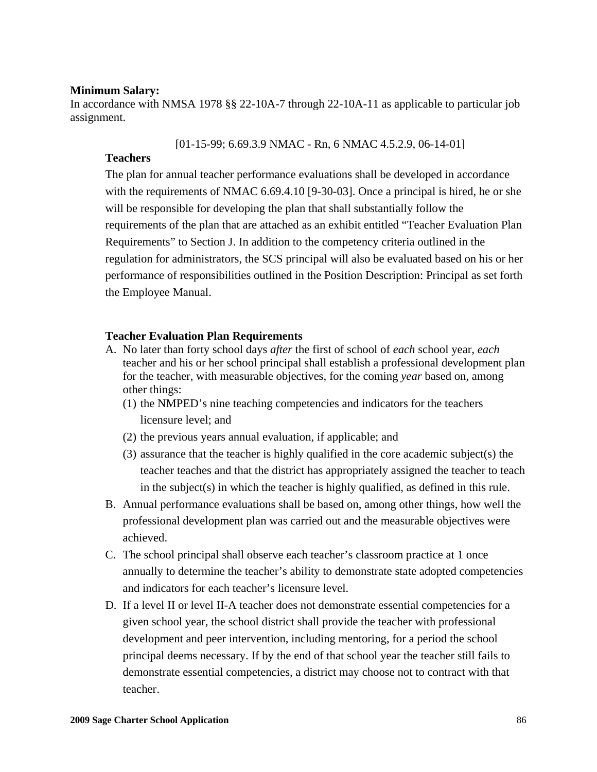### **Minimum Salary:**

In accordance with NMSA 1978 §§ 22-10A-7 through 22-10A-11 as applicable to particular job assignment.

[01-15-99; 6.69.3.9 NMAC - Rn, 6 NMAC 4.5.2.9, 06-14-01]

### **Teachers**

The plan for annual teacher performance evaluations shall be developed in accordance with the requirements of NMAC 6.69.4.10 [9-30-03]. Once a principal is hired, he or she will be responsible for developing the plan that shall substantially follow the requirements of the plan that are attached as an exhibit entitled "Teacher Evaluation Plan Requirements" to Section J. In addition to the competency criteria outlined in the regulation for administrators, the SCS principal will also be evaluated based on his or her performance of responsibilities outlined in the Position Description: Principal as set forth the Employee Manual.

#### **Teacher Evaluation Plan Requirements**

- A. No later than forty school days *after* the first of school of *each* school year, *each*  teacher and his or her school principal shall establish a professional development plan for the teacher, with measurable objectives, for the coming *year* based on, among other things:
	- (1) the NMPED's nine teaching competencies and indicators for the teachers licensure level; and
	- (2) the previous years annual evaluation, if applicable; and
	- (3) assurance that the teacher is highly qualified in the core academic subject(s) the teacher teaches and that the district has appropriately assigned the teacher to teach in the subject(s) in which the teacher is highly qualified, as defined in this rule.
- B. Annual performance evaluations shall be based on, among other things, how well the professional development plan was carried out and the measurable objectives were achieved.
- C. The school principal shall observe each teacher's classroom practice at 1 once annually to determine the teacher's ability to demonstrate state adopted competencies and indicators for each teacher's licensure level.
- D. If a level II or level II-A teacher does not demonstrate essential competencies for a given school year, the school district shall provide the teacher with professional development and peer intervention, including mentoring, for a period the school principal deems necessary. If by the end of that school year the teacher still fails to demonstrate essential competencies, a district may choose not to contract with that teacher.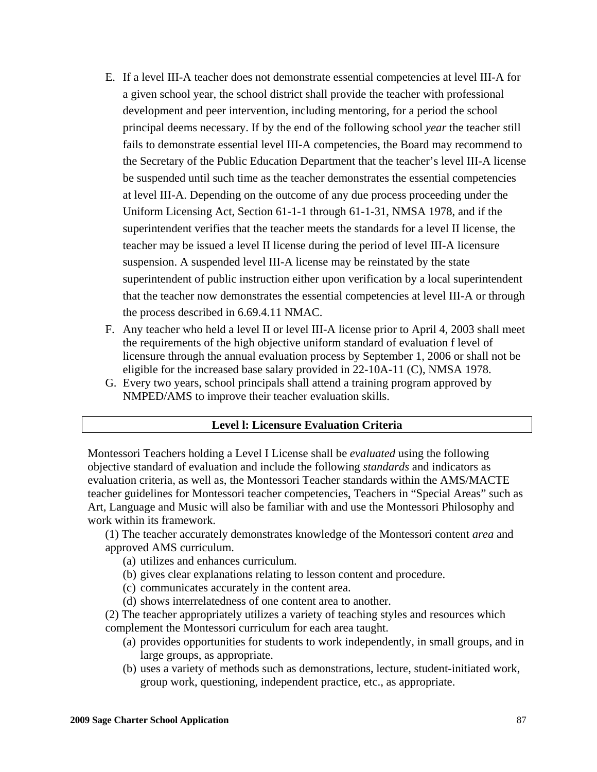- E. If a level III-A teacher does not demonstrate essential competencies at level III-A for a given school year, the school district shall provide the teacher with professional development and peer intervention, including mentoring, for a period the school principal deems necessary. If by the end of the following school *year* the teacher still fails to demonstrate essential level III-A competencies, the Board may recommend to the Secretary of the Public Education Department that the teacher's level III-A license be suspended until such time as the teacher demonstrates the essential competencies at level III-A. Depending on the outcome of any due process proceeding under the Uniform Licensing Act, Section 61-1-1 through 61-1-31, NMSA 1978, and if the superintendent verifies that the teacher meets the standards for a level II license, the teacher may be issued a level II license during the period of level III-A licensure suspension. A suspended level III-A license may be reinstated by the state superintendent of public instruction either upon verification by a local superintendent that the teacher now demonstrates the essential competencies at level III-A or through the process described in 6.69.4.11 NMAC.
- F. Any teacher who held a level II or level III-A license prior to April 4, 2003 shall meet the requirements of the high objective uniform standard of evaluation f level of licensure through the annual evaluation process by September 1, 2006 or shall not be eligible for the increased base salary provided in 22-10A-11 (C), NMSA 1978.
- G. Every two years, school principals shall attend a training program approved by NMPED/AMS to improve their teacher evaluation skills.

#### **Level l: Licensure Evaluation Criteria**

Montessori Teachers holding a Level I License shall be *evaluated* using the following objective standard of evaluation and include the following *standards* and indicators as evaluation criteria, as well as, the Montessori Teacher standards within the AMS/MACTE teacher guidelines for Montessori teacher competencies, Teachers in "Special Areas" such as Art, Language and Music will also be familiar with and use the Montessori Philosophy and work within its framework.

 (1) The teacher accurately demonstrates knowledge of the Montessori content *area* and approved AMS curriculum.

- (a) utilizes and enhances curriculum.
- (b) gives clear explanations relating to lesson content and procedure.
- (c) communicates accurately in the content area.
- (d) shows interrelatedness of one content area to another.

 (2) The teacher appropriately utilizes a variety of teaching styles and resources which complement the Montessori curriculum for each area taught.

- (a) provides opportunities for students to work independently, in small groups, and in large groups, as appropriate.
- (b) uses a variety of methods such as demonstrations, lecture, student-initiated work, group work, questioning, independent practice, etc., as appropriate.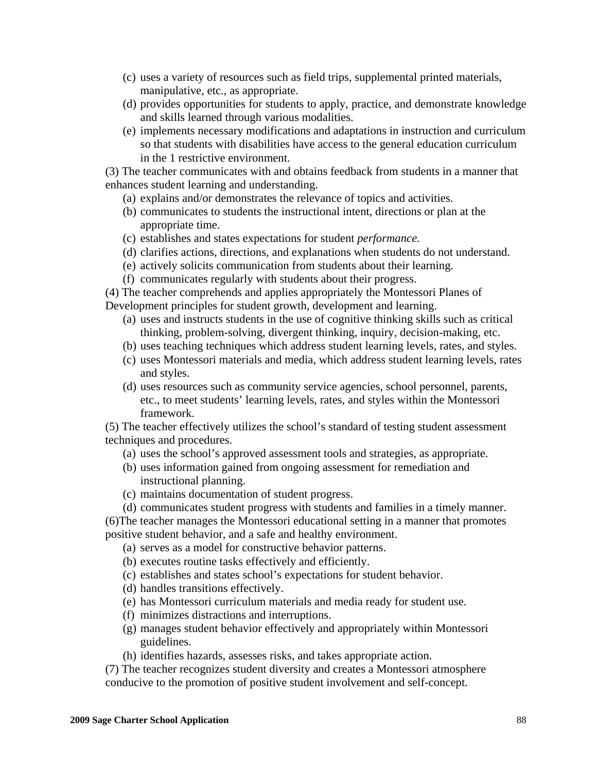- (c) uses a variety of resources such as field trips, supplemental printed materials, manipulative, etc., as appropriate.
- (d) provides opportunities for students to apply, practice, and demonstrate knowledge and skills learned through various modalities.
- (e) implements necessary modifications and adaptations in instruction and curriculum so that students with disabilities have access to the general education curriculum in the 1 restrictive environment.

 (3) The teacher communicates with and obtains feedback from students in a manner that enhances student learning and understanding.

- (a) explains and/or demonstrates the relevance of topics and activities.
- (b) communicates to students the instructional intent, directions or plan at the appropriate time.
- (c) establishes and states expectations for student *performance.*
- (d) clarifies actions, directions, and explanations when students do not understand.
- (e) actively solicits communication from students about their learning.
- (f) communicates regularly with students about their progress.

 (4) The teacher comprehends and applies appropriately the Montessori Planes of Development principles for student growth, development and learning.

- (a) uses and instructs students in the use of cognitive thinking skills such as critical thinking, problem-solving, divergent thinking, inquiry, decision-making, etc.
- (b) uses teaching techniques which address student learning levels, rates, and styles.
- (c) uses Montessori materials and media, which address student learning levels, rates and styles.
- (d) uses resources such as community service agencies, school personnel, parents, etc., to meet students' learning levels, rates, and styles within the Montessori framework.

 (5) The teacher effectively utilizes the school's standard of testing student assessment techniques and procedures.

- (a) uses the school's approved assessment tools and strategies, as appropriate.
- (b) uses information gained from ongoing assessment for remediation and instructional planning.
- (c) maintains documentation of student progress.
- (d) communicates student progress with students and families in a timely manner.

 (6)The teacher manages the Montessori educational setting in a manner that promotes positive student behavior, and a safe and healthy environment.

- (a) serves as a model for constructive behavior patterns.
- (b) executes routine tasks effectively and efficiently.
- (c) establishes and states school's expectations for student behavior.
- (d) handles transitions effectively.
- (e) has Montessori curriculum materials and media ready for student use.
- (f) minimizes distractions and interruptions.
- (g) manages student behavior effectively and appropriately within Montessori guidelines.
- (h) identifies hazards, assesses risks, and takes appropriate action.

 (7) The teacher recognizes student diversity and creates a Montessori atmosphere conducive to the promotion of positive student involvement and self-concept.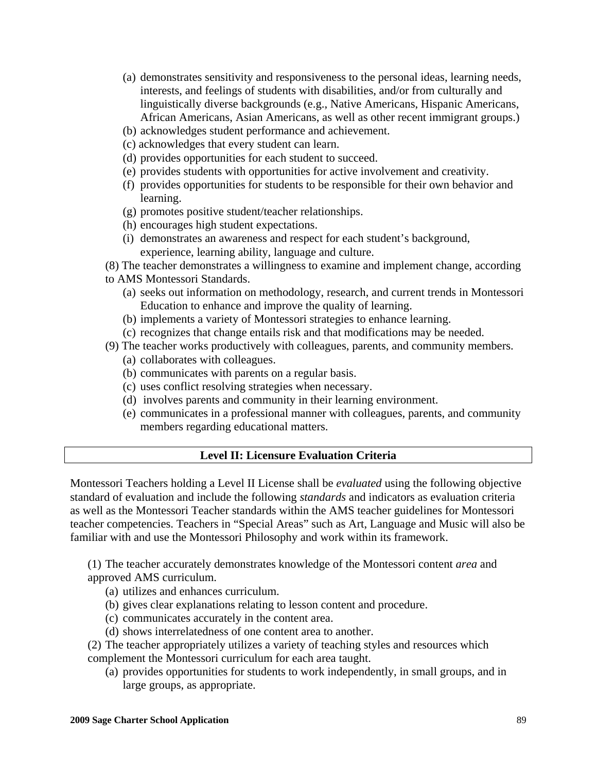- (a) demonstrates sensitivity and responsiveness to the personal ideas, learning needs, interests, and feelings of students with disabilities, and/or from culturally and linguistically diverse backgrounds (e.g., Native Americans, Hispanic Americans, African Americans, Asian Americans, as well as other recent immigrant groups.)
- (b) acknowledges student performance and achievement.
- (c) acknowledges that every student can learn.
- (d) provides opportunities for each student to succeed.
- (e) provides students with opportunities for active involvement and creativity.
- (f) provides opportunities for students to be responsible for their own behavior and learning.
- (g) promotes positive student/teacher relationships.
- (h) encourages high student expectations.
- (i) demonstrates an awareness and respect for each student's background, experience, learning ability, language and culture.
- (8) The teacher demonstrates a willingness to examine and implement change, according
- to AMS Montessori Standards.
	- (a) seeks out information on methodology, research, and current trends in Montessori Education to enhance and improve the quality of learning.
	- (b) implements a variety of Montessori strategies to enhance learning.
	- (c) recognizes that change entails risk and that modifications may be needed.
- (9) The teacher works productively with colleagues, parents, and community members.
	- (a) collaborates with colleagues.
	- (b) communicates with parents on a regular basis.
	- (c) uses conflict resolving strategies when necessary.
	- (d) involves parents and community in their learning environment.
	- (e) communicates in a professional manner with colleagues, parents, and community members regarding educational matters.

### **Level II: Licensure Evaluation Criteria**

Montessori Teachers holding a Level II License shall be *evaluated* using the following objective standard of evaluation and include the following *standards* and indicators as evaluation criteria as well as the Montessori Teacher standards within the AMS teacher guidelines for Montessori teacher competencies. Teachers in "Special Areas" such as Art, Language and Music will also be familiar with and use the Montessori Philosophy and work within its framework.

 (1) The teacher accurately demonstrates knowledge of the Montessori content *area* and approved AMS curriculum.

- (a) utilizes and enhances curriculum.
- (b) gives clear explanations relating to lesson content and procedure.
- (c) communicates accurately in the content area.
- (d) shows interrelatedness of one content area to another.

 (2) The teacher appropriately utilizes a variety of teaching styles and resources which complement the Montessori curriculum for each area taught.

(a) provides opportunities for students to work independently, in small groups, and in large groups, as appropriate.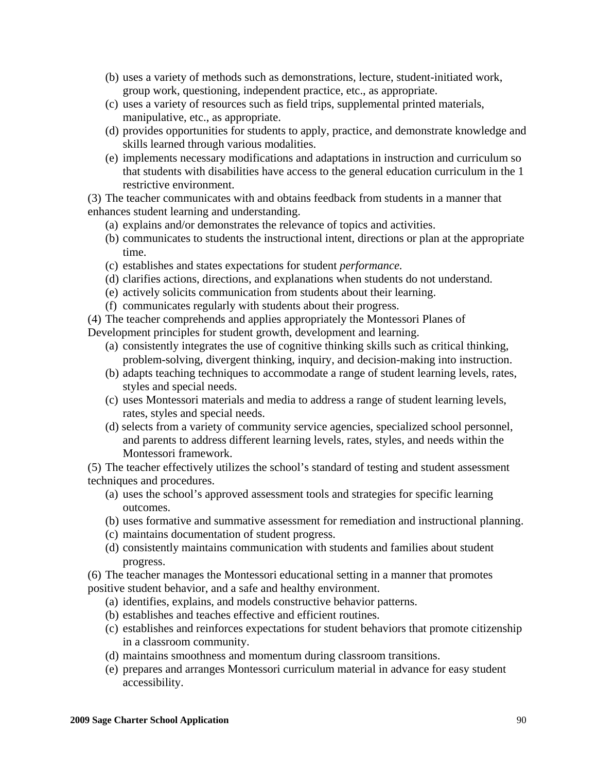- (b) uses a variety of methods such as demonstrations, lecture, student-initiated work, group work, questioning, independent practice, etc., as appropriate.
- (c) uses a variety of resources such as field trips, supplemental printed materials, manipulative, etc., as appropriate.
- (d) provides opportunities for students to apply, practice, and demonstrate knowledge and skills learned through various modalities.
- (e) implements necessary modifications and adaptations in instruction and curriculum so that students with disabilities have access to the general education curriculum in the 1 restrictive environment.

 (3) The teacher communicates with and obtains feedback from students in a manner that enhances student learning and understanding.

- (a) explains and/or demonstrates the relevance of topics and activities.
- (b) communicates to students the instructional intent, directions or plan at the appropriate time.
- (c) establishes and states expectations for student *performance.*
- (d) clarifies actions, directions, and explanations when students do not understand.
- (e) actively solicits communication from students about their learning.
- (f) communicates regularly with students about their progress.

 (4) The teacher comprehends and applies appropriately the Montessori Planes of Development principles for student growth, development and learning.

- (a) consistently integrates the use of cognitive thinking skills such as critical thinking, problem-solving, divergent thinking, inquiry, and decision-making into instruction.
- (b) adapts teaching techniques to accommodate a range of student learning levels, rates, styles and special needs.
- (c) uses Montessori materials and media to address a range of student learning levels, rates, styles and special needs.
- (d) selects from a variety of community service agencies, specialized school personnel, and parents to address different learning levels, rates, styles, and needs within the Montessori framework.

 (5) The teacher effectively utilizes the school's standard of testing and student assessment techniques and procedures.

- (a) uses the school's approved assessment tools and strategies for specific learning outcomes.
- (b) uses formative and summative assessment for remediation and instructional planning.
- (c) maintains documentation of student progress.
- (d) consistently maintains communication with students and families about student progress.

 (6) The teacher manages the Montessori educational setting in a manner that promotes positive student behavior, and a safe and healthy environment.

- (a) identifies, explains, and models constructive behavior patterns.
- (b) establishes and teaches effective and efficient routines.
- (c) establishes and reinforces expectations for student behaviors that promote citizenship in a classroom community.
- (d) maintains smoothness and momentum during classroom transitions.
- (e) prepares and arranges Montessori curriculum material in advance for easy student accessibility.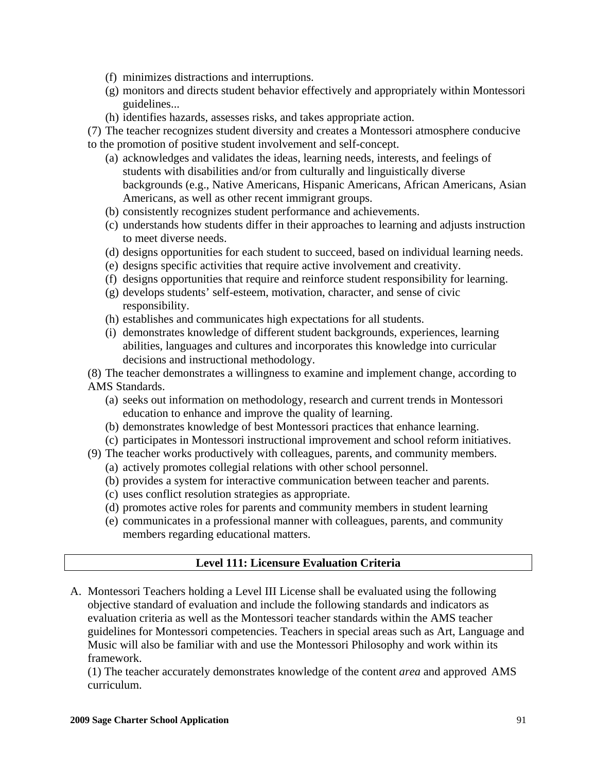- (f) minimizes distractions and interruptions.
- (g) monitors and directs student behavior effectively and appropriately within Montessori guidelines...
- (h) identifies hazards, assesses risks, and takes appropriate action.

 (7) The teacher recognizes student diversity and creates a Montessori atmosphere conducive to the promotion of positive student involvement and self-concept.

- (a) acknowledges and validates the ideas, learning needs, interests, and feelings of students with disabilities and/or from culturally and linguistically diverse backgrounds (e.g., Native Americans, Hispanic Americans, African Americans, Asian Americans, as well as other recent immigrant groups.
- (b) consistently recognizes student performance and achievements.
- (c) understands how students differ in their approaches to learning and adjusts instruction to meet diverse needs.
- (d) designs opportunities for each student to succeed, based on individual learning needs.
- (e) designs specific activities that require active involvement and creativity.
- (f) designs opportunities that require and reinforce student responsibility for learning.
- (g) develops students' self-esteem, motivation, character, and sense of civic responsibility.
- (h) establishes and communicates high expectations for all students.
- (i) demonstrates knowledge of different student backgrounds, experiences, learning abilities, languages and cultures and incorporates this knowledge into curricular decisions and instructional methodology.

 (8) The teacher demonstrates a willingness to examine and implement change, according to AMS Standards.

- (a) seeks out information on methodology, research and current trends in Montessori education to enhance and improve the quality of learning.
- (b) demonstrates knowledge of best Montessori practices that enhance learning.
- (c) participates in Montessori instructional improvement and school reform initiatives.
- (9) The teacher works productively with colleagues, parents, and community members.
	- (a) actively promotes collegial relations with other school personnel.
	- (b) provides a system for interactive communication between teacher and parents.
	- (c) uses conflict resolution strategies as appropriate.
	- (d) promotes active roles for parents and community members in student learning
	- (e) communicates in a professional manner with colleagues, parents, and community members regarding educational matters.

## **Level 111: Licensure Evaluation Criteria**

A. Montessori Teachers holding a Level III License shall be evaluated using the following objective standard of evaluation and include the following standards and indicators as evaluation criteria as well as the Montessori teacher standards within the AMS teacher guidelines for Montessori competencies. Teachers in special areas such as Art, Language and Music will also be familiar with and use the Montessori Philosophy and work within its framework.

 (1) The teacher accurately demonstrates knowledge of the content *area* and approved AMS curriculum.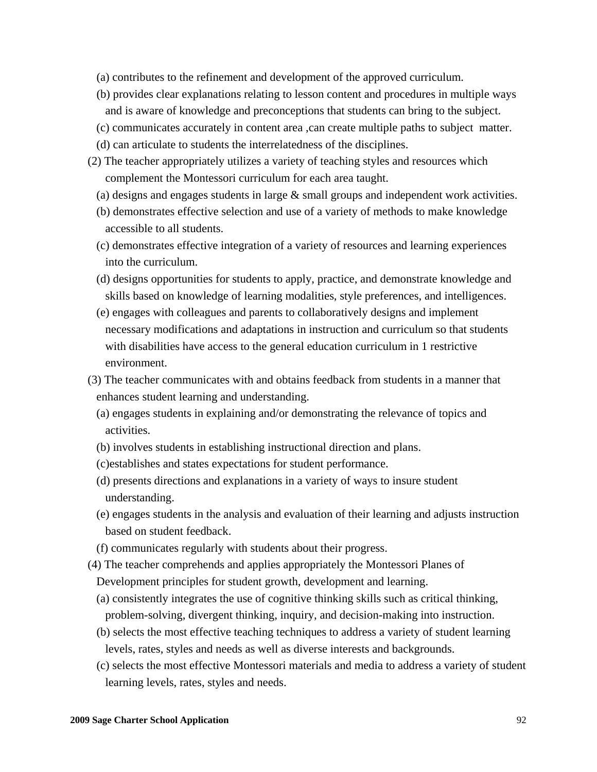- (a) contributes to the refinement and development of the approved curriculum.
- (b) provides clear explanations relating to lesson content and procedures in multiple ways and is aware of knowledge and preconceptions that students can bring to the subject.
- (c) communicates accurately in content area ,can create multiple paths to subject matter.
- (d) can articulate to students the interrelatedness of the disciplines.
- (2) The teacher appropriately utilizes a variety of teaching styles and resources which complement the Montessori curriculum for each area taught.
	- (a) designs and engages students in large & small groups and independent work activities.
	- (b) demonstrates effective selection and use of a variety of methods to make knowledge accessible to all students.
	- (c) demonstrates effective integration of a variety of resources and learning experiences into the curriculum.
	- (d) designs opportunities for students to apply, practice, and demonstrate knowledge and skills based on knowledge of learning modalities, style preferences, and intelligences.
	- (e) engages with colleagues and parents to collaboratively designs and implement necessary modifications and adaptations in instruction and curriculum so that students with disabilities have access to the general education curriculum in 1 restrictive environment.
- (3) The teacher communicates with and obtains feedback from students in a manner that enhances student learning and understanding.
	- (a) engages students in explaining and/or demonstrating the relevance of topics and activities.
	- (b) involves students in establishing instructional direction and plans.
	- (c)establishes and states expectations for student performance.
	- (d) presents directions and explanations in a variety of ways to insure student understanding.
	- (e) engages students in the analysis and evaluation of their learning and adjusts instruction based on student feedback.
	- (f) communicates regularly with students about their progress.
- (4) The teacher comprehends and applies appropriately the Montessori Planes of Development principles for student growth, development and learning.
	- (a) consistently integrates the use of cognitive thinking skills such as critical thinking, problem-solving, divergent thinking, inquiry, and decision-making into instruction.
	- (b) selects the most effective teaching techniques to address a variety of student learning levels, rates, styles and needs as well as diverse interests and backgrounds.
	- (c) selects the most effective Montessori materials and media to address a variety of student learning levels, rates, styles and needs.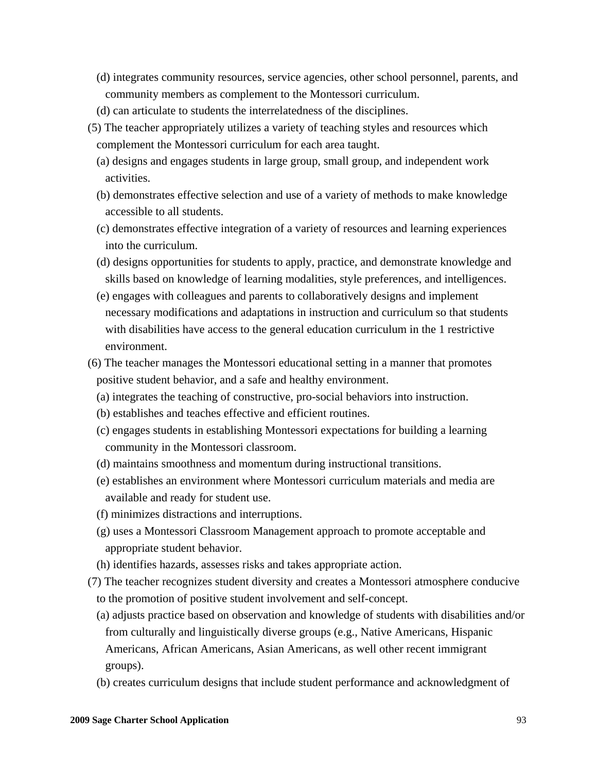- (d) integrates community resources, service agencies, other school personnel, parents, and community members as complement to the Montessori curriculum.
- (d) can articulate to students the interrelatedness of the disciplines.
- (5) The teacher appropriately utilizes a variety of teaching styles and resources which complement the Montessori curriculum for each area taught.
	- (a) designs and engages students in large group, small group, and independent work activities.
	- (b) demonstrates effective selection and use of a variety of methods to make knowledge accessible to all students.
	- (c) demonstrates effective integration of a variety of resources and learning experiences into the curriculum.
	- (d) designs opportunities for students to apply, practice, and demonstrate knowledge and skills based on knowledge of learning modalities, style preferences, and intelligences.
	- (e) engages with colleagues and parents to collaboratively designs and implement necessary modifications and adaptations in instruction and curriculum so that students with disabilities have access to the general education curriculum in the 1 restrictive environment.
- (6) The teacher manages the Montessori educational setting in a manner that promotes positive student behavior, and a safe and healthy environment.
	- (a) integrates the teaching of constructive, pro-social behaviors into instruction.
	- (b) establishes and teaches effective and efficient routines.
	- (c) engages students in establishing Montessori expectations for building a learning community in the Montessori classroom.
	- (d) maintains smoothness and momentum during instructional transitions.
	- (e) establishes an environment where Montessori curriculum materials and media are available and ready for student use.
	- (f) minimizes distractions and interruptions.
	- (g) uses a Montessori Classroom Management approach to promote acceptable and appropriate student behavior.
	- (h) identifies hazards, assesses risks and takes appropriate action.
- (7) The teacher recognizes student diversity and creates a Montessori atmosphere conducive to the promotion of positive student involvement and self-concept.
	- (a) adjusts practice based on observation and knowledge of students with disabilities and/or from culturally and linguistically diverse groups (e.g., Native Americans, Hispanic Americans, African Americans, Asian Americans, as well other recent immigrant groups).
	- (b) creates curriculum designs that include student performance and acknowledgment of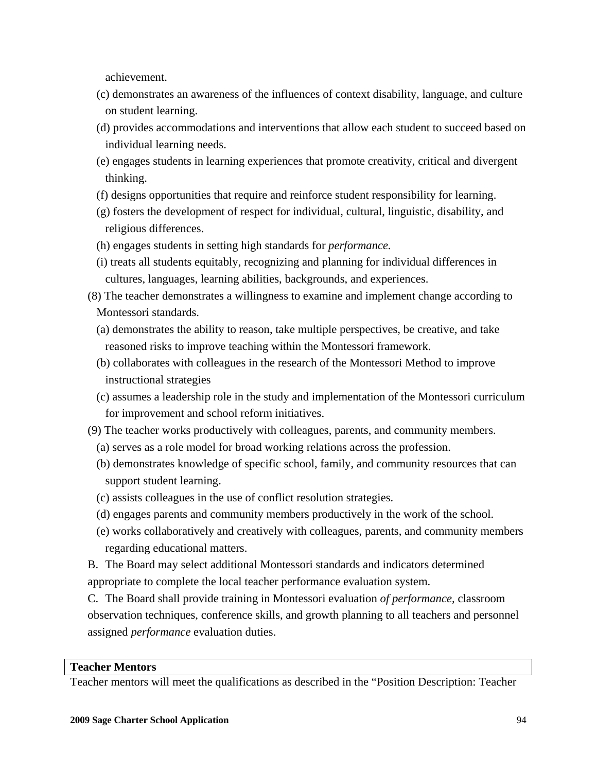achievement.

- (c) demonstrates an awareness of the influences of context disability, language, and culture on student learning.
- (d) provides accommodations and interventions that allow each student to succeed based on individual learning needs.
- (e) engages students in learning experiences that promote creativity, critical and divergent thinking.
- (f) designs opportunities that require and reinforce student responsibility for learning.
- (g) fosters the development of respect for individual, cultural, linguistic, disability, and religious differences.
- (h) engages students in setting high standards for *performance.*
- (i) treats all students equitably, recognizing and planning for individual differences in cultures, languages, learning abilities, backgrounds, and experiences.
- (8) The teacher demonstrates a willingness to examine and implement change according to Montessori standards.
	- (a) demonstrates the ability to reason, take multiple perspectives, be creative, and take reasoned risks to improve teaching within the Montessori framework.
	- (b) collaborates with colleagues in the research of the Montessori Method to improve instructional strategies
	- (c) assumes a leadership role in the study and implementation of the Montessori curriculum for improvement and school reform initiatives.
- (9) The teacher works productively with colleagues, parents, and community members.
	- (a) serves as a role model for broad working relations across the profession.
	- (b) demonstrates knowledge of specific school, family, and community resources that can support student learning.
	- (c) assists colleagues in the use of conflict resolution strategies.
	- (d) engages parents and community members productively in the work of the school.
	- (e) works collaboratively and creatively with colleagues, parents, and community members regarding educational matters.
- B. The Board may select additional Montessori standards and indicators determined appropriate to complete the local teacher performance evaluation system.

C. The Board shall provide training in Montessori evaluation *of performance,* classroom observation techniques, conference skills, and growth planning to all teachers and personnel assigned *performance* evaluation duties.

## **Teacher Mentors**

Teacher mentors will meet the qualifications as described in the "Position Description: Teacher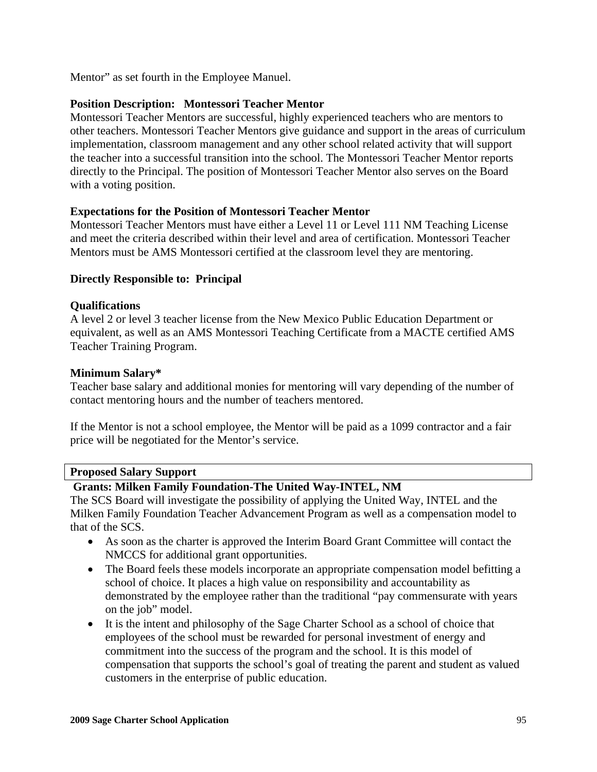Mentor" as set fourth in the Employee Manuel.

## **Position Description: Montessori Teacher Mentor**

Montessori Teacher Mentors are successful, highly experienced teachers who are mentors to other teachers. Montessori Teacher Mentors give guidance and support in the areas of curriculum implementation, classroom management and any other school related activity that will support the teacher into a successful transition into the school. The Montessori Teacher Mentor reports directly to the Principal. The position of Montessori Teacher Mentor also serves on the Board with a voting position.

#### **Expectations for the Position of Montessori Teacher Mentor**

Montessori Teacher Mentors must have either a Level 11 or Level 111 NM Teaching License and meet the criteria described within their level and area of certification. Montessori Teacher Mentors must be AMS Montessori certified at the classroom level they are mentoring.

#### **Directly Responsible to: Principal**

#### **Qualifications**

A level 2 or level 3 teacher license from the New Mexico Public Education Department or equivalent, as well as an AMS Montessori Teaching Certificate from a MACTE certified AMS Teacher Training Program.

#### **Minimum Salary\***

Teacher base salary and additional monies for mentoring will vary depending of the number of contact mentoring hours and the number of teachers mentored.

If the Mentor is not a school employee, the Mentor will be paid as a 1099 contractor and a fair price will be negotiated for the Mentor's service.

#### **Proposed Salary Support**

## **Grants: Milken Family Foundation-The United Way-INTEL, NM**

The SCS Board will investigate the possibility of applying the United Way, INTEL and the Milken Family Foundation Teacher Advancement Program as well as a compensation model to that of the SCS.

- As soon as the charter is approved the Interim Board Grant Committee will contact the NMCCS for additional grant opportunities.
- The Board feels these models incorporate an appropriate compensation model befitting a school of choice. It places a high value on responsibility and accountability as demonstrated by the employee rather than the traditional "pay commensurate with years on the job" model.
- It is the intent and philosophy of the Sage Charter School as a school of choice that employees of the school must be rewarded for personal investment of energy and commitment into the success of the program and the school. It is this model of compensation that supports the school's goal of treating the parent and student as valued customers in the enterprise of public education.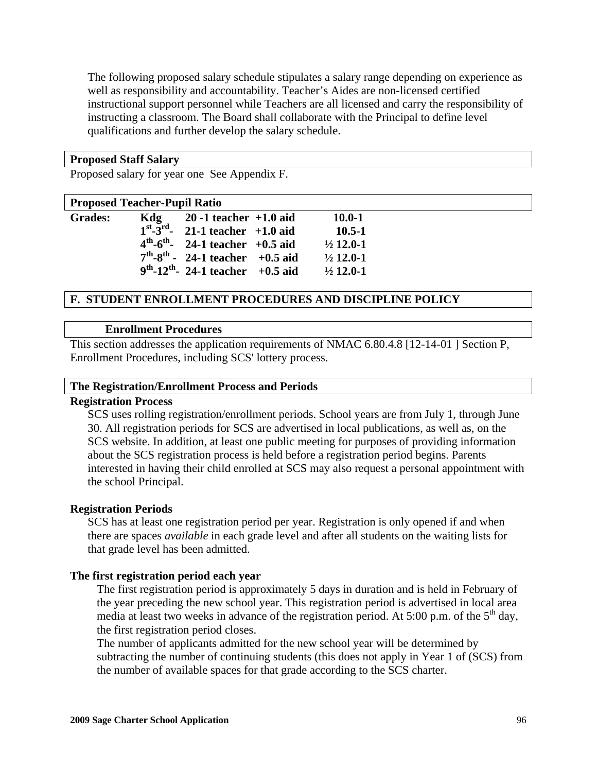The following proposed salary schedule stipulates a salary range depending on experience as well as responsibility and accountability. Teacher's Aides are non-licensed certified instructional support personnel while Teachers are all licensed and carry the responsibility of instructing a classroom. The Board shall collaborate with the Principal to define level qualifications and further develop the salary schedule.

#### **Proposed Staff Salary**

Proposed salary for year one See Appendix F.

#### **Proposed Teacher-Pupil Ratio**

| <b>Grades:</b> | Kdg | $20 - 1$ teacher $+1.0$ aid                        | $10.0 - 1$           |
|----------------|-----|----------------------------------------------------|----------------------|
|                |     | $1^{st}$ - $3^{rd}$ - 21-1 teacher +1.0 aid        | $10.5 - 1$           |
|                |     | $4^{th} - 6^{th} - 24 - 1$ teacher +0.5 aid        | $\frac{1}{2}$ 12.0-1 |
|                |     | $7th - 8th - 24 - 1$ teacher +0.5 aid              | $\frac{1}{2}$ 12.0-1 |
|                |     | $9^{th}$ -12 <sup>th</sup> - 24-1 teacher +0.5 aid | $\frac{1}{2}$ 12.0-1 |
|                |     |                                                    |                      |

### **F. STUDENT ENROLLMENT PROCEDURES AND DISCIPLINE POLICY**

#### **Enrollment Procedures**

This section addresses the application requirements of NMAC 6.80.4.8 [12-14-01 ] Section P, Enrollment Procedures, including SCS' lottery process.

#### **The Registration/Enrollment Process and Periods**

#### **Registration Process**

SCS uses rolling registration/enrollment periods. School years are from July 1, through June 30. All registration periods for SCS are advertised in local publications, as well as, on the SCS website. In addition, at least one public meeting for purposes of providing information about the SCS registration process is held before a registration period begins. Parents interested in having their child enrolled at SCS may also request a personal appointment with the school Principal.

#### **Registration Periods**

SCS has at least one registration period per year. Registration is only opened if and when there are spaces *available* in each grade level and after all students on the waiting lists for that grade level has been admitted.

#### **The first registration period each year**

The first registration period is approximately 5 days in duration and is held in February of the year preceding the new school year. This registration period is advertised in local area media at least two weeks in advance of the registration period. At 5:00 p.m. of the  $5<sup>th</sup>$  day, the first registration period closes.

The number of applicants admitted for the new school year will be determined by subtracting the number of continuing students (this does not apply in Year 1 of (SCS) from the number of available spaces for that grade according to the SCS charter.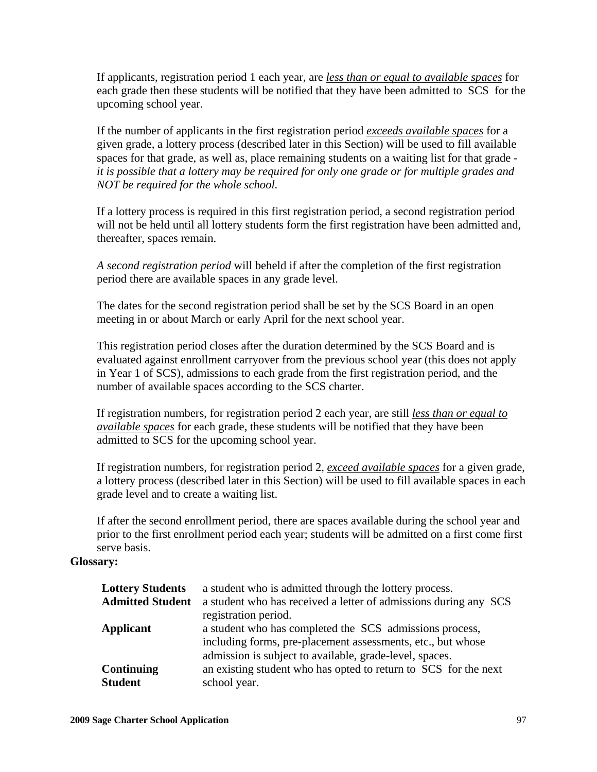If applicants, registration period 1 each year, are *less than or equal to available spaces* for each grade then these students will be notified that they have been admitted to SCS for the upcoming school year.

If the number of applicants in the first registration period *exceeds available spaces* for a given grade, a lottery process (described later in this Section) will be used to fill available spaces for that grade, as well as, place remaining students on a waiting list for that grade *it is possible that a lottery may be required for only one grade or for multiple grades and NOT be required for the whole school.* 

If a lottery process is required in this first registration period, a second registration period will not be held until all lottery students form the first registration have been admitted and, thereafter, spaces remain.

*A second registration period* will beheld if after the completion of the first registration period there are available spaces in any grade level.

The dates for the second registration period shall be set by the SCS Board in an open meeting in or about March or early April for the next school year.

This registration period closes after the duration determined by the SCS Board and is evaluated against enrollment carryover from the previous school year (this does not apply in Year 1 of SCS), admissions to each grade from the first registration period, and the number of available spaces according to the SCS charter.

If registration numbers, for registration period 2 each year, are still *less than or equal to available spaces* for each grade, these students will be notified that they have been admitted to SCS for the upcoming school year.

If registration numbers, for registration period 2, *exceed available spaces* for a given grade, a lottery process (described later in this Section) will be used to fill available spaces in each grade level and to create a waiting list.

If after the second enrollment period, there are spaces available during the school year and prior to the first enrollment period each year; students will be admitted on a first come first serve basis.

## **Glossary:**

| <b>Lottery Students</b> | a student who is admitted through the lottery process.           |
|-------------------------|------------------------------------------------------------------|
| <b>Admitted Student</b> | a student who has received a letter of admissions during any SCS |
|                         | registration period.                                             |
| Applicant               | a student who has completed the SCS admissions process,          |
|                         | including forms, pre-placement assessments, etc., but whose      |
|                         | admission is subject to available, grade-level, spaces.          |
| <b>Continuing</b>       | an existing student who has opted to return to SCS for the next  |
| <b>Student</b>          | school year.                                                     |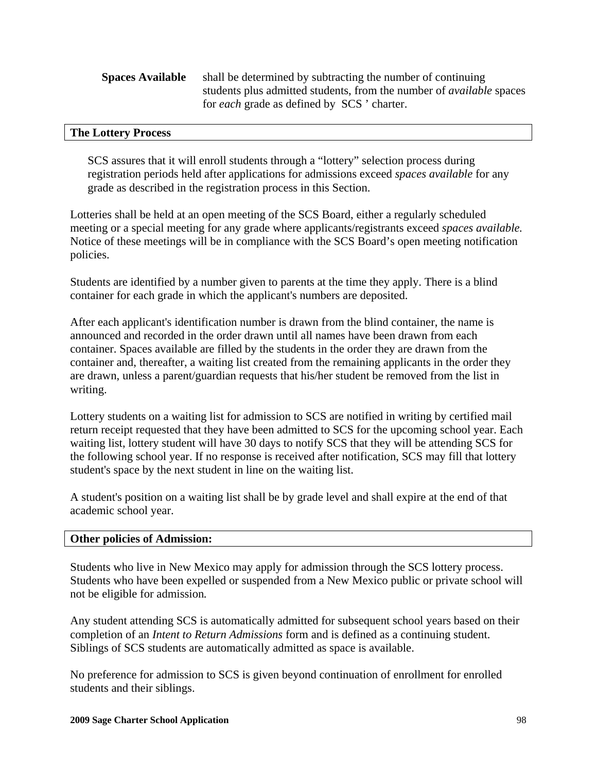| <b>Spaces Available</b> | shall be determined by subtracting the number of continuing                 |
|-------------------------|-----------------------------------------------------------------------------|
|                         | students plus admitted students, from the number of <i>available</i> spaces |
|                         | for <i>each</i> grade as defined by SCS ' charter.                          |

#### **The Lottery Process**

SCS assures that it will enroll students through a "lottery" selection process during registration periods held after applications for admissions exceed *spaces available* for any grade as described in the registration process in this Section.

Lotteries shall be held at an open meeting of the SCS Board, either a regularly scheduled meeting or a special meeting for any grade where applicants/registrants exceed *spaces available.*  Notice of these meetings will be in compliance with the SCS Board's open meeting notification policies.

Students are identified by a number given to parents at the time they apply. There is a blind container for each grade in which the applicant's numbers are deposited.

After each applicant's identification number is drawn from the blind container, the name is announced and recorded in the order drawn until all names have been drawn from each container. Spaces available are filled by the students in the order they are drawn from the container and, thereafter, a waiting list created from the remaining applicants in the order they are drawn, unless a parent/guardian requests that his/her student be removed from the list in writing.

Lottery students on a waiting list for admission to SCS are notified in writing by certified mail return receipt requested that they have been admitted to SCS for the upcoming school year. Each waiting list, lottery student will have 30 days to notify SCS that they will be attending SCS for the following school year. If no response is received after notification, SCS may fill that lottery student's space by the next student in line on the waiting list.

A student's position on a waiting list shall be by grade level and shall expire at the end of that academic school year.

#### **Other policies of Admission:**

Students who live in New Mexico may apply for admission through the SCS lottery process. Students who have been expelled or suspended from a New Mexico public or private school will not be eligible for admission*.* 

Any student attending SCS is automatically admitted for subsequent school years based on their completion of an *Intent to Return Admissions* form and is defined as a continuing student. Siblings of SCS students are automatically admitted as space is available.

No preference for admission to SCS is given beyond continuation of enrollment for enrolled students and their siblings.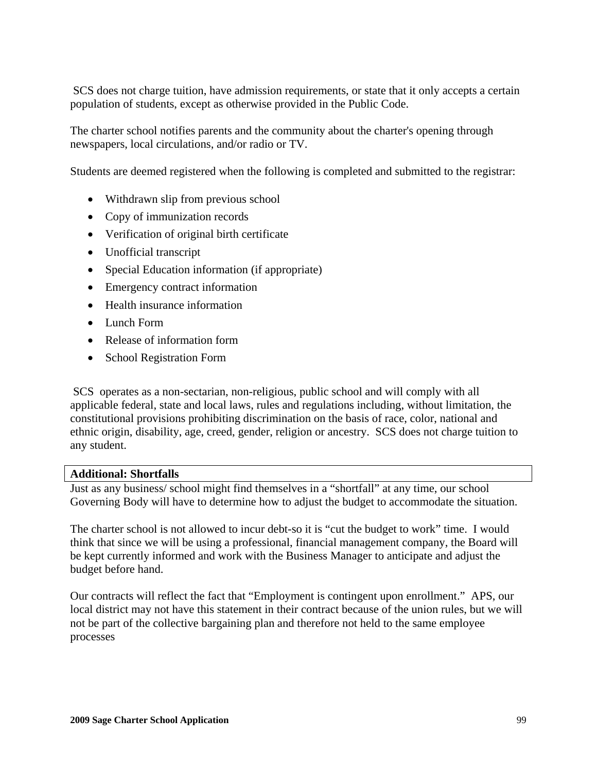SCS does not charge tuition, have admission requirements, or state that it only accepts a certain population of students, except as otherwise provided in the Public Code.

The charter school notifies parents and the community about the charter's opening through newspapers, local circulations, and/or radio or TV.

Students are deemed registered when the following is completed and submitted to the registrar:

- Withdrawn slip from previous school
- Copy of immunization records
- Verification of original birth certificate
- Unofficial transcript
- Special Education information (if appropriate)
- Emergency contract information
- Health insurance information
- Lunch Form
- Release of information form
- School Registration Form

 SCS operates as a non-sectarian, non-religious, public school and will comply with all applicable federal, state and local laws, rules and regulations including, without limitation, the constitutional provisions prohibiting discrimination on the basis of race, color, national and ethnic origin, disability, age, creed, gender, religion or ancestry. SCS does not charge tuition to any student.

#### **Additional: Shortfalls**

Just as any business/ school might find themselves in a "shortfall" at any time, our school Governing Body will have to determine how to adjust the budget to accommodate the situation.

The charter school is not allowed to incur debt-so it is "cut the budget to work" time. I would think that since we will be using a professional, financial management company, the Board will be kept currently informed and work with the Business Manager to anticipate and adjust the budget before hand.

Our contracts will reflect the fact that "Employment is contingent upon enrollment." APS, our local district may not have this statement in their contract because of the union rules, but we will not be part of the collective bargaining plan and therefore not held to the same employee processes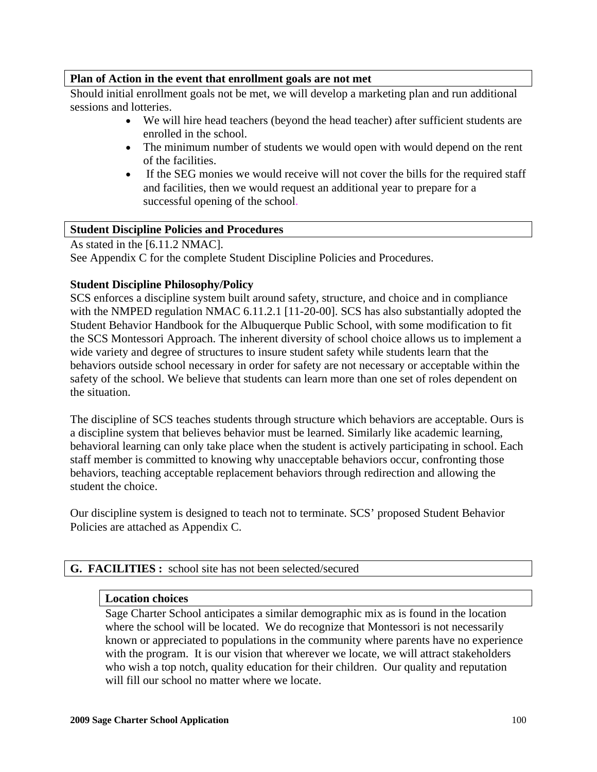## **Plan of Action in the event that enrollment goals are not met**

Should initial enrollment goals not be met, we will develop a marketing plan and run additional sessions and lotteries.

- We will hire head teachers (beyond the head teacher) after sufficient students are enrolled in the school.
- The minimum number of students we would open with would depend on the rent of the facilities.
- If the SEG monies we would receive will not cover the bills for the required staff and facilities, then we would request an additional year to prepare for a successful opening of the school.

# **Student Discipline Policies and Procedures**

As stated in the [6.11.2 NMAC]. See Appendix C for the complete Student Discipline Policies and Procedures.

## **Student Discipline Philosophy/Policy**

SCS enforces a discipline system built around safety, structure, and choice and in compliance with the NMPED regulation NMAC 6.11.2.1 [11-20-00]. SCS has also substantially adopted the Student Behavior Handbook for the Albuquerque Public School, with some modification to fit the SCS Montessori Approach. The inherent diversity of school choice allows us to implement a wide variety and degree of structures to insure student safety while students learn that the behaviors outside school necessary in order for safety are not necessary or acceptable within the safety of the school. We believe that students can learn more than one set of roles dependent on the situation.

The discipline of SCS teaches students through structure which behaviors are acceptable. Ours is a discipline system that believes behavior must be learned. Similarly like academic learning, behavioral learning can only take place when the student is actively participating in school. Each staff member is committed to knowing why unacceptable behaviors occur, confronting those behaviors, teaching acceptable replacement behaviors through redirection and allowing the student the choice.

Our discipline system is designed to teach not to terminate. SCS' proposed Student Behavior Policies are attached as Appendix C.

# **G. FACILITIES :** school site has not been selected/secured

## **Location choices**

Sage Charter School anticipates a similar demographic mix as is found in the location where the school will be located. We do recognize that Montessori is not necessarily known or appreciated to populations in the community where parents have no experience with the program. It is our vision that wherever we locate, we will attract stakeholders who wish a top notch, quality education for their children. Our quality and reputation will fill our school no matter where we locate.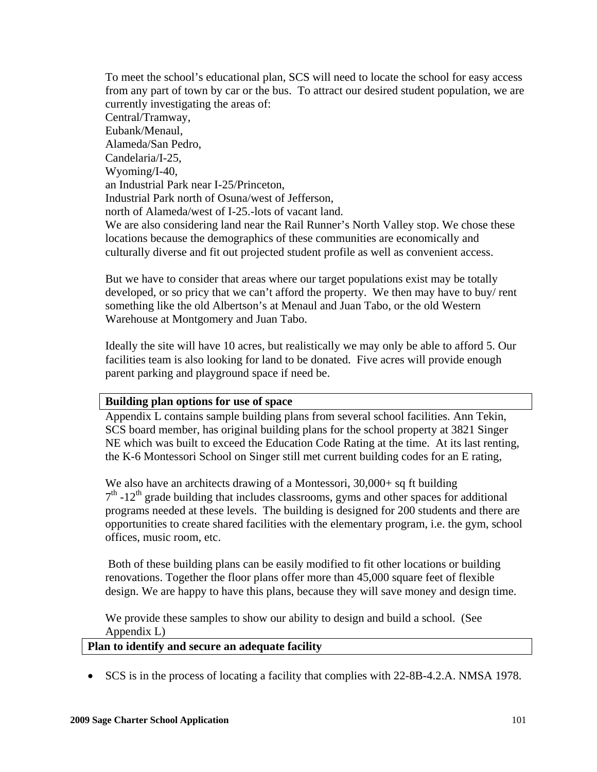To meet the school's educational plan, SCS will need to locate the school for easy access from any part of town by car or the bus. To attract our desired student population, we are currently investigating the areas of: Central/Tramway, Eubank/Menaul, Alameda/San Pedro, Candelaria/I-25, Wyoming/I-40, an Industrial Park near I-25/Princeton, Industrial Park north of Osuna/west of Jefferson, north of Alameda/west of I-25.-lots of vacant land. We are also considering land near the Rail Runner's North Valley stop. We chose these locations because the demographics of these communities are economically and culturally diverse and fit out projected student profile as well as convenient access.

But we have to consider that areas where our target populations exist may be totally developed, or so pricy that we can't afford the property. We then may have to buy/ rent something like the old Albertson's at Menaul and Juan Tabo, or the old Western Warehouse at Montgomery and Juan Tabo.

Ideally the site will have 10 acres, but realistically we may only be able to afford 5. Our facilities team is also looking for land to be donated. Five acres will provide enough parent parking and playground space if need be.

#### **Building plan options for use of space**

Appendix L contains sample building plans from several school facilities. Ann Tekin, SCS board member, has original building plans for the school property at 3821 Singer NE which was built to exceed the Education Code Rating at the time. At its last renting, the K-6 Montessori School on Singer still met current building codes for an E rating,

We also have an architects drawing of a Montessori, 30,000+ sq ft building  $7<sup>th</sup>$  -12<sup>th</sup> grade building that includes classrooms, gyms and other spaces for additional programs needed at these levels. The building is designed for 200 students and there are opportunities to create shared facilities with the elementary program, i.e. the gym, school offices, music room, etc.

 Both of these building plans can be easily modified to fit other locations or building renovations. Together the floor plans offer more than 45,000 square feet of flexible design. We are happy to have this plans, because they will save money and design time.

We provide these samples to show our ability to design and build a school. (See Appendix L)

#### **Plan to identify and secure an adequate facility**

• SCS is in the process of locating a facility that complies with 22-8B-4.2.A. NMSA 1978.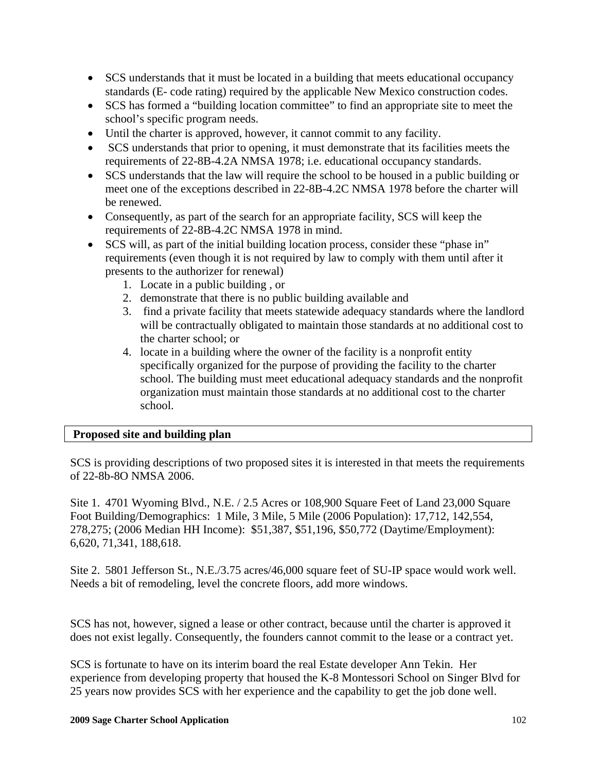- SCS understands that it must be located in a building that meets educational occupancy standards (E- code rating) required by the applicable New Mexico construction codes.
- SCS has formed a "building location committee" to find an appropriate site to meet the school's specific program needs.
- Until the charter is approved, however, it cannot commit to any facility.
- SCS understands that prior to opening, it must demonstrate that its facilities meets the requirements of 22-8B-4.2A NMSA 1978; i.e. educational occupancy standards.
- SCS understands that the law will require the school to be housed in a public building or meet one of the exceptions described in 22-8B-4.2C NMSA 1978 before the charter will be renewed.
- Consequently, as part of the search for an appropriate facility, SCS will keep the requirements of 22-8B-4.2C NMSA 1978 in mind.
- SCS will, as part of the initial building location process, consider these "phase in" requirements (even though it is not required by law to comply with them until after it presents to the authorizer for renewal)
	- 1. Locate in a public building , or
	- 2. demonstrate that there is no public building available and
	- 3. find a private facility that meets statewide adequacy standards where the landlord will be contractually obligated to maintain those standards at no additional cost to the charter school; or
	- 4. locate in a building where the owner of the facility is a nonprofit entity specifically organized for the purpose of providing the facility to the charter school. The building must meet educational adequacy standards and the nonprofit organization must maintain those standards at no additional cost to the charter school.

## **Proposed site and building plan**

SCS is providing descriptions of two proposed sites it is interested in that meets the requirements of 22-8b-8O NMSA 2006.

Site 1. 4701 Wyoming Blvd., N.E. / 2.5 Acres or 108,900 Square Feet of Land 23,000 Square Foot Building/Demographics: 1 Mile, 3 Mile, 5 Mile (2006 Population): 17,712, 142,554, 278,275; (2006 Median HH Income): \$51,387, \$51,196, \$50,772 (Daytime/Employment): 6,620, 71,341, 188,618.

Site 2. 5801 Jefferson St., N.E./3.75 acres/46,000 square feet of SU-IP space would work well. Needs a bit of remodeling, level the concrete floors, add more windows.

SCS has not, however, signed a lease or other contract, because until the charter is approved it does not exist legally. Consequently, the founders cannot commit to the lease or a contract yet.

SCS is fortunate to have on its interim board the real Estate developer Ann Tekin. Her experience from developing property that housed the K-8 Montessori School on Singer Blvd for 25 years now provides SCS with her experience and the capability to get the job done well.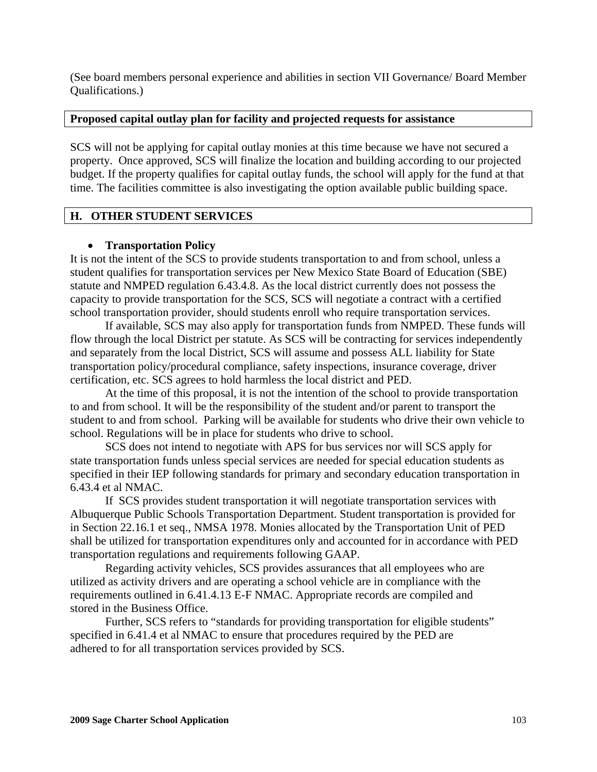(See board members personal experience and abilities in section VII Governance/ Board Member Qualifications.)

### **Proposed capital outlay plan for facility and projected requests for assistance**

SCS will not be applying for capital outlay monies at this time because we have not secured a property. Once approved, SCS will finalize the location and building according to our projected budget. If the property qualifies for capital outlay funds, the school will apply for the fund at that time. The facilities committee is also investigating the option available public building space.

## **H. OTHER STUDENT SERVICES**

## • **Transportation Policy**

It is not the intent of the SCS to provide students transportation to and from school, unless a student qualifies for transportation services per New Mexico State Board of Education (SBE) statute and NMPED regulation 6.43.4.8. As the local district currently does not possess the capacity to provide transportation for the SCS, SCS will negotiate a contract with a certified school transportation provider, should students enroll who require transportation services.

 If available, SCS may also apply for transportation funds from NMPED. These funds will flow through the local District per statute. As SCS will be contracting for services independently and separately from the local District, SCS will assume and possess ALL liability for State transportation policy/procedural compliance, safety inspections, insurance coverage, driver certification, etc. SCS agrees to hold harmless the local district and PED.

 At the time of this proposal, it is not the intention of the school to provide transportation to and from school. It will be the responsibility of the student and/or parent to transport the student to and from school. Parking will be available for students who drive their own vehicle to school. Regulations will be in place for students who drive to school.

 SCS does not intend to negotiate with APS for bus services nor will SCS apply for state transportation funds unless special services are needed for special education students as specified in their IEP following standards for primary and secondary education transportation in 6.43.4 et al NMAC.

 If SCS provides student transportation it will negotiate transportation services with Albuquerque Public Schools Transportation Department. Student transportation is provided for in Section 22.16.1 et seq., NMSA 1978. Monies allocated by the Transportation Unit of PED shall be utilized for transportation expenditures only and accounted for in accordance with PED transportation regulations and requirements following GAAP.

 Regarding activity vehicles, SCS provides assurances that all employees who are utilized as activity drivers and are operating a school vehicle are in compliance with the requirements outlined in 6.41.4.13 E-F NMAC. Appropriate records are compiled and stored in the Business Office.

Further, SCS refers to "standards for providing transportation for eligible students" specified in 6.41.4 et al NMAC to ensure that procedures required by the PED are adhered to for all transportation services provided by SCS.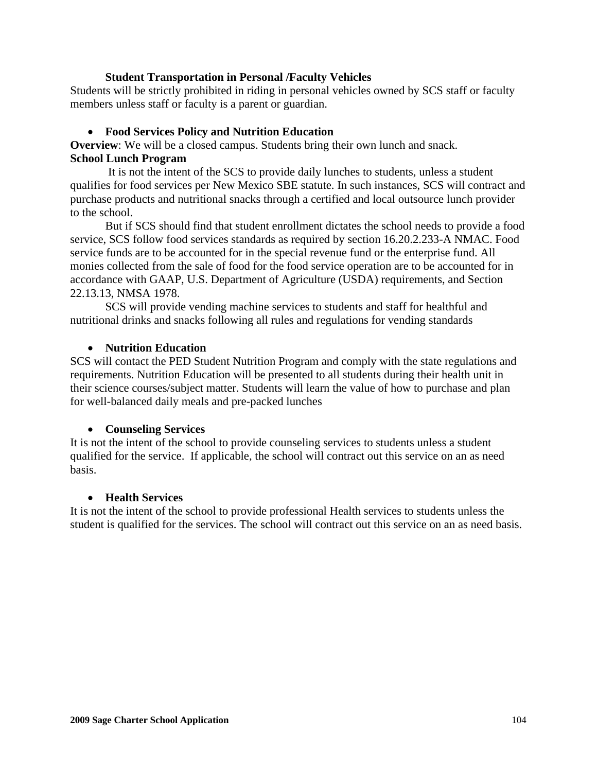### **Student Transportation in Personal /Faculty Vehicles**

Students will be strictly prohibited in riding in personal vehicles owned by SCS staff or faculty members unless staff or faculty is a parent or guardian.

### • **Food Services Policy and Nutrition Education**

**Overview**: We will be a closed campus. Students bring their own lunch and snack. **School Lunch Program** 

 It is not the intent of the SCS to provide daily lunches to students, unless a student qualifies for food services per New Mexico SBE statute. In such instances, SCS will contract and purchase products and nutritional snacks through a certified and local outsource lunch provider to the school.

 But if SCS should find that student enrollment dictates the school needs to provide a food service, SCS follow food services standards as required by section 16.20.2.233-A NMAC. Food service funds are to be accounted for in the special revenue fund or the enterprise fund. All monies collected from the sale of food for the food service operation are to be accounted for in accordance with GAAP, U.S. Department of Agriculture (USDA) requirements, and Section 22.13.13, NMSA 1978.

 SCS will provide vending machine services to students and staff for healthful and nutritional drinks and snacks following all rules and regulations for vending standards

#### • **Nutrition Education**

SCS will contact the PED Student Nutrition Program and comply with the state regulations and requirements. Nutrition Education will be presented to all students during their health unit in their science courses/subject matter. Students will learn the value of how to purchase and plan for well-balanced daily meals and pre-packed lunches

#### • **Counseling Services**

It is not the intent of the school to provide counseling services to students unless a student qualified for the service. If applicable, the school will contract out this service on an as need basis.

#### • **Health Services**

It is not the intent of the school to provide professional Health services to students unless the student is qualified for the services. The school will contract out this service on an as need basis.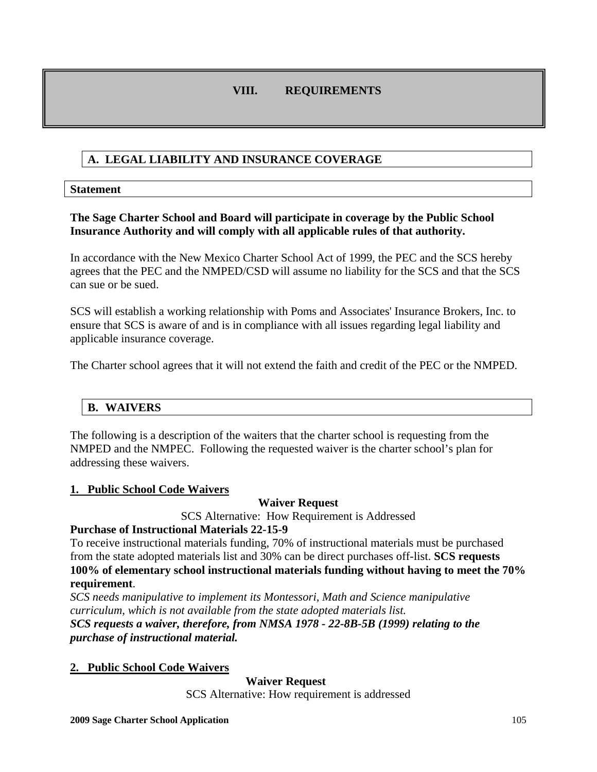# **VIII. REQUIREMENTS**

# **A. LEGAL LIABILITY AND INSURANCE COVERAGE**

#### **Statement**

## **The Sage Charter School and Board will participate in coverage by the Public School Insurance Authority and will comply with all applicable rules of that authority.**

In accordance with the New Mexico Charter School Act of 1999, the PEC and the SCS hereby agrees that the PEC and the NMPED/CSD will assume no liability for the SCS and that the SCS can sue or be sued.

SCS will establish a working relationship with Poms and Associates' Insurance Brokers, Inc. to ensure that SCS is aware of and is in compliance with all issues regarding legal liability and applicable insurance coverage.

The Charter school agrees that it will not extend the faith and credit of the PEC or the NMPED.

# **B. WAIVERS**

The following is a description of the waiters that the charter school is requesting from the NMPED and the NMPEC. Following the requested waiver is the charter school's plan for addressing these waivers.

## **1. Public School Code Waivers**

**Waiver Request** 

SCS Alternative: How Requirement is Addressed

## **Purchase of Instructional Materials 22-15-9**

To receive instructional materials funding, 70% of instructional materials must be purchased from the state adopted materials list and 30% can be direct purchases off-list. **SCS requests 100% of elementary school instructional materials funding without having to meet the 70% requirement**.

*SCS needs manipulative to implement its Montessori, Math and Science manipulative curriculum, which is not available from the state adopted materials list. SCS requests a waiver, therefore, from NMSA 1978 - 22-8B-5B (1999) relating to the purchase of instructional material.* 

## **2. Public School Code Waivers**

 **Waiver Request** 

SCS Alternative: How requirement is addressed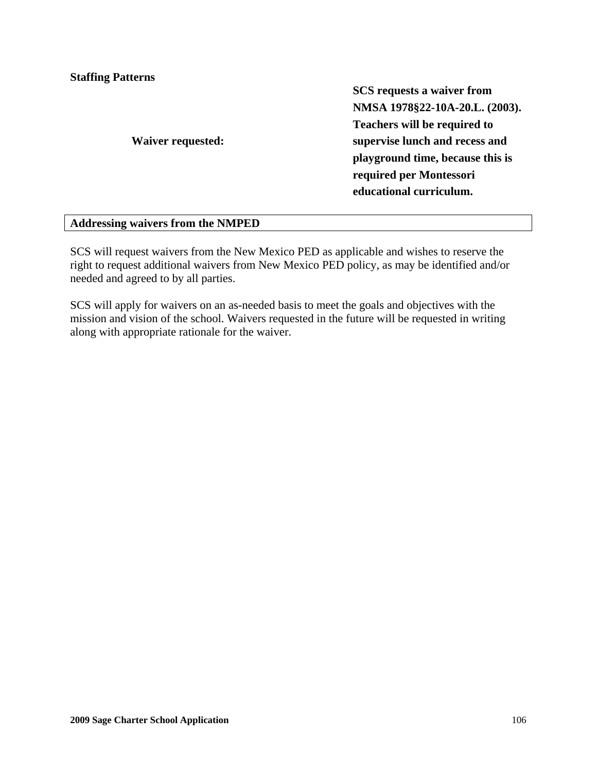**Staffing Patterns** 

**Waiver requested:** 

**SCS requests a waiver from NMSA 1978§22-10A-20.L. (2003). Teachers will be required to supervise lunch and recess and playground time, because this is required per Montessori educational curriculum.** 

## **Addressing waivers from the NMPED**

SCS will request waivers from the New Mexico PED as applicable and wishes to reserve the right to request additional waivers from New Mexico PED policy, as may be identified and/or needed and agreed to by all parties.

SCS will apply for waivers on an as-needed basis to meet the goals and objectives with the mission and vision of the school. Waivers requested in the future will be requested in writing along with appropriate rationale for the waiver.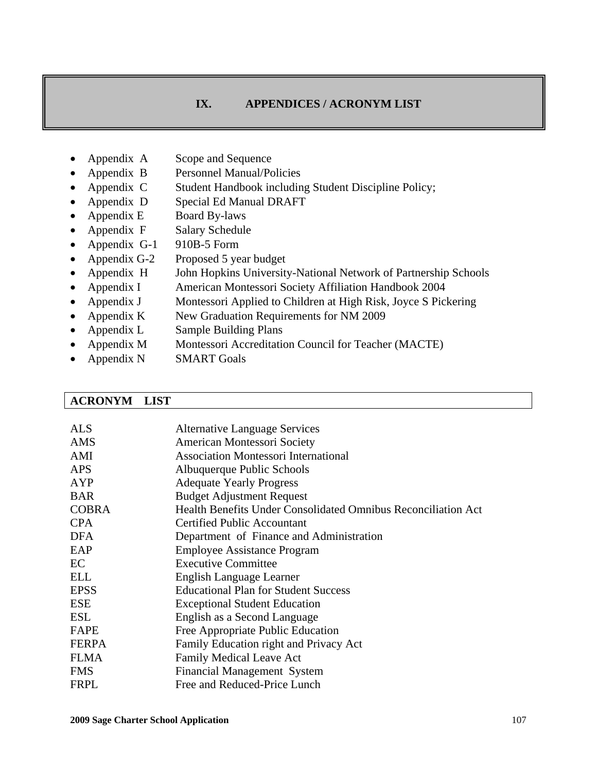## **IX. APPENDICES / ACRONYM LIST**

- Appendix A Scope and Sequence
- Appendix B Personnel Manual/Policies
- Appendix C Student Handbook including Student Discipline Policy;
- Appendix D Special Ed Manual DRAFT
- Appendix E Board By-laws
- Appendix F Salary Schedule
- Appendix G-1 910B-5 Form
- Appendix G-2 Proposed 5 year budget
- Appendix H John Hopkins University-National Network of Partnership Schools
- Appendix I American Montessori Society Affiliation Handbook 2004
- Appendix J Montessori Applied to Children at High Risk, Joyce S Pickering
- Appendix K New Graduation Requirements for NM 2009
- Appendix L Sample Building Plans
- Appendix M Montessori Accreditation Council for Teacher (MACTE)
- Appendix N SMART Goals

#### **ACRONYM LIST**

| <b>ALS</b>   | <b>Alternative Language Services</b>                          |
|--------------|---------------------------------------------------------------|
| <b>AMS</b>   | American Montessori Society                                   |
| AMI          | <b>Association Montessori International</b>                   |
| <b>APS</b>   | Albuquerque Public Schools                                    |
| AYP          | <b>Adequate Yearly Progress</b>                               |
| <b>BAR</b>   | <b>Budget Adjustment Request</b>                              |
| <b>COBRA</b> | Health Benefits Under Consolidated Omnibus Reconciliation Act |
| <b>CPA</b>   | Certified Public Accountant                                   |
| <b>DFA</b>   | Department of Finance and Administration                      |
| EAP          | <b>Employee Assistance Program</b>                            |
| EC           | <b>Executive Committee</b>                                    |
| <b>ELL</b>   | English Language Learner                                      |
| <b>EPSS</b>  | <b>Educational Plan for Student Success</b>                   |
| <b>ESE</b>   | <b>Exceptional Student Education</b>                          |
| <b>ESL</b>   | English as a Second Language                                  |
| FAPE         | Free Appropriate Public Education                             |
| <b>FERPA</b> | Family Education right and Privacy Act                        |
| <b>FLMA</b>  | <b>Family Medical Leave Act</b>                               |
| <b>FMS</b>   | Financial Management System                                   |
| <b>FRPL</b>  | Free and Reduced-Price Lunch                                  |
|              |                                                               |